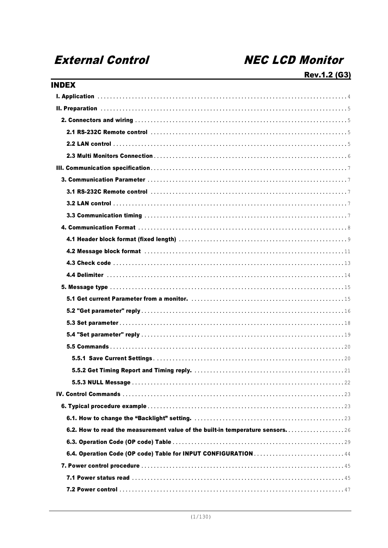# **External Control**

# **NEC LCD Monitor**

| 6.2. How to read the measurement value of the built-in temperature sensors. $\ldots \ldots \ldots \ldots \ldots$ |
|------------------------------------------------------------------------------------------------------------------|
|                                                                                                                  |
|                                                                                                                  |
|                                                                                                                  |
|                                                                                                                  |
|                                                                                                                  |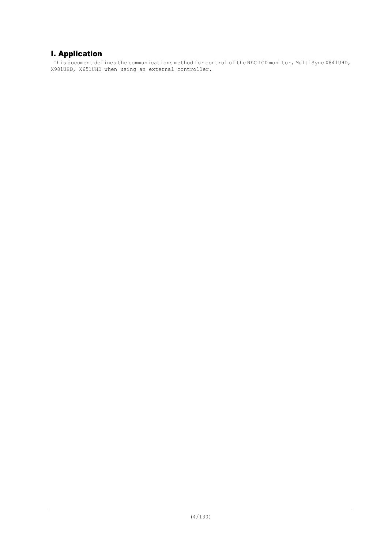## I. Application

This document defines the communications method for control of the NEC LCD monitor, MultiSync X841UHD, X981UHD, X651UHD when using an external controller.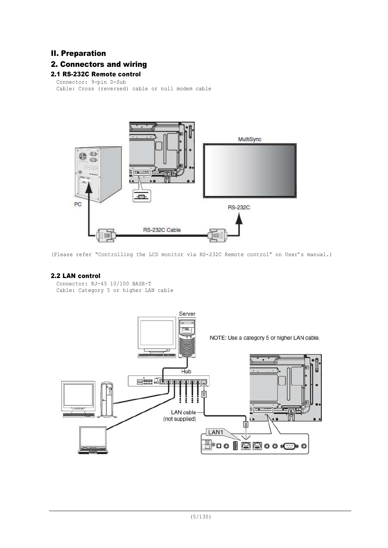### II. Preparation

### 2. Connectors and wiring

### 2.1 RS-232C Remote control

Connector: 9-pin D-Sub Cable: Cross (reversed) cable or null modem cable



(Please refer "Controlling the LCD monitor via RS-232C Remote control" on User's manual.)

### 2.2 LAN control

```
Connector: RJ-45 10/100 BASE-T
Cable: Category 5 or higher LAN cable
```
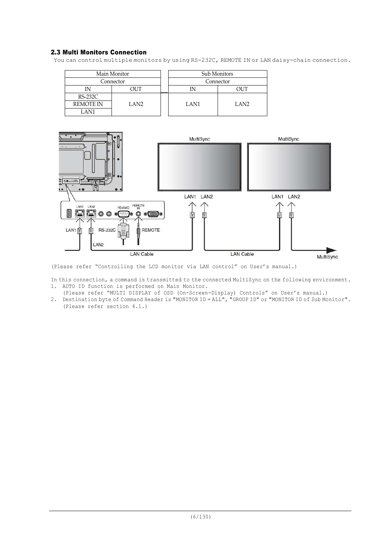### 2.3 Multi Monitors Connection

You can control multiple monitors by using RS-232C, REMOTE IN or LAN daisy-chain connection.

| Main Monitor     |      |  | Sub Monitors |           |  |  |
|------------------|------|--|--------------|-----------|--|--|
| Connector        |      |  |              | Connector |  |  |
| IN               |      |  | דו זר        |           |  |  |
| $RS-232C$        |      |  |              |           |  |  |
| <b>REMOTE IN</b> | LAN2 |  | LAN1         | LAN2      |  |  |
| LAN1             |      |  |              |           |  |  |



(Please refer "Controlling the LCD monitor via LAN control" on User's manual.)

In this connection, a command is transmitted to the connected MultiSync on the following environment. 1. AUTO ID function is performed on Main Monitor.

- (Please refer "MULTI DISPLAY of OSD (On-Screen-Display) Controls" on User's manual.)
- 2. Destination byte of Command Header is "MONITOR ID = ALL", "GROUP ID" or "MONITOR ID of Sub Monitor". (Please refer section 4.1.)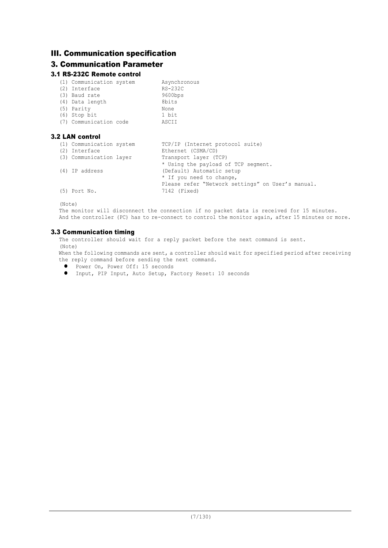## III. Communication specification

## 3. Communication Parameter

### 3.1 RS-232C Remote control

| (1) Communication system | Asynchronous |
|--------------------------|--------------|
| (2) Interface            | RS-232C      |
| (3) Baud rate            | 9600bps      |
| (4) Data length          | 8bits        |
| (5) Parity               | None         |
| $(6)$ Stop bit           | 1 bit        |
| (7) Communication code   | ASCII        |

### 3.2 LAN control

| (1) Communication system | TCP/IP (Internet protocol suite)                  |  |  |  |  |
|--------------------------|---------------------------------------------------|--|--|--|--|
| (2) Interface            | Ethernet (CSMA/CD)                                |  |  |  |  |
| (3) Communication layer  | Transport layer (TCP)                             |  |  |  |  |
|                          | * Using the payload of TCP segment.               |  |  |  |  |
| $(4)$ IP address         | (Default) Automatic setup                         |  |  |  |  |
|                          | * If you need to change,                          |  |  |  |  |
|                          | Please refer "Network settings" on User's manual. |  |  |  |  |
| $(5)$ Port No.           | 7142 (Fixed)                                      |  |  |  |  |
|                          |                                                   |  |  |  |  |

(Note)

The monitor will disconnect the connection if no packet data is received for 15 minutes. And the controller (PC) has to re-connect to control the monitor again, after 15 minutes or more.

### 3.3 Communication timing

The controller should wait for a reply packet before the next command is sent. (Note)

When the following commands are sent, a controller should wait for specified period after receiving the reply command before sending the next command.

- **.** Power On, Power Off: 15 seconds
- **•** Input, PIP Input, Auto Setup, Factory Reset: 10 seconds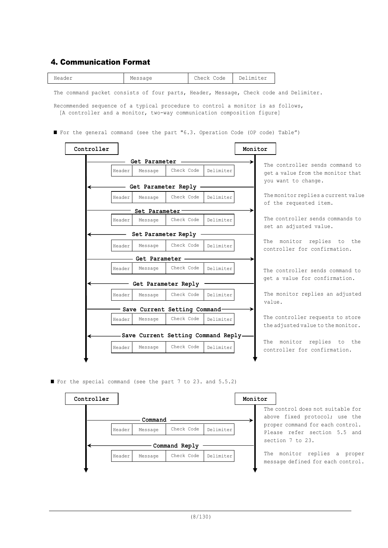### 4. Communication Format

| Header<br>$M \mapsto \mathcal{L}$ | code<br>$h \triangle \cap$<br>ヘローヘル | De<br>. $+\Delta r$<br>m.<br>⊥ت∪<br>----- |
|-----------------------------------|-------------------------------------|-------------------------------------------|
|                                   |                                     |                                           |

The command packet consists of four parts, Header, Message, Check code and Delimiter.

Recommended sequence of a typical procedure to control a monitor is as follows, [A controller and a monitor, two-way communication composition figure]

■ For the general command (see the part "6.3. Operation Code (OP code) Table")

|        |               |                                     |           | Monitor |                                                                      |
|--------|---------------|-------------------------------------|-----------|---------|----------------------------------------------------------------------|
|        | Get Parameter |                                     |           |         |                                                                      |
| Header | Message       | Check Code                          | Delimiter |         | The controller sends command to<br>get a value from the monitor that |
|        |               | Get Parameter Reply                 |           |         | you want to change.                                                  |
| Header | Message       | Check Code                          | Delimiter |         | The monitor replies a current value<br>of the requested item.        |
|        | Set Parameter |                                     |           |         |                                                                      |
| Header | Message       | Check Code                          | Delimiter |         | The controller sends commands to<br>set an adjusted value.           |
|        |               | Set Parameter Reply                 |           |         |                                                                      |
| Header | Message       | Check Code                          | Delimiter |         | The monitor replies to the<br>controller for confirmation.           |
|        | Get Parameter |                                     |           |         |                                                                      |
| Header | Message       | Check Code                          | Delimiter |         | The controller sends command to                                      |
|        |               | Get Parameter Reply                 |           |         | get a value for confirmation.                                        |
| Header | Message       | Check Code                          | Delimiter |         | The monitor replies an adjusted                                      |
|        |               | Save Current Setting Command-       |           | value.  |                                                                      |
| Header | Message       | Check Code                          | Delimiter |         | The controller requests to store                                     |
|        |               |                                     |           |         | the adjusted value to the monitor.                                   |
|        |               | Save Current Setting Command Reply- |           |         |                                                                      |
| Header | Message       | Check Code                          | Delimiter |         | The monitor replies to the<br>controller for confirmation.           |

■ For the special command (see the part 7 to 23. and 5.5.2)



The control does not suitable for above fixed protocol; use the proper command for each control. Please refer section 5.5 and section 7 to 23.

The monitor replies a proper message defined for each control.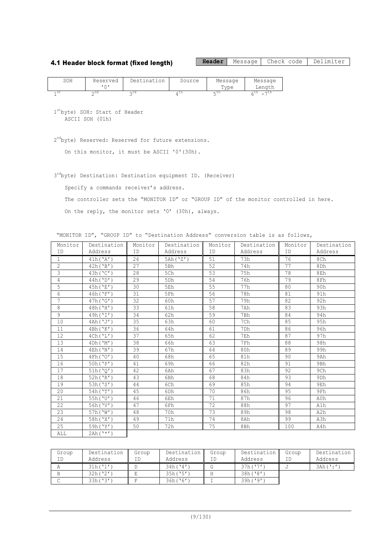#### 4.1 Header block format (fixed length)

**Header** Message Check code Delimiter

| SOH  | Reserved | Destination     | Source | Message | Message        |
|------|----------|-----------------|--------|---------|----------------|
|      |          |                 |        | Type    | Length         |
| 1 St | ∽nd      | $\land r\alpha$ | .      | ، 211   | $-1$<br>.<br>- |

1 st byte) SOH: Start of Header ASCII SOH (01h)

2<sup>nd</sup>byte) Reserved: Reserved for future extensions.

On this monitor, it must be ASCII '0'(30h).

3<sup>rd</sup>byte) Destination: Destination equipment ID. (Receiver)

Specify a commands receiver's address.

The controller sets the "MONITOR ID" or "GROUP ID" of the monitor controlled in here.

On the reply, the monitor sets '0' (30h), always.

"MONITOR ID", "GROUP ID" to "Destination Address" conversion table is as follows,

| Monitor        | Destination          | Monitor   | Destination     | Monitor | Destination     | Monitor   | Destination     |
|----------------|----------------------|-----------|-----------------|---------|-----------------|-----------|-----------------|
| <b>TD</b>      | Address              | <b>ID</b> | Address         | ID      | Address         | <b>TD</b> | Address         |
| $\mathbf{1}$   | 41h('A')             | 26        | 5Ah('Z')        | 51      | 73h             | 76        | 8Ch             |
| $\overline{2}$ | 42h('B')             | 27        | 5Bh             | 52      | 74h             | 77        | 8Dh             |
| 3              | 43h('C')             | 28        | 5Ch             | 53      | 75h             | 78        | 8Eh             |
| $\overline{4}$ | 44h('D')             | 29        | 5 <sub>Dh</sub> | 54      | 76h             | 79        | 8Fh             |
| 5              | 45h('E')             | 30        | 5Eh             | 55      | 77h             | 80        | 90h             |
| 6              | 46h('F')             | 31        | 5Fh             | 56      | 78h             | 81        | 91h             |
| $\overline{7}$ | 47h('G')             | 32        | 60h             | 57      | 79h             | 82        | 92h             |
| 8              | 48h('H')             | 33        | 61h             | 58      | 7Ah             | 83        | 93h             |
| 9              | 49h('I')             | 34        | 62h             | 59      | 7Bh             | 84        | 94h             |
| 10             | 4Ah('J')             | 35        | 63h             | 60      | 7Ch             | 85        | 95h             |
| 11             | 4Bh('K')             | 36        | 64h             | 61      | 7 <sub>Dh</sub> | 86        | 96h             |
| 12             | 4Ch('L')             | 37        | 65h             | 62      | 7Eh             | 87        | 97h             |
| 13             | 4Dh('M')             | 38        | 66h             | 63      | 7Fh             | 88        | 98h             |
| 14             | 4Eh('N')             | 39        | 67h             | 64      | 80h             | 89        | 99h             |
| 15             | 4Fh('O')             | 40        | 68h             | 65      | 81h             | 90        | 9Ah             |
| 16             | 50h('P')             | 41        | 69h             | 66      | 82h             | 91        | 9Bh             |
| 17             | 51h('0')             | 42        | 6Ah             | 67      | 83h             | 92        | 9Ch             |
| 18             | 52h('R')             | 43        | 6Bh             | 68      | 84h             | 93        | 9 <sub>Dh</sub> |
| 19             | 53h ('S')            | 44        | 6Ch             | 69      | 85h             | 94        | 9Eh             |
| 20             | 54h('T')             | 45        | 6Dh             | 70      | 86h             | 95        | 9Fh             |
| 21             | 55h('U')             | 46        | 6Eh             | 71      | 87h             | 96        | A0h             |
| 22             | 56h('V')             | 47        | 6Fh             | 72      | 88h             | 97        | A1h             |
| 23             | 57h('W')             | 48        | 70h             | 73      | 89h             | 98        | A2h             |
| 24             | 58h('X')             | 49        | 71h             | 74      | 8Ah             | 99        | A3h             |
| 25             | 59h('Y')             | 50        | 72h             | 75      | 8Bh             | 100       | A4h             |
| ALL            | $2Ah(^{\prime *'}')$ |           |                 |         |                 |           |                 |

| Group | Destination | Group | Destination | Group | Destination | Group | Destination |
|-------|-------------|-------|-------------|-------|-------------|-------|-------------|
| ΙD    | Address     | ΙD    | Address     | ΙD    | Address     | T D.  | Address     |
|       | 31h('1')    |       | 34h(14')    |       | 37h(17')    |       | $3Ah('')$ : |
|       | 32h('2')    |       | 35h('5')    |       | 38h(18')    |       |             |
|       | 33h('3')    |       | 36h('6')    |       | 39h('9')    |       |             |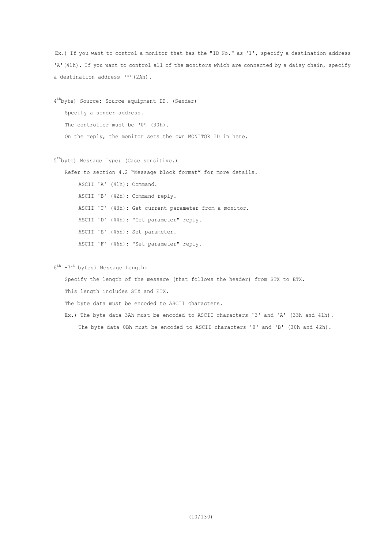Ex.) If you want to control a monitor that has the "ID No." as '1', specify a destination address 'A'(41h). If you want to control all of the monitors which are connected by a daisy chain, specify a destination address '\*'(2Ah).

4 th byte) Source: Source equipment ID. (Sender) Specify a sender address. The controller must be '0' (30h). On the reply, the monitor sets the own MONITOR ID in here.

5 th byte) Message Type: (Case sensitive.)

Refer to section 4.2 "Message block format" for more details.

ASCII 'A' (41h): Command.

ASCII 'B' (42h): Command reply.

ASCII 'C' (43h): Get current parameter from a monitor.

ASCII 'D' (44h): "Get parameter" reply.

ASCII 'E' (45h): Set parameter.

ASCII 'F' (46h): "Set parameter" reply.

6<sup>th</sup> -7<sup>th</sup> bytes) Message Length:

Specify the length of the message (that follows the header) from STX to ETX.

This length includes STX and ETX.

The byte data must be encoded to ASCII characters.

Ex.) The byte data 3Ah must be encoded to ASCII characters '3' and 'A' (33h and 41h). The byte data 0Bh must be encoded to ASCII characters '0' and 'B' (30h and 42h).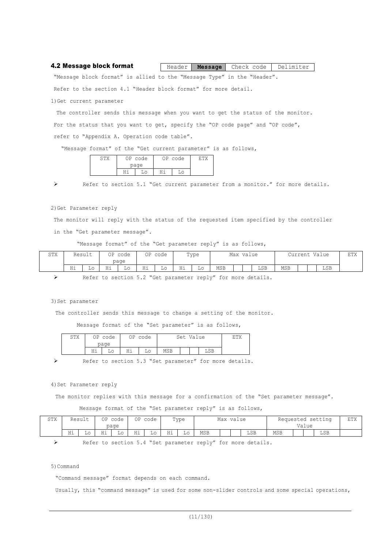| 4.2 Message block format |  |  | Header   Message   Check code   Delimiter |  |
|--------------------------|--|--|-------------------------------------------|--|
|--------------------------|--|--|-------------------------------------------|--|

"Message block format" is allied to the "Message Type" in the "Header".

Refer to the section 4.1 "Header block format" for more detail.

1)Get current parameter

The controller sends this message when you want to get the status of the monitor. For the status that you want to get, specify the "OP code page" and "OP code", refer to "Appendix A. Operation code table".

"Message format" of the "Get current parameter" is as follows,

| <u>יש</u> | OP code | OP. | code |  |
|-----------|---------|-----|------|--|
|           | page    |     |      |  |
|           |         |     |      |  |

Ø Refer to section 5.1 "Get current parameter from a monitor." for more details.

2)Get Parameter reply

The monitor will reply with the status of the requested item specified by the controller in the "Get parameter message".

"Message format" of the "Get parameter reply" is as follows,

| STX | Result |    | ΟP                   | code<br>page | ∩Þ | code |            | Type |            | Max | value |     | Curren<br><b>UILU</b> | Value | ETX |
|-----|--------|----|----------------------|--------------|----|------|------------|------|------------|-----|-------|-----|-----------------------|-------|-----|
|     | Hi     | Lο | $- -$<br><b>11 L</b> | Lо           | Hi | Lο   | н÷<br>---- | TО   | <b>MSB</b> |     | LSB   | MSB |                       | LSB   |     |

Ø Refer to section 5.2 "Get parameter reply" for more details.

3) Set parameter

The controller sends this message to change a setting of the monitor.

Message format of the "Set parameter" is as follows,

| STX |    | OP code<br>page | ΟP        | code |            | Set | Value |     | ロ中マ |
|-----|----|-----------------|-----------|------|------------|-----|-------|-----|-----|
|     | Ηi |                 | u÷<br>⊥⊥⊥ |      | <b>MSB</b> |     |       | LSB |     |

Refer to section 5.3 "Set parameter" for more details.

#### 4) Set Parameter reply

The monitor replies with this message for a confirmation of the "Set parameter message".

Message format of the "Set parameter reply" is as follows,

| CTV<br>2TY |                | Result                 | ΟP           | code         | ΟP | code |        | Type |       | Max |  |     | Requested |       | setting | πmν<br>出上人 |
|------------|----------------|------------------------|--------------|--------------|----|------|--------|------|-------|-----|--|-----|-----------|-------|---------|------------|
|            |                |                        |              | page         |    |      |        |      | value |     |  |     |           | Value |         |            |
|            | н÷<br>$\cdots$ | $\sim$<br>⊥∪<br>$\sim$ | TT 4<br>++ + | Lc<br>$\sim$ | Ηi | ച∪   | ц÷<br> | ച∪   | MSB   |     |  | LSB | MSB       |       | LSB     |            |

Ø Refer to section 5.4 "Set parameter reply" for more details.

5)Command

"Command message" format depends on each command.

Usually, this "command message" is used for some non-slider controls and some special operations,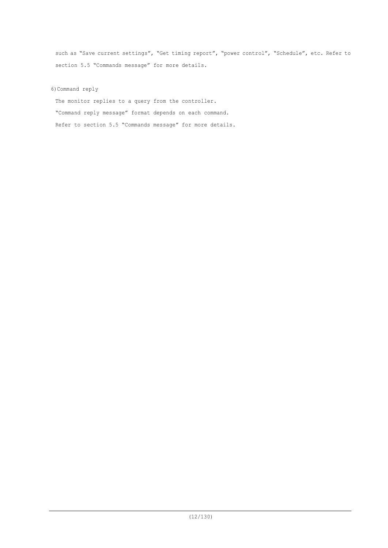such as "Save current settings", "Get timing report", "power control", "Schedule", etc. Refer to section 5.5 "Commands message" for more details.

6)Command reply

The monitor replies to a query from the controller. "Command reply message" format depends on each command. Refer to section 5.5 "Commands message" for more details.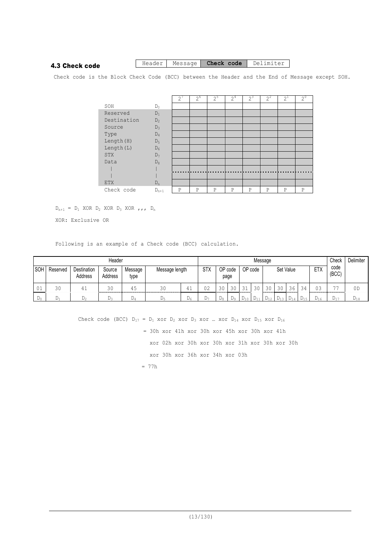### 4.3 Check code

#### Header | Message | **Check code** | Delimiter

Check code is the Block Check Code (BCC) between the Header and the End of Message except SOH.

|             |           | 2 | $2^6$ | $2^5$ | 2 <sup>4</sup> | $2^3$ | $2^2$ | $2^{1}$ | $2^{\circ}$ |
|-------------|-----------|---|-------|-------|----------------|-------|-------|---------|-------------|
| SOH         | $D_0$     |   |       |       |                |       |       |         |             |
| Reserved    | $D_1$     |   |       |       |                |       |       |         |             |
| Destination | $D_2$     |   |       |       |                |       |       |         |             |
| Source      | $D_3$     |   |       |       |                |       |       |         |             |
| Type        | $D_4$     |   |       |       |                |       |       |         |             |
| Length (H)  | $D_5$     |   |       |       |                |       |       |         |             |
| Length (L)  | $D_6$     |   |       |       |                |       |       |         |             |
| STX         | $D_7$     |   |       |       |                |       |       |         |             |
| Data        | $D_8$     |   |       |       |                |       |       |         |             |
|             |           |   |       |       |                |       |       |         |             |
|             |           |   |       |       |                |       |       |         |             |
| <b>ETX</b>  | $D_n$     |   |       |       |                |       |       |         |             |
| Check code  | $D_{n+1}$ | P | P     | P     | P              | P     | P     | P       | P           |

 $D_{n+1}$  =  $D_1$  XOR  $D_2$  XOR  $D_3$  XOR  $, , , D_n$ 

XOR: Exclusive OR

Following is an example of a Check code (BCC) calculation.

|            |          |                               | Header            |                 |                |    |            |    |                        |           | Message    |      |           |                    |          |            | Check         | Delimiter |
|------------|----------|-------------------------------|-------------------|-----------------|----------------|----|------------|----|------------------------|-----------|------------|------|-----------|--------------------|----------|------------|---------------|-----------|
| <b>SOH</b> | Reserved | <b>Destination</b><br>Address | Source<br>Address | Message<br>type | Message length |    | <b>STX</b> |    | OP code<br>page        |           | OP code    |      | Set Value |                    |          | <b>ETX</b> | code<br>(BCC) |           |
| . U J      | 30       |                               | 30                | 45              | 30             | 41 | 02         | 30 | 30                     | $\bigcap$ | 30         | 30   | 30        | 36                 | 34       | n۵         | $- -$         | 0D        |
| -De        | £Jп.     | ມ^                            |                   | Dλ.             | − ⊃∽           | Dε | ມ∽         | Dα | $\triangleright$<br>D۵ |           | <b>D</b> 1 | 1/12 | 113       | ، ⊔ <sub>1</sub> ∧ | $L_{15}$ | ے 1 ک      | ⊥ 1 −         | ه ۱ ک     |

Check code (BCC)  $D_{17} = D_1$  xor  $D_2$  xor  $D_3$  xor  $...$  xor  $D_{14}$  xor  $D_{15}$  xor  $D_{16}$  = 30h xor 41h xor 30h xor 45h xor 30h xor 41h xor 02h xor 30h xor 30h xor 31h xor 30h xor 30h xor 30h xor 36h xor 34h xor 03h

= 77h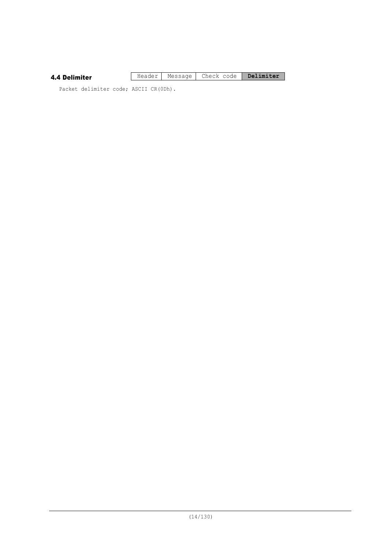| 4.4 Delimiter |  | Header   Message   Check code   Delimiter |  |
|---------------|--|-------------------------------------------|--|
|               |  |                                           |  |

Packet delimiter code; ASCII CR(0Dh).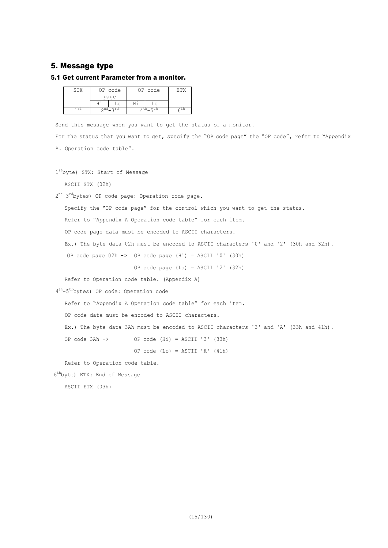### 5. Message type

### 5.1 Get current Parameter from a monitor.

| omv  | ΟP        | code     |            | code            | ᇭᆏ |
|------|-----------|----------|------------|-----------------|----|
|      |           | page     |            |                 |    |
|      | u i       | $\Omega$ |            |                 |    |
| 1 St | $\cap$ nd | ∽rd      | <b>LII</b> | $6^{\text{tn}}$ |    |

Send this message when you want to get the status of a monitor.

For the status that you want to get, specify the "OP code page" the "OP code", refer to "Appendix A. Operation code table".

```
1
st
byte) STX: Start of Message
```
ASCII STX (02h)

2<sup>nd</sup>-3<sup>rd</sup>bytes) OP code page: Operation code page.

Specify the "OP code page" for the control which you want to get the status.

Refer to "Appendix A Operation code table" for each item.

OP code page data must be encoded to ASCII characters.

Ex.) The byte data 02h must be encoded to ASCII characters '0' and '2' (30h and 32h).

```
OP code page 02h -> OP code page (Hi) = ASCII '0' (30h)
```
OP code page (Lo) = ASCII '2' (32h)

Refer to Operation code table. (Appendix A)

4<sup>th</sup>-5<sup>th</sup>bytes) OP code: Operation code

Refer to "Appendix A Operation code table" for each item.

OP code data must be encoded to ASCII characters.

Ex.) The byte data 3Ah must be encoded to ASCII characters '3' and 'A' (33h and 41h).

OP code 3Ah -> OP code (Hi) = ASCII '3' (33h)

OP code  $(L_0)$  = ASCII 'A'  $(41h)$ 

Refer to Operation code table.

6 th byte) ETX: End of Message

ASCII ETX (03h)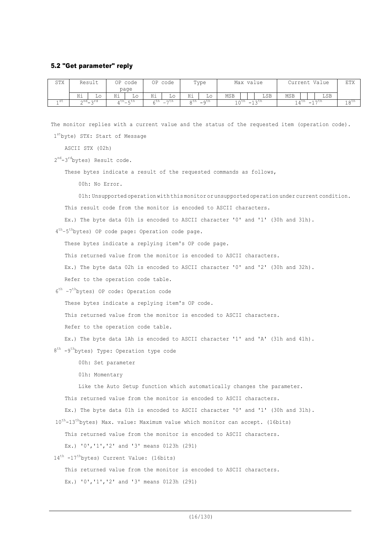#### 5.2 "Get parameter" reply

| STX       |    | Result                    | ΟP   | code               | ΟP      | code                                         |    | Type               |                                                     |  | Max value |                                                       |  | Current Value | ETX                   |
|-----------|----|---------------------------|------|--------------------|---------|----------------------------------------------|----|--------------------|-----------------------------------------------------|--|-----------|-------------------------------------------------------|--|---------------|-----------------------|
|           |    |                           |      | page               |         |                                              |    |                    |                                                     |  |           |                                                       |  |               |                       |
|           | Ηi | $\sim$                    | Ηi   | Lο                 | Ηi      | ച∪                                           | Ηi | Lο                 | MSB                                                 |  | LSB       | MSB                                                   |  | LSB           |                       |
| 1 St<br>÷ |    | $n^{nd}$ $n^{rd}$<br>$ -$ | , th | $-5$ <sup>th</sup> | ، 11 با | oth<br>$\neg$ Un<br>$\overline{\phantom{0}}$ |    | $-9$ <sup>th</sup> | $\sim$ cn<br>∣∧ ∪<br>$\overline{\phantom{0}}$<br>∸∸ |  |           | $4.7$ Un<br>Д<br>$\overline{\phantom{0}}$<br><b>.</b> |  |               | 0 <sub>rm</sub><br>∸∪ |

The monitor replies with a current value and the status of the requested item (operation code). 1stbyte) STX: Start of Message

ASCII STX (02h)

2<sup>nd</sup>-3<sup>rd</sup>bytes) Result code.

These bytes indicate a result of the requested commands as follows,

00h: No Error.

01h: Unsupported operation with this monitor or unsupported operation under current condition.

This result code from the monitor is encoded to ASCII characters.

Ex.) The byte data 01h is encoded to ASCII character '0' and '1' (30h and 31h).

4<sup>th</sup>-5<sup>th</sup>bytes) OP code page: Operation code page.

These bytes indicate a replying item's OP code page.

This returned value from the monitor is encoded to ASCII characters.

Ex.) The byte data 02h is encoded to ASCII character '0' and '2' (30h and 32h).

Refer to the operation code table.

6 th –7 th bytes) OP code: Operation code

These bytes indicate a replying item's OP code.

This returned value from the monitor is encoded to ASCII characters.

Refer to the operation code table.

Ex.) The byte data 1Ah is encoded to ASCII character '1' and 'A' (31h and 41h).

8<sup>th</sup> -9<sup>th</sup>bytes) Type: Operation type code

00h: Set parameter

01h: Momentary

Like the Auto Setup function which automatically changes the parameter.

This returned value from the monitor is encoded to ASCII characters.

Ex.) The byte data 01h is encoded to ASCII character '0' and '1' (30h and 31h).

10<sup>th</sup>-13<sup>th</sup>bytes) Max. value: Maximum value which monitor can accept. (16bits)

This returned value from the monitor is encoded to ASCII characters.

Ex.) '0','1','2' and '3' means 0123h (291)

14<sup>th</sup> -17<sup>th</sup>bytes) Current Value: (16bits)

This returned value from the monitor is encoded to ASCII characters.

Ex.) '0','1','2' and '3' means 0123h (291)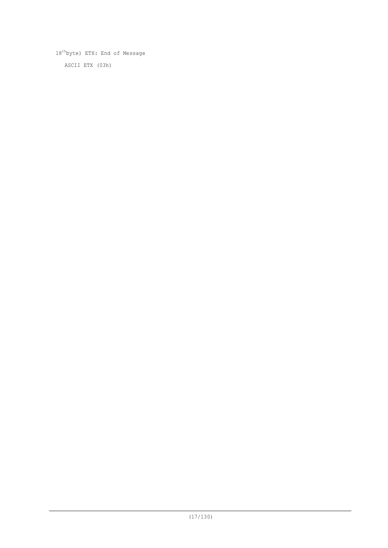18<sup>th</sup>byte) ETX: End of Message ASCII ETX (03h)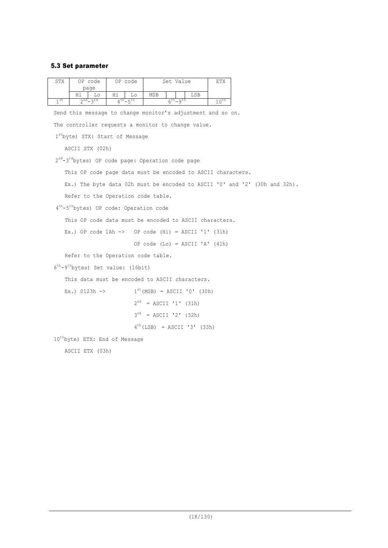### 5.3 Set parameter

| STX             | OP code<br>page                                                            | OP code           | Set Value                        |     | ETX              |  |  |
|-----------------|----------------------------------------------------------------------------|-------------------|----------------------------------|-----|------------------|--|--|
|                 | Ηi<br>Lo                                                                   | Hi<br>Lο          | MSB                              | LSB |                  |  |  |
| 1 <sup>st</sup> | $2^{nd} - 3^{rd}$                                                          | $4^{th} - 5^{th}$ | $6^{th} - 9^{th}$                |     | $10^{\text{th}}$ |  |  |
|                 | Send this message to change monitor's adjustment and so on.                |                   |                                  |     |                  |  |  |
|                 | The controller requests a monitor to change value.                         |                   |                                  |     |                  |  |  |
|                 | 1stbyte) STX: Start of Message                                             |                   |                                  |     |                  |  |  |
|                 | ASCII STX (02h)                                                            |                   |                                  |     |                  |  |  |
|                 | $2^{nd}-3^{rd}$ bytes) OP code page: Operation code page                   |                   |                                  |     |                  |  |  |
|                 | This OP code page data must be encoded to ASCII characters.                |                   |                                  |     |                  |  |  |
|                 | Ex.) The byte data 02h must be encoded to ASCII '0' and '2' (30h and 32h). |                   |                                  |     |                  |  |  |
|                 | Refer to the Operation code table.                                         |                   |                                  |     |                  |  |  |
|                 | 4 <sup>th</sup> -5 <sup>th</sup> bytes) OP code: Operation code            |                   |                                  |     |                  |  |  |
|                 | This OP code data must be encoded to ASCII characters.                     |                   |                                  |     |                  |  |  |
|                 | Ex.) OP code $1Ah \rightarrow$ OP code (Hi) = ASCII '1' (31h)              |                   |                                  |     |                  |  |  |
|                 |                                                                            |                   | OP code $(Lo) = ASCII 'A' (41h)$ |     |                  |  |  |
|                 | Refer to the Operation code table.                                         |                   |                                  |     |                  |  |  |
|                 | $6^{th} - 9^{th}$ bytes) Set value: (16bit)                                |                   |                                  |     |                  |  |  |
|                 | This data must be encoded to ASCII characters.                             |                   |                                  |     |                  |  |  |
|                 | $Ex.$ ) 0123h ->                                                           |                   | $1^{st}$ (MSB) = ASCII '0' (30h) |     |                  |  |  |
|                 |                                                                            |                   | $2^{nd}$ = ASCII '1' (31h)       |     |                  |  |  |
|                 |                                                                            |                   | $3^{rd}$ = ASCII '2' (32h)       |     |                  |  |  |
|                 |                                                                            |                   | $4^{th}$ (LSB) = ASCII '3' (33h) |     |                  |  |  |
|                 | 10 <sup>th</sup> byte) ETX: End of Message                                 |                   |                                  |     |                  |  |  |
|                 | ASCII ETX (03h)                                                            |                   |                                  |     |                  |  |  |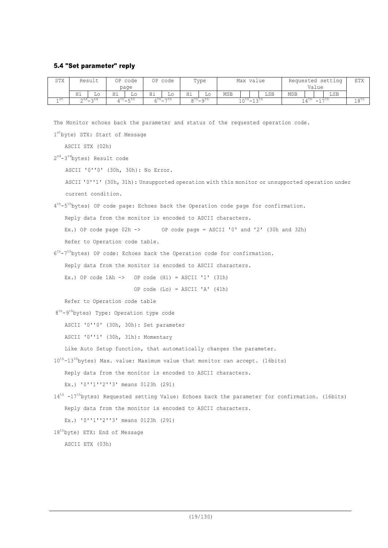#### 5.4 "Set parameter" reply

| STX  |          | Result   | OP.          | code           | ΟP | code                                 |                                                                                               | Type |            | Max value |  |     |       |  | Requested setting | ETX |
|------|----------|----------|--------------|----------------|----|--------------------------------------|-----------------------------------------------------------------------------------------------|------|------------|-----------|--|-----|-------|--|-------------------|-----|
|      |          |          |              | page           |    |                                      |                                                                                               |      |            |           |  |     | Value |  |                   |     |
|      | Ηi       | TО       | TT 4<br>11 T | ⊥∪             | Ηi | Lο                                   | Ηi                                                                                            | Lο   | <b>MSB</b> |           |  | LSB | MSB   |  | LSB               |     |
| 4 St | ∩nd<br>∼ | ∽rd<br>- | ∧ UII        | $-$ cn<br>$ -$ |    | $5$ <sup>th</sup> $-7$ <sup>th</sup> | ath<br>ດປົ<br>$\sim$ Ln<br>$\sim$ $\sim$ $\sim$ $\sim$ $\sim$<br>∣∩⊔⊔<br>-<br>-<br>∸ →<br>- - |      |            | n um      |  |     |       |  |                   |     |

The Monitor echoes back the parameter and status of the requested operation code.

1stbyte) STX: Start of Message

ASCII STX (02h)

2<sup>nd</sup>-3<sup>rd</sup>bytes) Result code

ASCII '0''0' (30h, 30h): No Error.

ASCII '0''1' (30h, 31h): Unsupported operation with this monitor or unsupported operation under current condition.

4<sup>th</sup>-5<sup>th</sup>bytes) OP code page: Echoes back the Operation code page for confirmation.

Reply data from the monitor is encoded to ASCII characters.

Ex.) OP code page 02h -> OP code page = ASCII '0' and '2' (30h and 32h)

Refer to Operation code table.

6<sup>th</sup>-7<sup>th</sup>bytes) OP code: Echoes back the Operation code for confirmation.

Reply data from the monitor is encoded to ASCII characters.

Ex.) OP code  $1Ah \rightarrow$  OP code  $(Hi) = ASCII '1' (31h)$ 

OP code  $(Lo) = ASCII 'A' (41h)$ 

Refer to Operation code table

```
8<sup>th</sup>-9<sup>th</sup>bytes) Type: Operation type code
```
ASCII '0''0' (30h, 30h): Set parameter

ASCII '0''1' (30h, 31h): Momentary

Like Auto Setup function, that automatically changes the parameter.

10<sup>th</sup>-13<sup>th</sup>bytes) Max. value: Maximum value that monitor can accept. (16bits)

Reply data from the monitor is encoded to ASCII characters.

Ex.) '0''1''2''3' means 0123h (291)

14<sup>th</sup> -17<sup>th</sup>bytes) Requested setting Value: Echoes back the parameter for confirmation. (16bits) Reply data from the monitor is encoded to ASCII characters. Ex.) '0''1''2''3' means 0123h (291)

```
18
th
byte) ETX: End of Message
```
ASCII ETX (03h)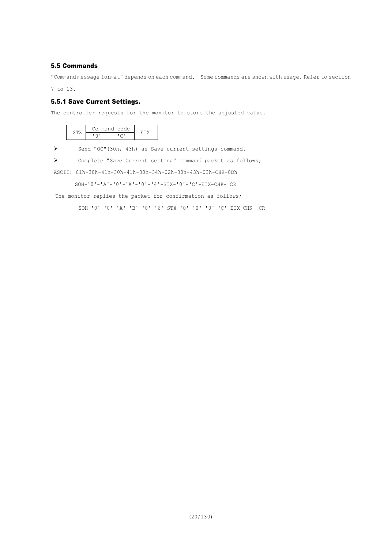### 5.5 Commands

"Command message format" depends on each command. Some commands are shown with usage. Refer to section

7 to 13.

### 5.5.1 Save Current Settings.

The controller requests for the monitor to store the adjusted value.

|  | Command code |  |
|--|--------------|--|
|  |              |  |

Ø Send "OC"(30h, 43h) as Save current settings command.

Ø Complete "Save Current setting" command packet as follows;

ASCII: 01h-30h-41h-30h-41h-30h-34h-02h-30h-43h-03h-CHK-0Dh

SOH-'0'-'A'-'0'-'A'-'0'-'4'-STX-'0'-'C'-ETX-CHK- CR

The monitor replies the packet for confirmation as follows;

SOH-'0'-'0'-'A'-'B'-'0'-'6'-STX-'0'-'0'-'0'-'C'-ETX-CHK- CR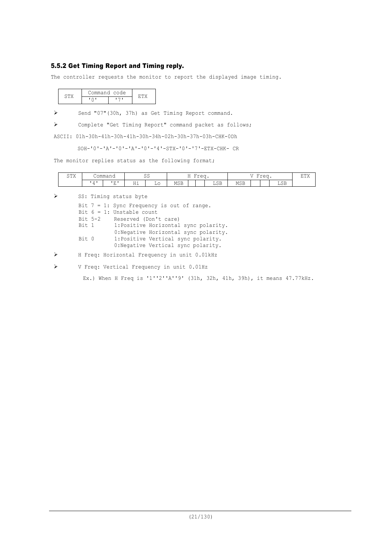### 5.5.2 Get Timing Report and Timing reply.

The controller requests the monitor to report the displayed image timing.

|  | Command code |  |  |
|--|--------------|--|--|
|  |              |  |  |

Ø Send "07"(30h, 37h) as Get Timing Report command.

Ø Complete "Get Timing Report" command packet as follows;

ASCII: 01h-30h-41h-30h-41h-30h-34h-02h-30h-37h-03h-CHK-0Dh

SOH-'0'-'A'-'0'-'A'-'0'-'4'-STX-'0'-'7'-ETX-CHK- CR

The monitor replies status as the following format;

| $C$ $m_{17}$<br>◡⊥△ |          | $\sim$ mm $\sim$ m<br>∪∪шшанч |               | $\sim$ $\sim$<br>ັບ | $\sim$ $\sim$<br>$\sim$ $\sim$<br><br><b>.</b> |  | $\overline{\phantom{a}}$<br>$\sim$ $\sim$ $\sim$<br>---- |              |                   | 京田ソ<br>--- |  |                           |  |
|---------------------|----------|-------------------------------|---------------|---------------------|------------------------------------------------|--|----------------------------------------------------------|--------------|-------------------|------------|--|---------------------------|--|
|                     | $\prime$ | $\mathbf{E}$<br>-             | $\sim$<br>--- | ച∪<br>__            | <b>MSB</b>                                     |  |                                                          | $\cap$<br>ചാ | <b>MSB</b><br>___ |            |  | $\sim$ $-$<br>ച∪∟<br>____ |  |

Ø SS: Timing status byte

|       |         | Bit $7 = 1$ : Sync Frequency is out of range. |
|-------|---------|-----------------------------------------------|
|       |         | Bit $6 = 1$ : Unstable count                  |
|       | Bit 5-2 | Reserved (Don't care)                         |
| Bit 1 |         | 1: Positive Horizontal sync polarity.         |
|       |         | 0: Negative Horizontal sync polarity.         |
| Bit 0 |         | 1: Positive Vertical sync polarity.           |
|       |         | 0: Negative Vertical sync polarity.           |
|       |         |                                               |

Ø H Freq: Horizontal Frequency in unit 0.01kHz

Ø V Freq: Vertical Frequency in unit 0.01Hz

Ex.) When H Freq is '1''2''A''9' (31h, 32h, 41h, 39h), it means 47.77kHz.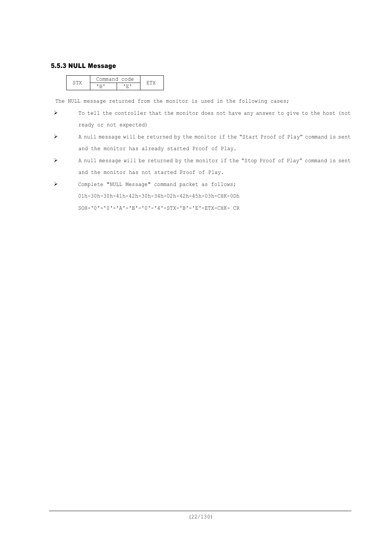#### 5.5.3 NULL Message

|  | ommand code. |  |  |
|--|--------------|--|--|
|  |              |  |  |

The NULL message returned from the monitor is used in the following cases;

- $\triangleright$  To tell the controller that the monitor does not have any answer to give to the host (not ready or not expected)
- Ø A null message will be returned by the monitor if the "Start Proof of Play" command is sent and the monitor has already started Proof of Play.
- Ø A null message will be returned by the monitor if the "Stop Proof of Play" command is sent and the monitor has not started Proof of Play.
- Ø Complete "NULL Message" command packet as follows; 01h-30h-30h-41h-42h-30h-34h-02h-42h-45h-03h-CHK-0Dh SOH-'0'-'0'-'A'-'B'-'0'-'4'-STX-'B'-'E'-ETX-CHK- CR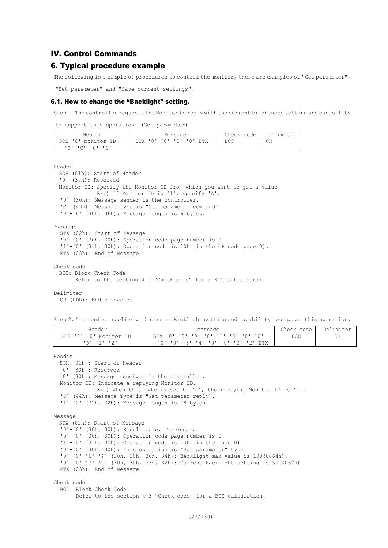### IV. Control Commands

### 6. Typical procedure example

The following is a sample of procedures to control the monitor, these are examples of "Get parameter",

"Set parameter" and "Save current settings".

#### 6.1. How to change the "Backlight" setting.

Step 1. The controller requests the Monitor to reply with the current brightness setting and capability

to support this operation. (Get parameter)

| Header                                   | Message                             | Check code | Delimiter |
|------------------------------------------|-------------------------------------|------------|-----------|
| SOH-'0'-Monitor ID-<br>- 101-101-101-161 | $STX - 101 - 101 - 111 - 101 - ETX$ | BCC        | СR        |

Header

```
SOH (01h): Start of Header
 '0' (30h): Reserved
 Monitor ID: Specify the Monitor ID from which you want to get a value.
             Ex.) If Monitor ID is '1', specify 'A'.
 '0' (30h): Message sender is the controller.
 'C' (43h): Message type is "Get parameter command".
 '0'-'6' (30h, 36h): Message length is 6 bytes.
Message
 STX (02h): Start of Message
 '0'-'0' (30h, 30h): Operation code page number is 0.
 '1'-'0' (31h, 30h): Operation code is 10h (in the OP code page 0).
 ETX (03h): End of Message
```

```
Check code
 BCC: Block Check Code
       Refer to the section 4.3 "Check code" for a BCC calculation.
```
Delimiter

CR (0Dh): End of packet

Step 2. The monitor replies with current Backlight setting and capability to support this operation.

| Header                  | Message                               | Check code   Delimiter |  |
|-------------------------|---------------------------------------|------------------------|--|
| SOH-'0'-'0'-Monitor ID- |                                       | <b>BCC</b>             |  |
| - ילי-יוי-יחי           | - '0'-'0'-'6'-'4'-'0'-'0'-'3'-'2'-ETX |                        |  |

Header

```
SOH (01h): Start of Header
  '0' (30h): Reserved
  '0' (30h): Message receiver is the controller.
  Monitor ID: Indicate a replying Monitor ID.
             Ex.) When this byte is set to 'A', the replying Monitor ID is '1'.
  'D' (44h): Message Type is "Get parameter reply".
  '1'-'2' (31h, 32h): Message length is 18 bytes.
Message
 STX (02h): Start of Message
  '0'-'0' (30h, 30h): Result code. No error.
  '0'-'0' (30h, 30h): Operation code page number is 0.
  '1'-'0' (31h, 30h): Operation code is 10h (in the page 0).
  '0'-'0' (30h, 30h): This operation is "Set parameter" type.
  '0'-'0'-'6'-'4' (30h, 30h, 36h, 34h): Backlight max value is 100(0064h).
  '0'-'0'-'3'-'2' (30h, 30h, 33h, 32h): Current Backlight setting is 50(0032h) .
  ETX (03h): End of Message
Check code
  BCC: Block Check Code
```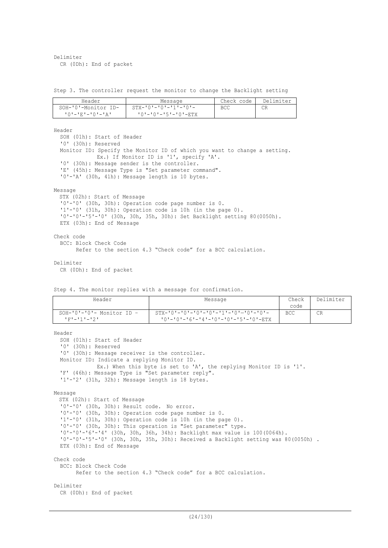Delimiter CR (0Dh): End of packet

Step 3. The controller request the monitor to change the Backlight setting

| Header              | Message                         | Check code | Delimiter |
|---------------------|---------------------------------|------------|-----------|
| SOH-'0'-Monitor ID- | $STX - 101 - 101 - 111 - 101 -$ | BCC        |           |
| +0+-+E+-+0+-+A+     |                                 |            |           |

Header

SOH (01h): Start of Header '0' (30h): Reserved Monitor ID: Specify the Monitor ID of which you want to change a setting. Ex.) If Monitor ID is '1', specify 'A'. '0' (30h): Message sender is the controller. 'E' (45h): Message Type is "Set parameter command". '0'-'A' (30h, 41h): Message length is 10 bytes.

Message

STX (02h): Start of Message '0'-'0' (30h, 30h): Operation code page number is 0. '1'-'0' (31h, 30h): Operation code is 10h (in the page 0). '0'-'0'-'5'-'0' (30h, 30h, 35h, 30h): Set Backlight setting 80(0050h). ETX (03h): End of Message

Check code

```
BCC: Block Check Code
      Refer to the section 4.3 "Check code" for a BCC calculation.
```
Delimiter

CR (0Dh): End of packet

Step 4. The monitor replies with a message for confirmation.

| Header                                     | Message                                                                                         | Check<br>code | Delimiter |
|--------------------------------------------|-------------------------------------------------------------------------------------------------|---------------|-----------|
| $SOH-101-101-$ Monitor ID -<br>コアナニナチナニナクナ | $STX-101-101-101-101-111-101-101-101-$<br>$10! - 10! - 16! - 14! - 10! - 10! - 15! - 10! - ETX$ | <b>BCC</b>    | CR        |

```
Header
  SOH (01h): Start of Header
  '0' (30h): Reserved
  '0' (30h): Message receiver is the controller.
 Monitor ID: Indicate a replying Monitor ID.
             Ex.) When this byte is set to 'A', the replying Monitor ID is '1'.
  'F' (46h): Message Type is "Set parameter reply".
  '1'-'2' (31h, 32h): Message length is 18 bytes.
Message
 STX (02h): Start of Message
  '0'-'0' (30h, 30h): Result code. No error.
  '0'-'0' (30h, 30h): Operation code page number is 0.
  '1'-'0' (31h, 30h): Operation code is 10h (in the page 0).
  '0'-'0' (30h, 30h): This operation is "Set parameter" type.
  '0'-'0'-'6'-'4' (30h, 30h, 36h, 34h): Backlight max value is 100(0064h).
  '0'-'0'-'5'-'0' (30h, 30h, 35h, 30h): Received a Backlight setting was 80(0050h) .
  ETX (03h): End of Message
Check code
  BCC: Block Check Code
        Refer to the section 4.3 "Check code" for a BCC calculation.
Delimiter
  CR (0Dh): End of packet
```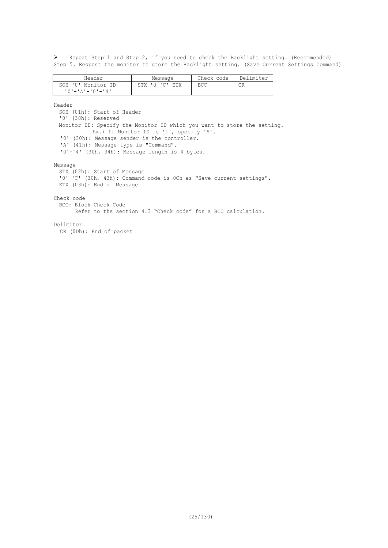Ø Repeat Step 1 and Step 2, if you need to check the Backlight setting. (Recommended) Step 5. Request the monitor to store the Backlight setting. (Save Current Settings Command)

| Header              | Message                | Check code | Delimiter |
|---------------------|------------------------|------------|-----------|
| SOH-'0'-Monitor ID- | $STX - '0 - 'C' - ETX$ | <b>BCC</b> |           |
| 10'-'A'-'0'-'4'     |                        |            |           |

Header

SOH (01h): Start of Header '0' (30h): Reserved Monitor ID: Specify the Monitor ID which you want to store the setting. Ex.) If Monitor ID is '1', specify 'A'. '0' (30h): Message sender is the controller. 'A' (41h): Message type is "Command". '0'-'4' (30h, 34h): Message length is 4 bytes. Message STX (02h): Start of Message '0'-'C' (30h, 43h): Command code is 0Ch as "Save current settings". ETX (03h): End of Message Check code BCC: Block Check Code Refer to the section 4.3 "Check code" for a BCC calculation. Delimiter CR (0Dh): End of packet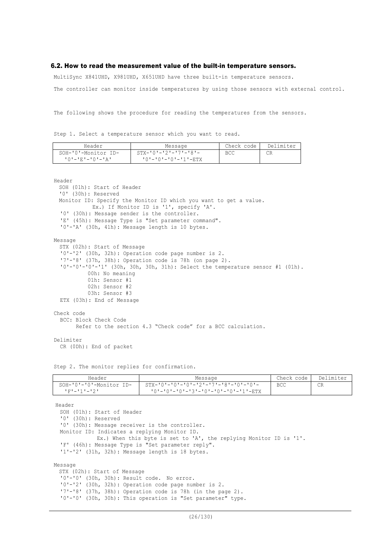#### 6.2. How to read the measurement value of the built-in temperature sensors.

MultiSync X841UHD, X981UHD, X651UHD have three built-in temperature sensors.

The controller can monitor inside temperatures by using those sensors with external control.

The following shows the procedure for reading the temperatures from the sensors.

Step 1. Select a temperature sensor which you want to read.

| Header              | Message                         | Check code | Delimiter |
|---------------------|---------------------------------|------------|-----------|
| SOH-'0'-Monitor ID- | $STX - 101 - 121 - 171 - 181 -$ | BCC        |           |
|                     | '0'-'0'-'0'-'1'-ETX             |            |           |

Header

```
SOH (01h): Start of Header
  '0' (30h): Reserved
 Monitor ID: Specify the Monitor ID which you want to get a value.
            Ex.) If Monitor ID is '1', specify 'A'.
  '0' (30h): Message sender is the controller.
  'E' (45h): Message Type is "Set parameter command".
  '0'-'A' (30h, 41h): Message length is 10 bytes.
Message
 STX (02h): Start of Message
  '0'-'2' (30h, 32h): Operation code page number is 2.
  '7'-'8' (37h, 38h): Operation code is 78h (on page 2).
  '0'-'0'-'0'-'1' (30h, 30h, 30h, 31h): Select the temperature sensor #1 (01h).
           00h: No meaning
           01h: Sensor #1
           02h: Sensor #2
          03h: Sensor #3
  ETX (03h): End of Message
Check code
  BCC: Block Check Code
        Refer to the section 4.3 "Check code" for a BCC calculation.
Delimiter
```
CR (0Dh): End of packet

Step 2. The monitor replies for confirmation.

| Header                         | Message                                | Check code | Delimiter |
|--------------------------------|----------------------------------------|------------|-----------|
| $SOH - '0' - '0'$ -Monitor ID- | $STX-101-101-101-121-171-181-101-101-$ | <b>BCC</b> | CR        |
| ユアナニュチュニュクエー                   | '0'-'0'-'0'-'3'-'0'-'0'-'0'-'1'-ETX    |            |           |

Header SOH (01h): Start of Header '0' (30h): Reserved '0' (30h): Message receiver is the controller. Monitor ID: Indicates a replying Monitor ID. Ex.) When this byte is set to 'A', the replying Monitor ID is '1'. 'F' (46h): Message Type is "Set parameter reply". '1'-'2' (31h, 32h): Message length is 18 bytes. Message STX (02h): Start of Message '0'-'0' (30h, 30h): Result code. No error. '0'-'2' (30h, 32h): Operation code page number is 2. '7'-'8' (37h, 38h): Operation code is 78h (in the page 2).

'0'-'0' (30h, 30h): This operation is "Set parameter" type.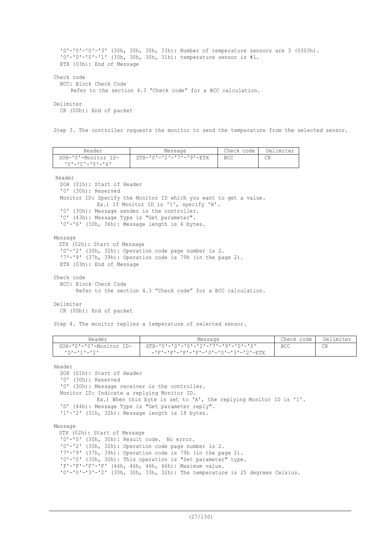```
'0'-'0'-'0'-'3' (30h, 30h, 30h, 33h): Number of temperature sensors are 3 (0003h).
  '0'-'0'-'0'-'1' (30h, 30h, 30h, 31h): temperature sensor is #1.
  ETX (03h): End of Message
Check code
  BCC: Block Check Code
      Refer to the section 4.3 "Check code" for a BCC calculation.
Delimiter
  CR (0Dh): End of packet
```
Step 3. The controller requests the monitor to send the temperature from the selected sensor.

| Header                  | Message                             | Check code | Delimiter |
|-------------------------|-------------------------------------|------------|-----------|
| SOH-'0'-Monitor ID-     | $STX - 101 - 121 - 171 - 191 - RTX$ | BCC        | СR        |
| $101 - 101 - 101 - 161$ |                                     |            |           |

Header

SOH (01h): Start of Header '0' (30h): Reserved Monitor ID: Specify the Monitor ID which you want to get a value. Ex.) If Monitor ID is '1', specify 'A'. '0' (30h): Message sender is the controller. 'C' (43h): Message Type is "Get parameter". '0'-'6' (30h, 36h): Message length is 6 bytes.

Message

STX (02h): Start of Message '0'-'2' (30h, 32h): Operation code page number is 2. '7'-'9' (37h, 39h): Operation code is 79h (in the page 2). ETX (03h): End of Message

Check code BCC: Block Check Code Refer to the section 4.3 "Check code" for a BCC calculation.

#### Delimiter

CR (0Dh): End of packet

Step 4. The monitor replies a temperature of selected sensor.

| Header                  | Message                                    | Check code | Delimiter |
|-------------------------|--------------------------------------------|------------|-----------|
| SOH-'0'-'0'-Monitor ID- |                                            | BCC        |           |
| יי-יוי-יחי              | - -'F'-'F'-'F'-'F'-'F'-'0'-'0'-'3'-'2'-ETX |            |           |

Header

SOH (01h): Start of Header '0' (30h): Reserved '0' (30h): Message receiver is the controller. Monitor ID: Indicate a replying Monitor ID. Ex.) When this byte is set to 'A', the replying Monitor ID is '1'. 'D' (44h): Message Type is "Get parameter reply". '1'-'2' (31h, 32h): Message length is 18 bytes. Message STX (02h): Start of Message

'0'-'0' (30h, 30h): Result code. No error. '0'-'2' (30h, 32h): Operation code page number is 2. '7'-'9' (37h, 39h): Operation code is 79h (in the page 2). '0'-'0' (30h, 30h): This operation is "Set parameter" type. 'F'-'F'-'F'-'F' (46h, 46h, 46h, 46h): Maximum value. '0'-'0'-'3'-'2' (30h, 30h, 33h, 32h): The temperature is 25 degrees Celsius.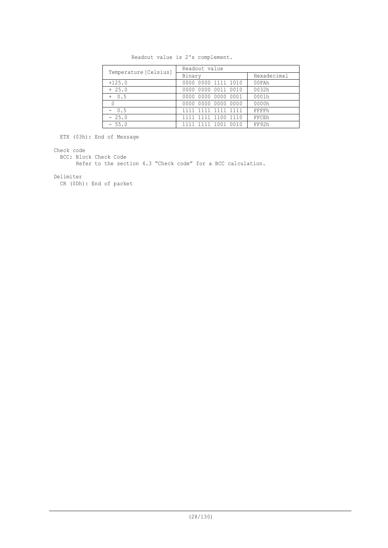| Temperature [Celsius] | Readout value       |             |  |  |  |  |
|-----------------------|---------------------|-------------|--|--|--|--|
|                       | Binary              | Hexadecimal |  |  |  |  |
| $+125.0$              | 0000 0000 1111 1010 | 00FAh       |  |  |  |  |
| $+25.0$               | 0000 0000 0011 0010 | 0032h       |  |  |  |  |
| $+ 0.5$               | 0000 0000 0000 0001 | 0001h       |  |  |  |  |
| 0                     | 0000 0000 0000 0000 | 0000h       |  |  |  |  |
| $-0.5$                | 1111 1111 1111 1111 | FFFFh       |  |  |  |  |
| $-25.0$               | 1111 1111 1100 1110 | FFCEh       |  |  |  |  |
| $-55.0$               | 1111 1111 1001 0010 | FF92h       |  |  |  |  |

Readout value is 2's complement.

ETX (03h): End of Message

Check code

BCC: Block Check Code

Refer to the section 4.3 "Check code" for a BCC calculation.

Delimiter

CR (0Dh): End of packet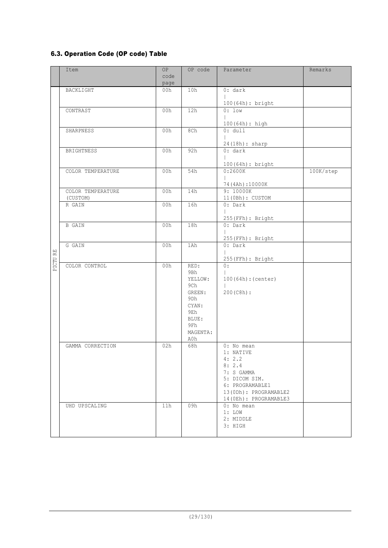# 6.3. Operation Code (OP code) Table

|                           | Item                              | 0P<br>code<br>page | OP code                                                                                                              | Parameter                                                                                                                                                  | Remarks   |
|---------------------------|-----------------------------------|--------------------|----------------------------------------------------------------------------------------------------------------------|------------------------------------------------------------------------------------------------------------------------------------------------------------|-----------|
|                           | BACKLIGHT                         | 00h                | 10h                                                                                                                  | 0: dark                                                                                                                                                    |           |
|                           | CONTRAST                          | 00h                | 12h                                                                                                                  | 100 (64h) : bright<br>$0:1$ ow                                                                                                                             |           |
|                           |                                   |                    |                                                                                                                      | 100 (64h) : high                                                                                                                                           |           |
|                           | SHARPNESS                         | 00h                | 8Ch                                                                                                                  | 0: dull<br>24(18h): sharp                                                                                                                                  |           |
|                           | BRIGHTNESS                        | 00h                | 92h                                                                                                                  | 0: dark                                                                                                                                                    |           |
|                           | COLOR TEMPERATURE                 | 00h                | 54h                                                                                                                  | 100(64h): bright<br>0:2600K                                                                                                                                | 100K/step |
|                           |                                   |                    |                                                                                                                      | 74(4Ah):10000K                                                                                                                                             |           |
|                           | COLOR TEMPERATURE<br>(CUSTOM)     | 00h                | 14h                                                                                                                  | 9: 10000K<br>11(0Bh): CUSTOM                                                                                                                               |           |
|                           | R GAIN                            | 00h                | 16h                                                                                                                  | $0:$ Dark                                                                                                                                                  |           |
|                           |                                   |                    |                                                                                                                      | 255 (FFh) : Bright                                                                                                                                         |           |
|                           | <b>B</b> GAIN                     | 00h                | 18h                                                                                                                  | $0:$ Dark                                                                                                                                                  |           |
|                           | G GAIN                            | 00h                | 1Ah                                                                                                                  | 255 (FFh) : Bright<br>$0:$ Dark                                                                                                                            |           |
| $\mathbb{R}^{\mathbb{H}}$ |                                   |                    |                                                                                                                      | 255 (FFh) : Bright                                                                                                                                         |           |
| PICTU                     | COLOR CONTROL<br>GAMMA CORRECTION | 00h<br>02h         | RED:<br>9Bh<br>YELLOW:<br>9Ch<br>GREEN:<br>9 <sub>Dh</sub><br>CYAN:<br>9Eh<br>BLUE:<br>9Fh<br>MAGENTA:<br>A0h<br>68h | 0:<br>100(64h):(center)<br>200(C8h):<br>0: No mean<br>1: NATIVE                                                                                            |           |
|                           | UHD UPSCALING                     | 11h                | 09h                                                                                                                  | 4:2.2<br>8:2.4<br>7: S GAMMA<br>5: DICOM SIM.<br>6: PROGRAMABLE1<br>13(ODh): PROGRAMABLE2<br>14 (OEh): PROGRAMABLE3<br>0: No mean<br>$1:$ LOW<br>2: MIDDLE |           |
|                           |                                   |                    |                                                                                                                      | 3: HIGH                                                                                                                                                    |           |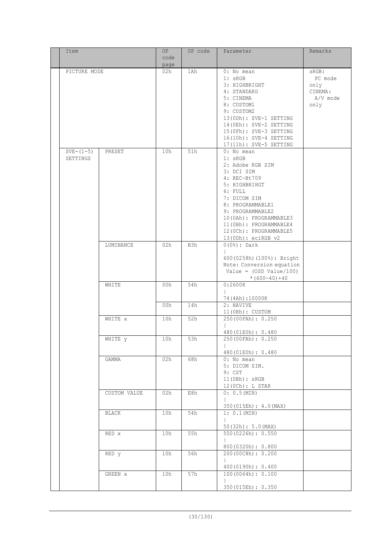| Item          |              | OP          | OP code | Parameter                                        | Remarks  |
|---------------|--------------|-------------|---------|--------------------------------------------------|----------|
|               |              | code        |         |                                                  |          |
| PICTURE MODE  |              | page<br>02h | 1Ah     | $0:$ No mean                                     | sRGB:    |
|               |              |             |         | 1: sRGB                                          | PC mode  |
|               |              |             |         | 3: HIGHBRIGHT                                    | only     |
|               |              |             |         | 4: STANDARD                                      | CINEMA:  |
|               |              |             |         | 5: CINEMA                                        | A/V mode |
|               |              |             |         | 8: CUSTOM1                                       | only     |
|               |              |             |         | 9: CUSTOM2                                       |          |
|               |              |             |         | 13(ODh): SVE-1 SETTING                           |          |
|               |              |             |         | 14(OEh): SVE-2 SETTING                           |          |
|               |              |             |         | 15(OFh): SVE-3 SETTING<br>16(10h): SVE-4 SETTING |          |
|               |              |             |         | 17(11h): SVE-5 SETTING                           |          |
| $SVE - (1-5)$ | PRESET       | 10h         | 51h     | 0: No mean                                       |          |
| SETTINGS      |              |             |         | 1: sRGB                                          |          |
|               |              |             |         | 2: Adobe RGB SIM                                 |          |
|               |              |             |         | 3: DCI SIM                                       |          |
|               |              |             |         | 4: REC-Bt709                                     |          |
|               |              |             |         | 5: HIGHBRIHGT                                    |          |
|               |              |             |         | 6: FULL<br>7: DICOM SIM                          |          |
|               |              |             |         | 8: PROGRAMMABLE1                                 |          |
|               |              |             |         | 9: PROGRAMMABLE2                                 |          |
|               |              |             |         | 10(OAh): PROGRAMMABLE3                           |          |
|               |              |             |         | 11 (OBh): PROGRAMMABLE4                          |          |
|               |              |             |         | 12 (OCh) : PROGRAMMABLE5                         |          |
|               |              |             |         | $13(0Dh):$ eciRGB $v2$                           |          |
|               | LUMINANCE    | 02h         | B3h     | $0(0*)$ : Dark                                   |          |
|               |              |             |         | 600 (0258h) (100%): Bright                       |          |
|               |              |             |         | Note: Conversion equation                        |          |
|               |              |             |         | Value = $(OSD Value / 100)$                      |          |
|               |              |             |         | * $(600 - 40) + 40$                              |          |
|               | WHITE        | 00h         | 54h     | 0:2600K                                          |          |
|               |              |             |         |                                                  |          |
|               |              | 00h         | 14h     | 74 (4Ah) : 10000K<br>2: NAVIVE                   |          |
|               |              |             |         | $11(0Bh):$ CUSTOM                                |          |
|               | WHITE x      | 10h         | 52h     | 250 (00FAh): 0.250                               |          |
|               |              |             |         |                                                  |          |
|               | WHITE y      | 10h         | 53h     | 480 (01E0h) : 0.480<br>250 (00FAh): 0.250        |          |
|               |              |             |         |                                                  |          |
|               |              |             |         | 480 (01E0h) : 0.480                              |          |
|               | GAMMA        | 02h         | 68h     | 0: No mean                                       |          |
|               |              |             |         | 5: DICOM SIM.                                    |          |
|               |              |             |         | 9: CST<br>11(0Bh): sRGB                          |          |
|               |              |             |         | 12(0Ch): L STAR                                  |          |
|               | CUSTOM VALUE | 02h         | E8h     | 0: 0.5 (MIN)                                     |          |
|               |              |             |         |                                                  |          |
|               |              |             |         | 350 (015Eh): 4.0 (MAX)                           |          |
|               | BLACK        | 10h         | 54h     | 1: 0.1 (MIN)                                     |          |
|               |              |             |         | 50(32h): 5.0(MAX)                                |          |
|               | RED x        | 10h         | 55h     | 550(0226h): 0.550                                |          |
|               |              |             |         |                                                  |          |
|               |              |             |         | 800 (0320h): 0.800                               |          |
|               | RED y        | 10h         | 56h     | 200 (00C8h): 0.200                               |          |
|               |              |             |         | 400(0190h): 0.400                                |          |
|               | GREEN X      | 10h         | 57h     | 100(0064h): 0.100                                |          |
|               |              |             |         |                                                  |          |
|               |              |             |         | 350 (015Eh) : 0.350                              |          |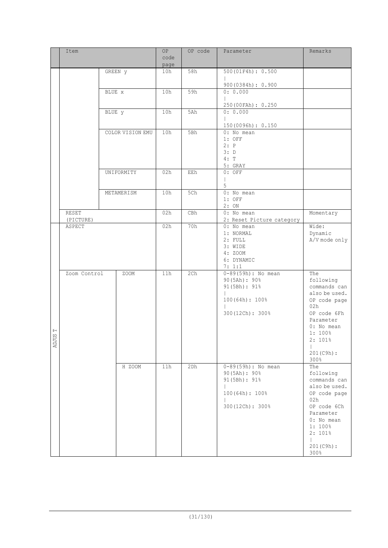|                            | Item               |        |                  | OP<br>code<br>page | OP code | Parameter                               | Remarks                       |
|----------------------------|--------------------|--------|------------------|--------------------|---------|-----------------------------------------|-------------------------------|
|                            |                    |        | GREEN y          | 10h                | 58h     | 500 (01F4h) : 0.500                     |                               |
|                            |                    |        |                  |                    |         | 900(0384h): 0.900                       |                               |
|                            |                    | BLUE x |                  | 10h                | 59h     | 0: 0.000                                |                               |
|                            |                    |        |                  |                    |         |                                         |                               |
|                            |                    | BLUE y |                  | 10h                | 5Ah     | 250 (00FAh): 0.250<br>0: 0.000          |                               |
|                            |                    |        |                  |                    |         |                                         |                               |
|                            |                    |        | COLOR VISION EMU | 10h                | 5Bh     | 150(0096h): 0.150<br>0: No mean         |                               |
|                            |                    |        |                  |                    |         | $1:$ OFF                                |                               |
|                            |                    |        |                  |                    |         | 2: P<br>3: D                            |                               |
|                            |                    |        |                  |                    |         | 4: T                                    |                               |
|                            |                    |        | UNIFORMITY       | 02h                | EEh     | 5: GRAY<br>$0:$ OFF                     |                               |
|                            |                    |        |                  |                    |         |                                         |                               |
|                            |                    |        |                  |                    |         | 5                                       |                               |
|                            |                    |        | METAMERISM       | 10h                | 5Ch     | 0: No mean<br>$1:$ OFF                  |                               |
|                            |                    |        |                  |                    |         | 2:ON                                    |                               |
|                            | RESET<br>(PICTURE) |        |                  | 02h                | CBh     | 0: No mean<br>2: Reset Picture category | Momentary                     |
|                            | ASPECT             |        |                  | 02h                | 70h     | 0: No mean                              | Wide:                         |
|                            |                    |        |                  |                    |         | 1: NORMAL<br>$2:$ FULL                  | Dynamic<br>A/V mode only      |
|                            |                    |        |                  |                    |         | 3: WIDE                                 |                               |
|                            |                    |        |                  |                    |         | 4: ZOOM                                 |                               |
|                            |                    |        |                  |                    |         | 6: DYNAMIC<br>7: 1:1                    |                               |
|                            | Zoom Control       |        | ZOOM             | 11h                | 2ch     | $0-89(59h)$ : No mean                   | The                           |
|                            |                    |        |                  |                    |         | 90(5Ah): 90%<br>91 (5Bh) : 91%          | following<br>commands can     |
|                            |                    |        |                  |                    |         |                                         | also be used.                 |
|                            |                    |        |                  |                    |         | 100(64h): 100%                          | OP code page<br>02h           |
|                            |                    |        |                  |                    |         | 300 (12Ch): 300%                        | OP code 6Fh                   |
|                            |                    |        |                  |                    |         |                                         | Parameter                     |
| $\mathrel{\boxdot}$<br>ŠΩ. |                    |        |                  |                    |         |                                         | $0:$ No mean<br>1:100%        |
| <b>TLCK</b>                |                    |        |                  |                    |         |                                         | 2:101%                        |
|                            |                    |        |                  |                    |         |                                         | $201(C9h)$ :                  |
|                            |                    |        |                  |                    |         |                                         | 300%                          |
|                            |                    |        | H ZOOM           | 11h                | 2Dh     | $0-89(59h)$ : No mean<br>90(5Ah): 90%   | The<br>following              |
|                            |                    |        |                  |                    |         | 91 (5Bh) : 91%                          | commands can                  |
|                            |                    |        |                  |                    |         | 100(64h): 100%                          | also be used.<br>OP code page |
|                            |                    |        |                  |                    |         |                                         | 02h                           |
|                            |                    |        |                  |                    |         | 300 (12Ch) : 300%                       | OP code 6Ch                   |
|                            |                    |        |                  |                    |         |                                         | Parameter<br>0: No mean       |
|                            |                    |        |                  |                    |         |                                         | 1:100%                        |
|                            |                    |        |                  |                    |         |                                         | 2:101%<br>$\overline{1}$      |
|                            |                    |        |                  |                    |         |                                         | $201(C9h)$ :<br>300%          |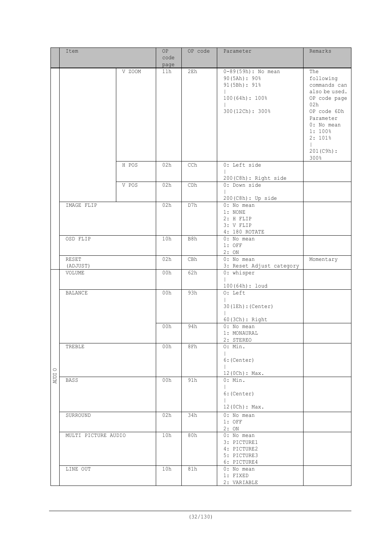|        | Item                |        | 0P   | OP code | Parameter                              | Remarks            |
|--------|---------------------|--------|------|---------|----------------------------------------|--------------------|
|        |                     |        | code |         |                                        |                    |
|        |                     |        | page |         |                                        |                    |
|        |                     | V ZOOM | 11h  | 2Eh     | $0 - 89(59h)$ : No mean                | The                |
|        |                     |        |      |         | 90(5Ah): 90%                           | following          |
|        |                     |        |      |         | 91 (5Bh) : 91%                         | commands can       |
|        |                     |        |      |         |                                        | also be used.      |
|        |                     |        |      |         | 100(64h): 100%                         | OP code page       |
|        |                     |        |      |         |                                        | 02h<br>OP code 6Dh |
|        |                     |        |      |         | 300 (12Ch) : 300%                      | Parameter          |
|        |                     |        |      |         |                                        | 0: No mean         |
|        |                     |        |      |         |                                        | 1:100%             |
|        |                     |        |      |         |                                        | 2:101%             |
|        |                     |        |      |         |                                        | $\mathbf{L}$       |
|        |                     |        |      |         |                                        | 201(C9h):          |
|        |                     |        |      |         |                                        | 300%               |
|        |                     | H POS  | 02h  | CCh     | 0: Left side                           |                    |
|        |                     |        |      |         |                                        |                    |
|        |                     | V POS  | 02h  | CDh     | 200 (C8h) : Right side<br>0: Down side |                    |
|        |                     |        |      |         |                                        |                    |
|        |                     |        |      |         | 200 (C8h) : Up side                    |                    |
|        | IMAGE FLIP          |        | 02h  | D7h     | 0: No mean                             |                    |
|        |                     |        |      |         | 1: NONE                                |                    |
|        |                     |        |      |         | 2: H FLIP                              |                    |
|        |                     |        |      |         | 3: V FLIP                              |                    |
|        |                     |        |      |         | 4: 180 ROTATE                          |                    |
|        | OSD FLIP            |        | 10h  | B8h     | 0: No mean<br>$1:$ OFF                 |                    |
|        |                     |        |      |         | 2:ON                                   |                    |
|        | RESET               |        | 02h  | CBh     | 0: No mean                             | Momentary          |
|        | (ADJUST)            |        |      |         | 3: Reset Adjust category               |                    |
|        | VOLUME              |        | 00h  | 62h     | 0: whisper                             |                    |
|        |                     |        |      |         |                                        |                    |
|        | <b>BALANCE</b>      |        | 00h  | 93h     | 100 (64h) : loud<br>O: Left            |                    |
|        |                     |        |      |         |                                        |                    |
|        |                     |        |      |         | $30$ (1Eh) : (Center)                  |                    |
|        |                     |        |      |         |                                        |                    |
|        |                     |        |      |         | 60(3Ch): Right                         |                    |
|        |                     |        | 00h  | 94h     | $0: No$ mean<br>1: MONAURAL            |                    |
|        |                     |        |      |         | 2: STEREO                              |                    |
|        | TREBLE              |        | 00h  | 8Fh     | O: Min.                                |                    |
|        |                     |        |      |         |                                        |                    |
|        |                     |        |      |         | $6:$ (Center)                          |                    |
|        |                     |        |      |         |                                        |                    |
| AUDI 0 | <b>BASS</b>         |        | 00h  | 91h     | 12(0Ch): Max.<br>0: Min.               |                    |
|        |                     |        |      |         |                                        |                    |
|        |                     |        |      |         | 6: (Center)                            |                    |
|        |                     |        |      |         |                                        |                    |
|        |                     |        |      |         | 12(0Ch): Max.                          |                    |
|        | SURROUND            |        | 02h  | 34h     | $0: No$ mean                           |                    |
|        |                     |        |      |         | $1:$ OFF                               |                    |
|        | MULTI PICTURE AUDIO |        | 10h  | 80h     | 2:ON<br>0: No mean                     |                    |
|        |                     |        |      |         | 3: PICTURE1                            |                    |
|        |                     |        |      |         | 4: PICTURE2                            |                    |
|        |                     |        |      |         | 5: PICTURE3                            |                    |
|        |                     |        |      |         | 6: PICTURE4                            |                    |
|        | LINE OUT            |        | 10h  | 81h     | 0: No mean                             |                    |
|        |                     |        |      |         | 1: FIXED<br>2: VARIABLE                |                    |
|        |                     |        |      |         |                                        |                    |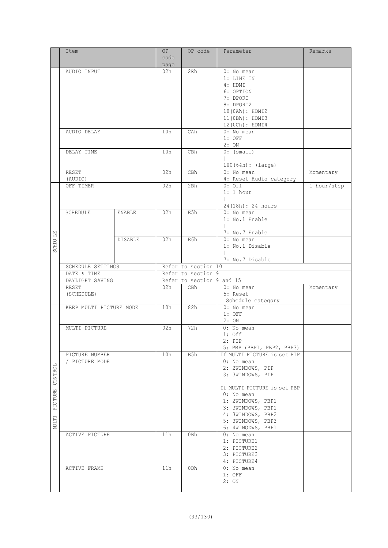|          | Item                    |               | OP              | OP code                   | Parameter                   | Remarks     |
|----------|-------------------------|---------------|-----------------|---------------------------|-----------------------------|-------------|
|          |                         |               | code            |                           |                             |             |
|          |                         |               | page            |                           |                             |             |
|          | AUDIO INPUT             |               | 02h             | 2E <sub>h</sub>           | 0: No mean                  |             |
|          |                         |               |                 |                           | 1: LINE IN                  |             |
|          |                         |               |                 |                           | 4: HDMI                     |             |
|          |                         |               |                 |                           | 6: OPTION                   |             |
|          |                         |               |                 |                           | 7: DPORT                    |             |
|          |                         |               |                 |                           | 8: DPORT2                   |             |
|          |                         |               |                 |                           | 10(0Ah): HDMI2              |             |
|          |                         |               |                 |                           |                             |             |
|          |                         |               |                 |                           | 11(0Bh): HDMI3              |             |
|          |                         |               |                 |                           | 12 (0Ch) : HDMI4            |             |
|          | AUDIO DELAY             |               | 10h             | CAh                       | 0: No mean                  |             |
|          |                         |               |                 |                           | $1:$ OFF                    |             |
|          |                         |               |                 |                           | 2:ON                        |             |
|          | DELAY TIME              |               | 10h             | CBh                       | $0:$ (small)                |             |
|          |                         |               |                 |                           | $\mathbf{L}$                |             |
|          |                         |               |                 |                           | 100(64h): (large)           |             |
|          | RESET                   |               | 02h             | CBh                       | 0: No mean                  | Momentary   |
|          | (AUDIO)                 |               |                 |                           | 4: Reset Audio category     |             |
|          | OFF TIMER               |               | 02h             | 2Bh                       | $0:$ Off                    | 1 hour/step |
|          |                         |               |                 |                           | $1:1$ hour                  |             |
|          |                         |               |                 |                           |                             |             |
|          |                         |               |                 |                           | 24(18h): 24 hours           |             |
|          | SCHEDULE                | <b>ENABLE</b> | 02h             | E5h                       | 0: No mean                  |             |
|          |                         |               |                 |                           | 1: No.1 Enable              |             |
|          |                         |               |                 |                           |                             |             |
|          |                         |               |                 |                           | 7: No.7 Enable              |             |
| SCHDU LE |                         | DISABLE       | 02h             | E6h                       | 0: No mean                  |             |
|          |                         |               |                 |                           |                             |             |
|          |                         |               |                 |                           | 1: No.1 Disable             |             |
|          |                         |               |                 |                           |                             |             |
|          | SCHEDULE SETTINGS       |               |                 | Refer to section 10       | 7: No.7 Disable             |             |
|          |                         |               |                 |                           |                             |             |
|          |                         |               |                 |                           |                             |             |
|          | DATE & TIME             |               |                 | Refer to section 9        |                             |             |
|          | DAYLIGHT SAVING         |               |                 | Refer to section 9 and 15 |                             |             |
|          | RESET                   |               | 02h             | CBh                       | $0:$ No mean                | Momentary   |
|          | (SCHEDULE)              |               |                 |                           | 5: Reset                    |             |
|          |                         |               |                 |                           | Schedule category           |             |
|          | KEEP MULTI PICTURE MODE |               | 10h             | 82h                       | $0:$ No mean                |             |
|          |                         |               |                 |                           | $1:$ OFF                    |             |
|          |                         |               |                 |                           | 2:ON                        |             |
|          | MULTI PICTURE           |               | 02h             | 72h                       | 0: No mean                  |             |
|          |                         |               |                 |                           | $1:$ Off                    |             |
|          |                         |               |                 |                           | $2:$ PIP                    |             |
|          |                         |               |                 |                           | 5: PBP (PBP1, PBP2, PBP3)   |             |
|          | PICTURE NUMBER          |               | 10h             | B5h                       | If MULTI PICTURE is set PIP |             |
|          | / PICTURE MODE          |               |                 |                           | $0:$ No mean                |             |
| 曰        |                         |               |                 |                           | 2: 2WINDOWS, PIP            |             |
|          |                         |               |                 |                           | 3: 3WINDOWS, PIP            |             |
|          |                         |               |                 |                           |                             |             |
| CON TRO  |                         |               |                 |                           | If MULTI PICTURE is set PBP |             |
|          |                         |               |                 |                           | $0:$ No mean                |             |
| TURE     |                         |               |                 |                           | 1: 2WINDOWS, PBP1           |             |
| PIC      |                         |               |                 |                           | 3: 3WINDOWS, PBP1           |             |
|          |                         |               |                 |                           | 4: 3WINDOWS, PBP2           |             |
|          |                         |               |                 |                           | 5: 3WINDOWS, PBP3           |             |
| NULTI    |                         |               |                 |                           | 6: 4WINODWS, PBP1           |             |
|          | ACTIVE PICTURE          |               | 11 <sub>h</sub> | 0Bh                       | $0:$ No mean                |             |
|          |                         |               |                 |                           | 1: PICTURE1                 |             |
|          |                         |               |                 |                           | 2: PICTURE2                 |             |
|          |                         |               |                 |                           | 3: PICTURE3                 |             |
|          |                         |               |                 |                           |                             |             |
|          |                         |               | 11h             | 0Dh                       | 4: PICTURE4<br>$0:$ No mean |             |
|          | ACTIVE FRAME            |               |                 |                           | $1:$ OFF                    |             |
|          |                         |               |                 |                           | 2:ON                        |             |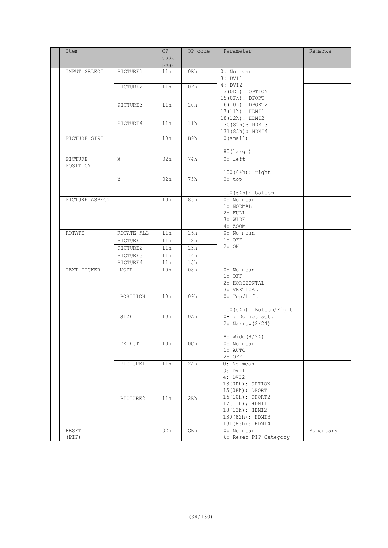| Item           |            | OP<br>code<br>page | OP code | Parameter                              | Remarks   |
|----------------|------------|--------------------|---------|----------------------------------------|-----------|
| INPUT SELECT   | PICTURE1   | 11h                | 0Eh     | 0: No mean                             |           |
|                |            |                    |         | 3: DVI1                                |           |
|                | PICTURE2   | 11h                | 0Fh     | 4: DVI2<br>13(ODh): OPTION             |           |
|                |            |                    |         | 15(0Fh): DPORT                         |           |
|                | PICTURE3   | 11h                | 10h     | 16(10h): DPORT2                        |           |
|                |            |                    |         | 17(11h): HDMI1                         |           |
|                | PICTURE4   | 11h                | 11h     | 18(12h): HDMI2                         |           |
|                |            |                    |         | 130 (82h) : HDMI3<br>131 (83h) : HDMI4 |           |
| PICTURE SIZE   |            | 10h                | B9h     | 0 (small)                              |           |
|                |            |                    |         |                                        |           |
|                |            |                    |         | 80(large)                              |           |
| PICTURE        | X          | 02h                | 74h     | $0:$ left                              |           |
| POSITION       |            |                    |         | $\mathbb{R}$                           |           |
|                | Y          | 02h                | 75h     | $100(64h):$ right<br>0:top             |           |
|                |            |                    |         |                                        |           |
|                |            |                    |         | 100 (64h) : bottom                     |           |
| PICTURE ASPECT |            | 10h                | 83h     | 0: No mean                             |           |
|                |            |                    |         | 1: NORMAL                              |           |
|                |            |                    |         | $2:$ FULL                              |           |
|                |            |                    |         | 3: WIDE<br>4: ZOOM                     |           |
| ROTATE         | ROTATE ALL | 11h                | 16h     | 0: No mean                             |           |
|                | PICTURE1   | 11h                | 12h     | $1:$ OFF                               |           |
|                | PICTURE2   | 11h                | 13h     | 2:ON                                   |           |
|                | PICTURE3   | 11h                | 14h     |                                        |           |
|                | PICTURE4   | 11h                | 15h     |                                        |           |
| TEXT TICKER    | MODE       | 10h                | 08h     | 0: No mean                             |           |
|                |            |                    |         | $1:$ OFF<br>2: HORIZONTAL              |           |
|                |            |                    |         | 3: VERTICAL                            |           |
|                | POSITION   | 10h                | 09h     | 0: Top/Left                            |           |
|                |            |                    |         |                                        |           |
|                |            |                    |         | 100 (64h) : Bottom/Right               |           |
|                | SIZE       | 10h                | 0Ah     | $0-1$ : Do not set.                    |           |
|                |            |                    |         | 2: Narrow $(2/24)$                     |           |
|                |            |                    |         | 8: Wide $(8/24)$                       |           |
|                | DETECT     | 10h                | 0Ch     | 0: No mean                             |           |
|                |            |                    |         | 1: AUTO                                |           |
|                |            |                    |         | $2:$ OFF                               |           |
|                | PICTURE1   | 11h                | 2Ah     | 0: No mean                             |           |
|                |            |                    |         | 3: DVI1<br>4: DVI2                     |           |
|                |            |                    |         | 13(0Dh): OPTION                        |           |
|                |            |                    |         | $15$ (OFh) : DPORT                     |           |
|                | PICTURE2   | 11h                | 2Bh     | 16(10h): DPORT2                        |           |
|                |            |                    |         | 17(11h): HDMI1                         |           |
|                |            |                    |         | 18(12h): HDMI2<br>130 (82h) : HDMI3    |           |
|                |            |                    |         | 131 (83h) : HDMI4                      |           |
| RESET          |            | 02h                | CBh     | 0: No mean                             | Momentary |
| (PIP)          |            |                    |         | 6: Reset PIP Category                  |           |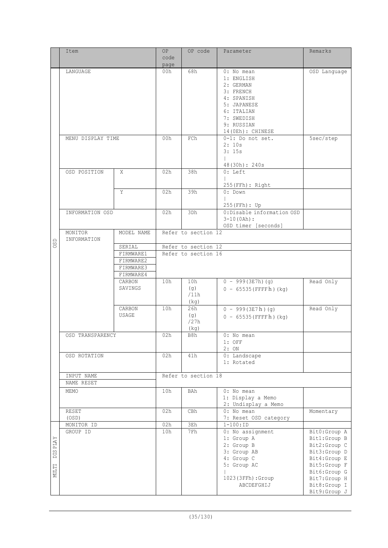|       | Item              |            | <b>OP</b> | OP code             | Parameter                         | Remarks                      |
|-------|-------------------|------------|-----------|---------------------|-----------------------------------|------------------------------|
|       |                   |            | code      |                     |                                   |                              |
|       |                   |            | page      |                     |                                   |                              |
|       | LANGUAGE          |            | 00h       | 68h                 | 0: No mean                        | OSD Language                 |
|       |                   |            |           |                     | 1: ENGLISH                        |                              |
|       |                   |            |           |                     | 2: GERMAN                         |                              |
|       |                   |            |           |                     | 3: FRENCH                         |                              |
|       |                   |            |           |                     | 4: SPANISH                        |                              |
|       |                   |            |           |                     | 5: JAPANESE                       |                              |
|       |                   |            |           |                     | 6: ITALIAN                        |                              |
|       |                   |            |           |                     | 7: SWEDISH                        |                              |
|       |                   |            |           |                     | 9: RUSSIAN                        |                              |
|       |                   |            |           |                     | 14(OEh): CHINESE                  |                              |
|       | MENU DISPLAY TIME |            | 00h       | FCh                 | 0-1: Do not set.                  | 5sec/step                    |
|       |                   |            |           |                     | 2:10s                             |                              |
|       |                   |            |           |                     | 3:15s                             |                              |
|       |                   |            |           |                     |                                   |                              |
|       | OSD POSITION      | Χ          | 02h       | 38h                 | 48(30h): 240s<br>$0: \text{Left}$ |                              |
|       |                   |            |           |                     |                                   |                              |
|       |                   |            |           |                     | $255(FFh):$ Right                 |                              |
|       |                   | Y          | 02h       | 39h                 | 0: Down                           |                              |
|       |                   |            |           |                     |                                   |                              |
|       |                   |            |           |                     | 255 (FFh) : Up                    |                              |
|       | INFORMATION OSD   |            | 02h       | 3Dh                 | 0:Disable information OSD         |                              |
|       |                   |            |           |                     | $3-10(0Ah):$                      |                              |
|       |                   |            |           |                     | OSD timer [seconds]               |                              |
|       | MONITOR           | MODEL NAME |           | Refer to section 12 |                                   |                              |
|       | INFORMATION       |            |           |                     |                                   |                              |
| OSD   |                   | SERIAL     |           | Refer to section 12 |                                   |                              |
|       |                   | FIRMWARE1  |           | Refer to section 16 |                                   |                              |
|       |                   | FIRMWARE2  |           |                     |                                   |                              |
|       |                   | FIRMWARE3  |           |                     |                                   |                              |
|       |                   | FIRMWARE4  |           |                     |                                   |                              |
|       |                   | CARBON     | 10h       | 10h                 | $0 - 999(3E7h) (g)$               | Read Only                    |
|       |                   | SAVINGS    |           | (q)                 | $0 - 65535$ (FFFFh) (kg)          |                              |
|       |                   |            |           | /11h                |                                   |                              |
|       |                   |            |           | (kg)                |                                   |                              |
|       |                   | CARBON     | 10h       | 26h                 | $0 - 999(3E7h)(g)$                | Read Only                    |
|       |                   | USAGE      |           | (q)                 | $0 - 65535$ (FFFFh) (kg)          |                              |
|       |                   |            |           | /27h                |                                   |                              |
|       |                   |            |           | (kq)                |                                   |                              |
|       | OSD TRANSPARENCY  |            | 02h       | B8h                 | 0: No mean                        |                              |
|       |                   |            |           |                     | $1:$ OFF                          |                              |
|       |                   |            |           |                     | 2:ON                              |                              |
|       | OSD ROTATION      |            | 02h       | 41h                 | 0: Landscape                      |                              |
|       |                   |            |           |                     | 1: Rotated                        |                              |
|       |                   |            |           |                     |                                   |                              |
|       | INPUT NAME        |            |           | Refer to section 18 |                                   |                              |
|       | NAME RESET        |            |           |                     |                                   |                              |
|       | MEMO              |            | 10h       | BAh                 | 0: No mean                        |                              |
|       |                   |            |           |                     | 1: Display a Memo                 |                              |
|       |                   |            |           |                     | 2: Undisplay a Memo               |                              |
|       | RESET             |            | 02h       | CBh                 | $0:$ No mean                      | Momentary                    |
|       | (OSD)             |            |           |                     | 7: Reset OSD category             |                              |
|       | MONITOR ID        |            | 02h       | 3Eh                 | $1 - 100 : ID$                    |                              |
|       | GROUP ID          |            | 10h       | 7Fh                 | 0: No assignment<br>1: Group A    | Bit0:Group A                 |
| PLAY  |                   |            |           |                     | 2: Group B                        | Bit1:Group B<br>Bit2:Group C |
|       |                   |            |           |                     | 3: Group AB                       | Bit3:Group D                 |
| DIS I |                   |            |           |                     | 4: Group C                        | Bit4:Group E                 |
|       |                   |            |           |                     | 5: Group AC                       | Bit5:Group F                 |
| MULTI |                   |            |           |                     |                                   | Bit6:Group G                 |
|       |                   |            |           |                     | 1023(3FFh):Group                  | Bit7:Group H                 |
|       |                   |            |           |                     | ABCDEFGHIJ                        | Bit8:Group I                 |
|       |                   |            |           |                     |                                   | Bit9:Group J                 |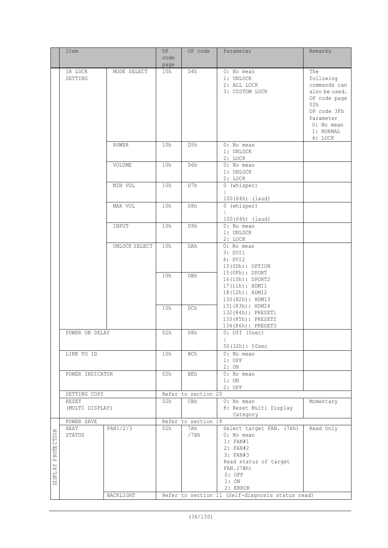|                                                           | Item                     |               | 0P<br>code  | OP code             | Parameter                                                                                                             | Remarks                                                                                 |
|-----------------------------------------------------------|--------------------------|---------------|-------------|---------------------|-----------------------------------------------------------------------------------------------------------------------|-----------------------------------------------------------------------------------------|
|                                                           |                          |               |             |                     |                                                                                                                       |                                                                                         |
|                                                           | IR LOCK<br>SETTING       | MODE SELECT   | page<br>10h | D4h                 | 0: No mean<br>1: UNLOCK<br>2: ALL LOCK<br>3: CUSTOM LOCK                                                              | The<br>following<br>commands can<br>also be used.<br>OP code page<br>02h<br>OP code 3Fh |
|                                                           |                          |               |             |                     |                                                                                                                       | Parameter<br>0: No mean<br>1: NORMAL<br>4: LOCK                                         |
|                                                           |                          | POWER         | 10h         | D5h                 | 0: No mean<br>1: UNLOCK<br>2: LOCK                                                                                    |                                                                                         |
|                                                           |                          | VOLUME        | 10h         | D6h                 | $0:$ No mean<br>1: UNLOCK<br>2: LOCK                                                                                  |                                                                                         |
|                                                           |                          | MIN VOL       | 10h         | D7h                 | 0 (whisper)<br>100(64h) (laud)                                                                                        |                                                                                         |
|                                                           |                          | MAX VOL       | 10h         | D8h                 | 0 (whisper)<br>100(64h) (laud)                                                                                        |                                                                                         |
|                                                           |                          | INPUT         | 10h         | D9h                 | 0: No mean<br>1: UNLOCK<br>2: LOCK                                                                                    |                                                                                         |
|                                                           |                          | UNLOCK SELECT | 10h         | DAh                 | 0: No mean<br>3: DVI1<br>4: DVI2<br>13(0Dh): OPTION                                                                   |                                                                                         |
|                                                           |                          |               | 10h         | DBh                 | $15$ (OFh) : DPORT<br>16(10h): DPORT2<br>17(11h): HDMI1<br>18(12h): HDMI2<br>130(82h): HDMI3                          |                                                                                         |
|                                                           |                          |               | 10h         | DCh                 | 131(83h): HDMI4<br>132 (84h) : PRESET1<br>133(85h): PRESET2<br>134 (86h) : PRESET3                                    |                                                                                         |
|                                                           | POWER ON DELAY           |               | 02h         | D8h                 | $0:$ Off (Osec)<br>$\mathbb{R}^n$<br>50(32h): 50sec                                                                   |                                                                                         |
|                                                           | LINK TO ID               |               | 10h         | BCh                 | 0: No mean<br>$1:$ OFF<br>2:ON                                                                                        |                                                                                         |
|                                                           | POWER INDICATOR          |               | 02h         | BEh                 | 0: No mean<br>1:ON<br>$2:$ OFF                                                                                        |                                                                                         |
|                                                           | SETTING COPY             |               |             | Refer to section 20 |                                                                                                                       |                                                                                         |
|                                                           | RESET<br>(MULTI DISPLAY) |               | 02h         | CBh                 | $0:$ No mean<br>8: Reset Multi Display<br>Category                                                                    | Momentary                                                                               |
|                                                           | POWER SAVE               |               |             | Refer to section 19 |                                                                                                                       |                                                                                         |
| ROTE CTION<br>$\mathsf{\Delta}$<br>$\mathbb{A}\mathbb{Y}$ | HEAT<br>STATUS           | FAN1/2/3      | 02h         | 7Ah<br>/7Bh         | Select target FAN. (7Ah)<br>$0:$ No mean<br>1: FAN#1<br>2: FAN#2<br>3: FAN#3<br>Read status of target<br>$FAN.$ (7Bh) | Read Only                                                                               |
| <b>DISPL</b>                                              |                          | BACKLIGHT     |             |                     | $0:$ OFF<br>1:ON<br>2: ERROR<br>Refer to section 11 (Self-diagnosis status read)                                      |                                                                                         |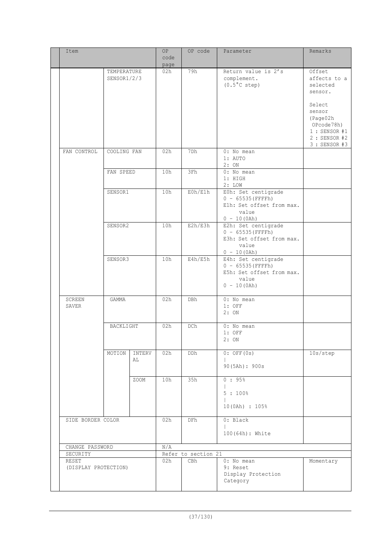| Item                 |             |        | OP.         | OP code             | Parameter                            | Remarks                      |
|----------------------|-------------|--------|-------------|---------------------|--------------------------------------|------------------------------|
|                      |             |        | code        |                     |                                      |                              |
|                      | TEMPERATURE |        | page<br>02h | 79h                 | Return value is 2's                  | Offset                       |
|                      | SENSOR1/2/3 |        |             |                     | complement.                          | affects to a                 |
|                      |             |        |             |                     | $(0.5^{\circ}$ C step)               | selected                     |
|                      |             |        |             |                     |                                      | sensor.                      |
|                      |             |        |             |                     |                                      | Select                       |
|                      |             |        |             |                     |                                      | sensor                       |
|                      |             |        |             |                     |                                      | (Page02h                     |
|                      |             |        |             |                     |                                      | OPcode78h)<br>$1:$ SENSOR #1 |
|                      |             |        |             |                     |                                      | 2 : SENSOR #2                |
|                      |             |        |             |                     |                                      | 3 : SENSOR #3                |
| FAN CONTROL          | COOLING FAN |        | 02h         | 7Dh                 | 0: No mean<br>1: AUTO                |                              |
|                      |             |        |             |                     | 2:ON                                 |                              |
|                      | FAN SPEED   |        | 10h         | 3Fh                 | 0: No mean                           |                              |
|                      |             |        |             |                     | 1: HIGH                              |                              |
|                      | SENSOR1     |        | 10h         | E0h/E1h             | 2: LOW<br>EOh: Set centigrade        |                              |
|                      |             |        |             |                     | $0 - 65535$ (FFFFh)                  |                              |
|                      |             |        |             |                     | Elh: Set offset from max.            |                              |
|                      |             |        |             |                     | value                                |                              |
|                      | SENSOR2     |        | 10h         | E2h/E3h             | $0 - 10(0/h)$<br>E2h: Set centigrade |                              |
|                      |             |        |             |                     | $0 - 65535$ (FFFFh)                  |                              |
|                      |             |        |             |                     | E3h: Set offset from max.            |                              |
|                      |             |        |             |                     | value<br>$0 - 10(0h)$                |                              |
|                      | SENSOR3     |        | 10h         | E4h/E5h             | E4h: Set centigrade                  |                              |
|                      |             |        |             |                     | $0 - 65535$ (FFFFh)                  |                              |
|                      |             |        |             |                     | E5h: Set offset from max.<br>value   |                              |
|                      |             |        |             |                     | $0 - 10(0/h)$                        |                              |
| SCREEN               | GAMMA       |        | 02h         | DBh                 | 0: No mean                           |                              |
| SAVER                |             |        |             |                     | $1:$ OFF                             |                              |
|                      |             |        |             |                     | 2:ON                                 |                              |
|                      | BACKLIGHT   |        | 02h         | DCh                 | 0: No mean                           |                              |
|                      |             |        |             |                     | $1:$ OFF                             |                              |
|                      |             |        |             |                     | 2: ON                                |                              |
|                      | MOTION      | INTERV | 02h         | DDh                 | $0:$ OFF $(0s)$                      | 10s/step                     |
|                      |             | AL     |             |                     |                                      |                              |
|                      |             |        |             |                     | 90(5Ah): 900s                        |                              |
|                      |             | ZOOM   | 10h         | 35h                 | 0:95%                                |                              |
|                      |             |        |             |                     |                                      |                              |
|                      |             |        |             |                     | $5:100$ %<br>$\mathbf{L}$            |                              |
|                      |             |        |             |                     | 10(0Ah) : 105%                       |                              |
|                      |             |        |             |                     |                                      |                              |
| SIDE BORDER COLOR    |             |        | 02h         | <b>DFh</b>          | 0: Black                             |                              |
|                      |             |        |             |                     | 100 (64h) : White                    |                              |
| CHANGE PASSWORD      |             |        | N/A         |                     |                                      |                              |
| SECURITY             |             |        |             | Refer to section 21 |                                      |                              |
| RESET                |             |        | 02h         | CBh                 | 0: No mean                           | Momentary                    |
| (DISPLAY PROTECTION) |             |        |             |                     | 9: Reset<br>Display Protection       |                              |
|                      |             |        |             |                     | Category                             |                              |
|                      |             |        |             |                     |                                      |                              |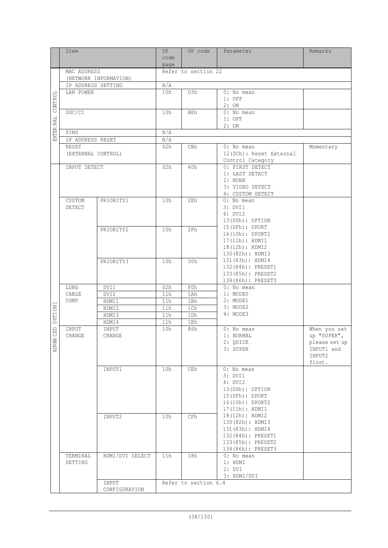| code<br>page<br>MAC ADDRESS<br>Refer to section 22<br>(NETWORK INFORMATION)<br>IP ADDRESS SETTING<br>N/A<br>LAN POWER<br>10h<br>D3h<br>$0:$ No mean<br>CONT ROL<br>$1:$ OFF<br>2:ON<br>DDC/CI<br>0: No mean<br>10h<br>BEh<br>EXTER NAL<br>$1:$ OFF<br>2:ON<br>N/A<br>PING<br>N/A<br>IP ADDRESS RESET<br>RESET<br>02h<br>CBh<br>$0:$ No mean<br>Momentary<br>(EXTERNAL CONTROL)<br>12 (OCh) : Reset External<br>Control Category<br>INPUT DETECT<br>02h<br>40h<br>0: FIRST DETECT<br>1: LAST DETECT<br>2: NONE<br>3: VIDEO DETECT<br>4: CUSTOM DETECT<br>10h<br>CUSTOM<br>PRIORITY1<br>2Eh<br>$0:$ No mean<br>3: DVI1<br><b>DETECT</b><br>4: DVI2<br>13(0Dh): OPTION<br>15 (OFh) : DPORT<br>PRIORITY2<br>10h<br>2Fh<br>16(10h): DPORT2<br>17(11h): HDMI1<br>18(12h): HDMI2<br>130(82h): HDMI3<br>131(83h): HDMI4<br>PRIORITY3<br>10h<br>30h<br>132 (84h) : PRESET1<br>133(85h): PRESET2<br>134 (86h) : PRESET3<br>DVI1<br>02h<br>F0h<br>LONG<br>$0:$ No mean<br>CABLE<br>1: MODEO<br>DVI2<br>11h<br>1Ah<br>COMP<br>2: MODE1<br>HDMI1<br>11h<br>1Bh<br><b>OPTION1</b><br>3: MODE2<br>11h<br>1Ch<br>HDMI2<br>4: MODE3<br>HDMI3<br>11h<br>1 <sub>Dh</sub><br>11h<br>HDMI4<br>1Eh<br>$\Xi$<br>86h<br>INPUT<br>INPUT<br>10h<br>0: No mean<br>When you set<br>ن<br>up "SUPER",<br>CHANGE<br>CHANGE<br>1: NORMAL<br><b>ADVAN</b><br>2: QUICK<br>please set up<br>3: SUPER<br>INPUT1 and<br>INPUT2<br>first.<br>10h<br>CEh<br>$0:$ No mean<br>INPUT1<br>3: DVI1<br>4: DVI2<br>13(0Dh): OPTION<br>15(0Fh): DPORT<br>16(10h): DPORT2<br>17(11h): HDMI1<br>18(12h): HDMI2<br>INPUT2<br>10h<br>CFh<br>130(82h): HDMI3<br>131(83h): HDMI4<br>132 (84h) : PRESET1<br>133(85h): PRESET2<br>134 (86h) : PRESET3<br>18h<br>TERMINAL<br>HDMI/DVI SELECT<br>11h<br>0: No mean<br>SETTING<br>1: HDMI<br>2: DVI<br>3: HDMI/DVI<br>INPUT<br>Refer to section 6.4<br>CONFIGURATION | Item |  | OP. | OP code | Parameter | Remarks |
|------------------------------------------------------------------------------------------------------------------------------------------------------------------------------------------------------------------------------------------------------------------------------------------------------------------------------------------------------------------------------------------------------------------------------------------------------------------------------------------------------------------------------------------------------------------------------------------------------------------------------------------------------------------------------------------------------------------------------------------------------------------------------------------------------------------------------------------------------------------------------------------------------------------------------------------------------------------------------------------------------------------------------------------------------------------------------------------------------------------------------------------------------------------------------------------------------------------------------------------------------------------------------------------------------------------------------------------------------------------------------------------------------------------------------------------------------------------------------------------------------------------------------------------------------------------------------------------------------------------------------------------------------------------------------------------------------------------------------------------------------------------------------------------------------------------------------------------------------------|------|--|-----|---------|-----------|---------|
|                                                                                                                                                                                                                                                                                                                                                                                                                                                                                                                                                                                                                                                                                                                                                                                                                                                                                                                                                                                                                                                                                                                                                                                                                                                                                                                                                                                                                                                                                                                                                                                                                                                                                                                                                                                                                                                            |      |  |     |         |           |         |
|                                                                                                                                                                                                                                                                                                                                                                                                                                                                                                                                                                                                                                                                                                                                                                                                                                                                                                                                                                                                                                                                                                                                                                                                                                                                                                                                                                                                                                                                                                                                                                                                                                                                                                                                                                                                                                                            |      |  |     |         |           |         |
|                                                                                                                                                                                                                                                                                                                                                                                                                                                                                                                                                                                                                                                                                                                                                                                                                                                                                                                                                                                                                                                                                                                                                                                                                                                                                                                                                                                                                                                                                                                                                                                                                                                                                                                                                                                                                                                            |      |  |     |         |           |         |
|                                                                                                                                                                                                                                                                                                                                                                                                                                                                                                                                                                                                                                                                                                                                                                                                                                                                                                                                                                                                                                                                                                                                                                                                                                                                                                                                                                                                                                                                                                                                                                                                                                                                                                                                                                                                                                                            |      |  |     |         |           |         |
|                                                                                                                                                                                                                                                                                                                                                                                                                                                                                                                                                                                                                                                                                                                                                                                                                                                                                                                                                                                                                                                                                                                                                                                                                                                                                                                                                                                                                                                                                                                                                                                                                                                                                                                                                                                                                                                            |      |  |     |         |           |         |
|                                                                                                                                                                                                                                                                                                                                                                                                                                                                                                                                                                                                                                                                                                                                                                                                                                                                                                                                                                                                                                                                                                                                                                                                                                                                                                                                                                                                                                                                                                                                                                                                                                                                                                                                                                                                                                                            |      |  |     |         |           |         |
|                                                                                                                                                                                                                                                                                                                                                                                                                                                                                                                                                                                                                                                                                                                                                                                                                                                                                                                                                                                                                                                                                                                                                                                                                                                                                                                                                                                                                                                                                                                                                                                                                                                                                                                                                                                                                                                            |      |  |     |         |           |         |
|                                                                                                                                                                                                                                                                                                                                                                                                                                                                                                                                                                                                                                                                                                                                                                                                                                                                                                                                                                                                                                                                                                                                                                                                                                                                                                                                                                                                                                                                                                                                                                                                                                                                                                                                                                                                                                                            |      |  |     |         |           |         |
|                                                                                                                                                                                                                                                                                                                                                                                                                                                                                                                                                                                                                                                                                                                                                                                                                                                                                                                                                                                                                                                                                                                                                                                                                                                                                                                                                                                                                                                                                                                                                                                                                                                                                                                                                                                                                                                            |      |  |     |         |           |         |
|                                                                                                                                                                                                                                                                                                                                                                                                                                                                                                                                                                                                                                                                                                                                                                                                                                                                                                                                                                                                                                                                                                                                                                                                                                                                                                                                                                                                                                                                                                                                                                                                                                                                                                                                                                                                                                                            |      |  |     |         |           |         |
|                                                                                                                                                                                                                                                                                                                                                                                                                                                                                                                                                                                                                                                                                                                                                                                                                                                                                                                                                                                                                                                                                                                                                                                                                                                                                                                                                                                                                                                                                                                                                                                                                                                                                                                                                                                                                                                            |      |  |     |         |           |         |
|                                                                                                                                                                                                                                                                                                                                                                                                                                                                                                                                                                                                                                                                                                                                                                                                                                                                                                                                                                                                                                                                                                                                                                                                                                                                                                                                                                                                                                                                                                                                                                                                                                                                                                                                                                                                                                                            |      |  |     |         |           |         |
|                                                                                                                                                                                                                                                                                                                                                                                                                                                                                                                                                                                                                                                                                                                                                                                                                                                                                                                                                                                                                                                                                                                                                                                                                                                                                                                                                                                                                                                                                                                                                                                                                                                                                                                                                                                                                                                            |      |  |     |         |           |         |
|                                                                                                                                                                                                                                                                                                                                                                                                                                                                                                                                                                                                                                                                                                                                                                                                                                                                                                                                                                                                                                                                                                                                                                                                                                                                                                                                                                                                                                                                                                                                                                                                                                                                                                                                                                                                                                                            |      |  |     |         |           |         |
|                                                                                                                                                                                                                                                                                                                                                                                                                                                                                                                                                                                                                                                                                                                                                                                                                                                                                                                                                                                                                                                                                                                                                                                                                                                                                                                                                                                                                                                                                                                                                                                                                                                                                                                                                                                                                                                            |      |  |     |         |           |         |
|                                                                                                                                                                                                                                                                                                                                                                                                                                                                                                                                                                                                                                                                                                                                                                                                                                                                                                                                                                                                                                                                                                                                                                                                                                                                                                                                                                                                                                                                                                                                                                                                                                                                                                                                                                                                                                                            |      |  |     |         |           |         |
|                                                                                                                                                                                                                                                                                                                                                                                                                                                                                                                                                                                                                                                                                                                                                                                                                                                                                                                                                                                                                                                                                                                                                                                                                                                                                                                                                                                                                                                                                                                                                                                                                                                                                                                                                                                                                                                            |      |  |     |         |           |         |
|                                                                                                                                                                                                                                                                                                                                                                                                                                                                                                                                                                                                                                                                                                                                                                                                                                                                                                                                                                                                                                                                                                                                                                                                                                                                                                                                                                                                                                                                                                                                                                                                                                                                                                                                                                                                                                                            |      |  |     |         |           |         |
|                                                                                                                                                                                                                                                                                                                                                                                                                                                                                                                                                                                                                                                                                                                                                                                                                                                                                                                                                                                                                                                                                                                                                                                                                                                                                                                                                                                                                                                                                                                                                                                                                                                                                                                                                                                                                                                            |      |  |     |         |           |         |
|                                                                                                                                                                                                                                                                                                                                                                                                                                                                                                                                                                                                                                                                                                                                                                                                                                                                                                                                                                                                                                                                                                                                                                                                                                                                                                                                                                                                                                                                                                                                                                                                                                                                                                                                                                                                                                                            |      |  |     |         |           |         |
|                                                                                                                                                                                                                                                                                                                                                                                                                                                                                                                                                                                                                                                                                                                                                                                                                                                                                                                                                                                                                                                                                                                                                                                                                                                                                                                                                                                                                                                                                                                                                                                                                                                                                                                                                                                                                                                            |      |  |     |         |           |         |
|                                                                                                                                                                                                                                                                                                                                                                                                                                                                                                                                                                                                                                                                                                                                                                                                                                                                                                                                                                                                                                                                                                                                                                                                                                                                                                                                                                                                                                                                                                                                                                                                                                                                                                                                                                                                                                                            |      |  |     |         |           |         |
|                                                                                                                                                                                                                                                                                                                                                                                                                                                                                                                                                                                                                                                                                                                                                                                                                                                                                                                                                                                                                                                                                                                                                                                                                                                                                                                                                                                                                                                                                                                                                                                                                                                                                                                                                                                                                                                            |      |  |     |         |           |         |
|                                                                                                                                                                                                                                                                                                                                                                                                                                                                                                                                                                                                                                                                                                                                                                                                                                                                                                                                                                                                                                                                                                                                                                                                                                                                                                                                                                                                                                                                                                                                                                                                                                                                                                                                                                                                                                                            |      |  |     |         |           |         |
|                                                                                                                                                                                                                                                                                                                                                                                                                                                                                                                                                                                                                                                                                                                                                                                                                                                                                                                                                                                                                                                                                                                                                                                                                                                                                                                                                                                                                                                                                                                                                                                                                                                                                                                                                                                                                                                            |      |  |     |         |           |         |
|                                                                                                                                                                                                                                                                                                                                                                                                                                                                                                                                                                                                                                                                                                                                                                                                                                                                                                                                                                                                                                                                                                                                                                                                                                                                                                                                                                                                                                                                                                                                                                                                                                                                                                                                                                                                                                                            |      |  |     |         |           |         |
|                                                                                                                                                                                                                                                                                                                                                                                                                                                                                                                                                                                                                                                                                                                                                                                                                                                                                                                                                                                                                                                                                                                                                                                                                                                                                                                                                                                                                                                                                                                                                                                                                                                                                                                                                                                                                                                            |      |  |     |         |           |         |
|                                                                                                                                                                                                                                                                                                                                                                                                                                                                                                                                                                                                                                                                                                                                                                                                                                                                                                                                                                                                                                                                                                                                                                                                                                                                                                                                                                                                                                                                                                                                                                                                                                                                                                                                                                                                                                                            |      |  |     |         |           |         |
|                                                                                                                                                                                                                                                                                                                                                                                                                                                                                                                                                                                                                                                                                                                                                                                                                                                                                                                                                                                                                                                                                                                                                                                                                                                                                                                                                                                                                                                                                                                                                                                                                                                                                                                                                                                                                                                            |      |  |     |         |           |         |
|                                                                                                                                                                                                                                                                                                                                                                                                                                                                                                                                                                                                                                                                                                                                                                                                                                                                                                                                                                                                                                                                                                                                                                                                                                                                                                                                                                                                                                                                                                                                                                                                                                                                                                                                                                                                                                                            |      |  |     |         |           |         |
|                                                                                                                                                                                                                                                                                                                                                                                                                                                                                                                                                                                                                                                                                                                                                                                                                                                                                                                                                                                                                                                                                                                                                                                                                                                                                                                                                                                                                                                                                                                                                                                                                                                                                                                                                                                                                                                            |      |  |     |         |           |         |
|                                                                                                                                                                                                                                                                                                                                                                                                                                                                                                                                                                                                                                                                                                                                                                                                                                                                                                                                                                                                                                                                                                                                                                                                                                                                                                                                                                                                                                                                                                                                                                                                                                                                                                                                                                                                                                                            |      |  |     |         |           |         |
|                                                                                                                                                                                                                                                                                                                                                                                                                                                                                                                                                                                                                                                                                                                                                                                                                                                                                                                                                                                                                                                                                                                                                                                                                                                                                                                                                                                                                                                                                                                                                                                                                                                                                                                                                                                                                                                            |      |  |     |         |           |         |
|                                                                                                                                                                                                                                                                                                                                                                                                                                                                                                                                                                                                                                                                                                                                                                                                                                                                                                                                                                                                                                                                                                                                                                                                                                                                                                                                                                                                                                                                                                                                                                                                                                                                                                                                                                                                                                                            |      |  |     |         |           |         |
|                                                                                                                                                                                                                                                                                                                                                                                                                                                                                                                                                                                                                                                                                                                                                                                                                                                                                                                                                                                                                                                                                                                                                                                                                                                                                                                                                                                                                                                                                                                                                                                                                                                                                                                                                                                                                                                            |      |  |     |         |           |         |
|                                                                                                                                                                                                                                                                                                                                                                                                                                                                                                                                                                                                                                                                                                                                                                                                                                                                                                                                                                                                                                                                                                                                                                                                                                                                                                                                                                                                                                                                                                                                                                                                                                                                                                                                                                                                                                                            |      |  |     |         |           |         |
|                                                                                                                                                                                                                                                                                                                                                                                                                                                                                                                                                                                                                                                                                                                                                                                                                                                                                                                                                                                                                                                                                                                                                                                                                                                                                                                                                                                                                                                                                                                                                                                                                                                                                                                                                                                                                                                            |      |  |     |         |           |         |
|                                                                                                                                                                                                                                                                                                                                                                                                                                                                                                                                                                                                                                                                                                                                                                                                                                                                                                                                                                                                                                                                                                                                                                                                                                                                                                                                                                                                                                                                                                                                                                                                                                                                                                                                                                                                                                                            |      |  |     |         |           |         |
|                                                                                                                                                                                                                                                                                                                                                                                                                                                                                                                                                                                                                                                                                                                                                                                                                                                                                                                                                                                                                                                                                                                                                                                                                                                                                                                                                                                                                                                                                                                                                                                                                                                                                                                                                                                                                                                            |      |  |     |         |           |         |
|                                                                                                                                                                                                                                                                                                                                                                                                                                                                                                                                                                                                                                                                                                                                                                                                                                                                                                                                                                                                                                                                                                                                                                                                                                                                                                                                                                                                                                                                                                                                                                                                                                                                                                                                                                                                                                                            |      |  |     |         |           |         |
|                                                                                                                                                                                                                                                                                                                                                                                                                                                                                                                                                                                                                                                                                                                                                                                                                                                                                                                                                                                                                                                                                                                                                                                                                                                                                                                                                                                                                                                                                                                                                                                                                                                                                                                                                                                                                                                            |      |  |     |         |           |         |
|                                                                                                                                                                                                                                                                                                                                                                                                                                                                                                                                                                                                                                                                                                                                                                                                                                                                                                                                                                                                                                                                                                                                                                                                                                                                                                                                                                                                                                                                                                                                                                                                                                                                                                                                                                                                                                                            |      |  |     |         |           |         |
|                                                                                                                                                                                                                                                                                                                                                                                                                                                                                                                                                                                                                                                                                                                                                                                                                                                                                                                                                                                                                                                                                                                                                                                                                                                                                                                                                                                                                                                                                                                                                                                                                                                                                                                                                                                                                                                            |      |  |     |         |           |         |
|                                                                                                                                                                                                                                                                                                                                                                                                                                                                                                                                                                                                                                                                                                                                                                                                                                                                                                                                                                                                                                                                                                                                                                                                                                                                                                                                                                                                                                                                                                                                                                                                                                                                                                                                                                                                                                                            |      |  |     |         |           |         |
|                                                                                                                                                                                                                                                                                                                                                                                                                                                                                                                                                                                                                                                                                                                                                                                                                                                                                                                                                                                                                                                                                                                                                                                                                                                                                                                                                                                                                                                                                                                                                                                                                                                                                                                                                                                                                                                            |      |  |     |         |           |         |
|                                                                                                                                                                                                                                                                                                                                                                                                                                                                                                                                                                                                                                                                                                                                                                                                                                                                                                                                                                                                                                                                                                                                                                                                                                                                                                                                                                                                                                                                                                                                                                                                                                                                                                                                                                                                                                                            |      |  |     |         |           |         |
|                                                                                                                                                                                                                                                                                                                                                                                                                                                                                                                                                                                                                                                                                                                                                                                                                                                                                                                                                                                                                                                                                                                                                                                                                                                                                                                                                                                                                                                                                                                                                                                                                                                                                                                                                                                                                                                            |      |  |     |         |           |         |
|                                                                                                                                                                                                                                                                                                                                                                                                                                                                                                                                                                                                                                                                                                                                                                                                                                                                                                                                                                                                                                                                                                                                                                                                                                                                                                                                                                                                                                                                                                                                                                                                                                                                                                                                                                                                                                                            |      |  |     |         |           |         |
|                                                                                                                                                                                                                                                                                                                                                                                                                                                                                                                                                                                                                                                                                                                                                                                                                                                                                                                                                                                                                                                                                                                                                                                                                                                                                                                                                                                                                                                                                                                                                                                                                                                                                                                                                                                                                                                            |      |  |     |         |           |         |
|                                                                                                                                                                                                                                                                                                                                                                                                                                                                                                                                                                                                                                                                                                                                                                                                                                                                                                                                                                                                                                                                                                                                                                                                                                                                                                                                                                                                                                                                                                                                                                                                                                                                                                                                                                                                                                                            |      |  |     |         |           |         |
|                                                                                                                                                                                                                                                                                                                                                                                                                                                                                                                                                                                                                                                                                                                                                                                                                                                                                                                                                                                                                                                                                                                                                                                                                                                                                                                                                                                                                                                                                                                                                                                                                                                                                                                                                                                                                                                            |      |  |     |         |           |         |
|                                                                                                                                                                                                                                                                                                                                                                                                                                                                                                                                                                                                                                                                                                                                                                                                                                                                                                                                                                                                                                                                                                                                                                                                                                                                                                                                                                                                                                                                                                                                                                                                                                                                                                                                                                                                                                                            |      |  |     |         |           |         |
|                                                                                                                                                                                                                                                                                                                                                                                                                                                                                                                                                                                                                                                                                                                                                                                                                                                                                                                                                                                                                                                                                                                                                                                                                                                                                                                                                                                                                                                                                                                                                                                                                                                                                                                                                                                                                                                            |      |  |     |         |           |         |
|                                                                                                                                                                                                                                                                                                                                                                                                                                                                                                                                                                                                                                                                                                                                                                                                                                                                                                                                                                                                                                                                                                                                                                                                                                                                                                                                                                                                                                                                                                                                                                                                                                                                                                                                                                                                                                                            |      |  |     |         |           |         |
|                                                                                                                                                                                                                                                                                                                                                                                                                                                                                                                                                                                                                                                                                                                                                                                                                                                                                                                                                                                                                                                                                                                                                                                                                                                                                                                                                                                                                                                                                                                                                                                                                                                                                                                                                                                                                                                            |      |  |     |         |           |         |
|                                                                                                                                                                                                                                                                                                                                                                                                                                                                                                                                                                                                                                                                                                                                                                                                                                                                                                                                                                                                                                                                                                                                                                                                                                                                                                                                                                                                                                                                                                                                                                                                                                                                                                                                                                                                                                                            |      |  |     |         |           |         |
|                                                                                                                                                                                                                                                                                                                                                                                                                                                                                                                                                                                                                                                                                                                                                                                                                                                                                                                                                                                                                                                                                                                                                                                                                                                                                                                                                                                                                                                                                                                                                                                                                                                                                                                                                                                                                                                            |      |  |     |         |           |         |
|                                                                                                                                                                                                                                                                                                                                                                                                                                                                                                                                                                                                                                                                                                                                                                                                                                                                                                                                                                                                                                                                                                                                                                                                                                                                                                                                                                                                                                                                                                                                                                                                                                                                                                                                                                                                                                                            |      |  |     |         |           |         |
|                                                                                                                                                                                                                                                                                                                                                                                                                                                                                                                                                                                                                                                                                                                                                                                                                                                                                                                                                                                                                                                                                                                                                                                                                                                                                                                                                                                                                                                                                                                                                                                                                                                                                                                                                                                                                                                            |      |  |     |         |           |         |
|                                                                                                                                                                                                                                                                                                                                                                                                                                                                                                                                                                                                                                                                                                                                                                                                                                                                                                                                                                                                                                                                                                                                                                                                                                                                                                                                                                                                                                                                                                                                                                                                                                                                                                                                                                                                                                                            |      |  |     |         |           |         |
|                                                                                                                                                                                                                                                                                                                                                                                                                                                                                                                                                                                                                                                                                                                                                                                                                                                                                                                                                                                                                                                                                                                                                                                                                                                                                                                                                                                                                                                                                                                                                                                                                                                                                                                                                                                                                                                            |      |  |     |         |           |         |
|                                                                                                                                                                                                                                                                                                                                                                                                                                                                                                                                                                                                                                                                                                                                                                                                                                                                                                                                                                                                                                                                                                                                                                                                                                                                                                                                                                                                                                                                                                                                                                                                                                                                                                                                                                                                                                                            |      |  |     |         |           |         |
|                                                                                                                                                                                                                                                                                                                                                                                                                                                                                                                                                                                                                                                                                                                                                                                                                                                                                                                                                                                                                                                                                                                                                                                                                                                                                                                                                                                                                                                                                                                                                                                                                                                                                                                                                                                                                                                            |      |  |     |         |           |         |
|                                                                                                                                                                                                                                                                                                                                                                                                                                                                                                                                                                                                                                                                                                                                                                                                                                                                                                                                                                                                                                                                                                                                                                                                                                                                                                                                                                                                                                                                                                                                                                                                                                                                                                                                                                                                                                                            |      |  |     |         |           |         |
|                                                                                                                                                                                                                                                                                                                                                                                                                                                                                                                                                                                                                                                                                                                                                                                                                                                                                                                                                                                                                                                                                                                                                                                                                                                                                                                                                                                                                                                                                                                                                                                                                                                                                                                                                                                                                                                            |      |  |     |         |           |         |
|                                                                                                                                                                                                                                                                                                                                                                                                                                                                                                                                                                                                                                                                                                                                                                                                                                                                                                                                                                                                                                                                                                                                                                                                                                                                                                                                                                                                                                                                                                                                                                                                                                                                                                                                                                                                                                                            |      |  |     |         |           |         |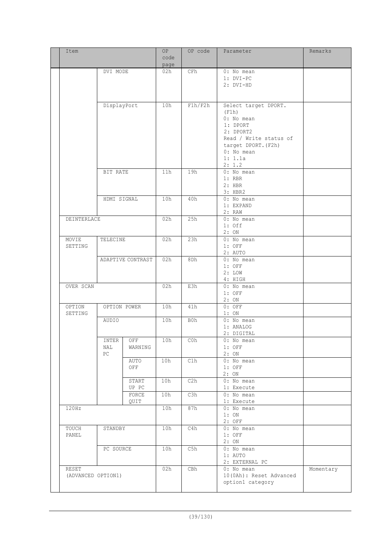| Item        |                    |                   | OP   | OP code | Parameter               | Remarks   |
|-------------|--------------------|-------------------|------|---------|-------------------------|-----------|
|             |                    |                   | code |         |                         |           |
|             |                    |                   | page |         |                         |           |
|             | DVI MODE           |                   | 02h  | CFh     | 0: No mean              |           |
|             |                    |                   |      |         | $1: DVI-PC$             |           |
|             |                    |                   |      |         | 2: DVI-HD               |           |
|             |                    |                   |      |         |                         |           |
|             |                    |                   |      |         |                         |           |
|             | DisplayPort        |                   | 10h  | F1h/F2h | Select target DPORT.    |           |
|             |                    |                   |      |         | (F1h)                   |           |
|             |                    |                   |      |         | 0: No mean              |           |
|             |                    |                   |      |         | 1: DPORT                |           |
|             |                    |                   |      |         | 2: DPORT2               |           |
|             |                    |                   |      |         | Read / Write status of  |           |
|             |                    |                   |      |         | target DPORT. (F2h)     |           |
|             |                    |                   |      |         | 0: No mean              |           |
|             |                    |                   |      |         | 1: 1.1a                 |           |
|             |                    |                   |      |         | 2: 1.2                  |           |
|             | BIT RATE           |                   | 11h  | 19h     | 0: No mean              |           |
|             |                    |                   |      |         | $1:$ RBR                |           |
|             |                    |                   |      |         | $2:$ HBR                |           |
|             |                    |                   |      |         | $3:$ HBR2               |           |
|             | HDMI SIGNAL        |                   | 10h  | 40h     | 0: No mean              |           |
|             |                    |                   |      |         | 1: EXPAND               |           |
|             |                    |                   |      |         | 2: RAW                  |           |
| DEINTERLACE |                    |                   | 02h  | 25h     | 0: No mean              |           |
|             |                    |                   |      |         | $1:$ Off                |           |
|             |                    |                   |      |         | 2:ON                    |           |
| MOVIE       | TELECINE           |                   | 02h  | 23h     | 0: No mean              |           |
| SETTING     |                    |                   |      |         | $1:$ OFF                |           |
|             |                    |                   |      |         | 2: AUTO                 |           |
|             |                    | ADAPTIVE CONTRAST | 02h  | 8Dh     | 0: No mean              |           |
|             |                    |                   |      |         | $1:$ OFF                |           |
|             |                    |                   |      |         | 2:LOW                   |           |
|             |                    |                   |      |         | 4: HIGH                 |           |
| OVER SCAN   |                    |                   | 02h  | E3h     | $0:$ No mean            |           |
|             |                    |                   |      |         | $1:$ OFF                |           |
|             |                    |                   |      |         | 2:ON                    |           |
| OPTION      |                    | OPTION POWER      | 10h  | 41h     | $0:$ OFF                |           |
| SETTING     |                    |                   |      |         | 1:ON                    |           |
|             |                    |                   | 10h  |         |                         |           |
|             | AUDIO              |                   |      | B0h     | 0: No mean              |           |
|             |                    |                   |      |         | 1: ANALOG               |           |
|             |                    |                   |      |         | 2: DIGITAL              |           |
|             | INTER              | OFF               | 10h  | C0h     | 0: No mean              |           |
|             | NAL                | WARNING           |      |         | $1:$ OFF                |           |
|             | PC                 |                   |      |         | 2:ON                    |           |
|             |                    | AUTO              | 10h  | C1h     | 0: No mean              |           |
|             |                    | OFF               |      |         | $1:$ OFF                |           |
|             |                    |                   |      |         | 2:ON                    |           |
|             |                    | START             | 10h  | C2h     | 0: No mean              |           |
|             |                    | UP PC             |      |         | 1: Execute              |           |
|             |                    | FORCE             | 10h  | C3h     | 0: No mean              |           |
|             |                    | QUIT              |      |         | 1: Execute              |           |
| 120Hz       |                    |                   | 10h  | 87h     | 0: No mean              |           |
|             |                    |                   |      |         | 1:ON                    |           |
|             |                    |                   |      |         | $2:$ OFF                |           |
| TOUCH       | STANDBY            |                   | 10h  | C4h     | 0: No mean              |           |
| PANEL       |                    |                   |      |         | $1:$ OFF                |           |
|             |                    |                   |      |         | 2:ON                    |           |
|             | PC SOURCE          |                   | 10h  | C5h     | 0: No mean              |           |
|             |                    |                   |      |         | $1:$ AUTO               |           |
|             |                    |                   |      |         | 2: EXTERNAL PC          |           |
| RESET       |                    |                   | 02h  | CBh     | 0: No mean              | Momentary |
|             | (ADVANCED OPTION1) |                   |      |         | 10(OAh): Reset Advanced |           |
|             |                    |                   |      |         | option1 category        |           |
|             |                    |                   |      |         |                         |           |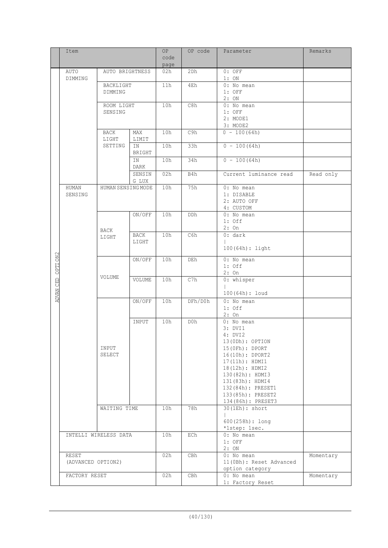| code<br>page<br>$0:$ OFF<br>AUTO<br>AUTO BRIGHTNESS<br>02h<br>2Dh<br>1:ON<br>DIMMING<br>11h<br>4Eh<br>0: No mean<br>BACKLIGHT<br>$1:$ OFF<br>DIMMING<br>2:ON<br>10h<br>C8h<br>0: No mean<br>ROOM LIGHT<br>$1:$ OFF<br>SENSING<br>2: MODE1<br>3: MODE2<br>C9h<br>10h<br>$0 - 100(64h)$<br>MAX<br>BACK<br>LIGHT<br>LIMIT<br>$0 - 100(64h)$<br>SETTING<br>10h<br>33h<br>ΙN<br>BRIGHT<br>$0 - 100(64h)$<br>10h<br>34h<br>ΙN<br><b>DARK</b><br>02h<br>Current luminance read<br>SENSIN<br>B4h<br>Read only<br>G LUX<br>10h<br>75h<br>HUMAN SENSING MODE<br>0: No mean<br>HUMAN<br>SENSING<br>1: DISABLE<br>2: AUTO OFF<br>4: CUSTOM<br>ON/OFF<br>10h<br>DDh<br>0: No mean<br>$1:$ Off<br>$2:$ On<br>BACK<br>C6h<br>0: dark<br>BACK<br>10h<br>LIGHT<br>LIGHT<br>$100(64h):$ light<br>OPTION2<br>ON/OFF<br>10h<br>0: No mean<br>DEh<br>$1:$ Off<br>$2:$ On<br>VOLUME<br>ADVAN CED<br>10h<br>C7h<br>0: whisper<br>VOLUME<br>100 (64h) : loud<br>ON/OFF<br>10h<br>DFh/D0h<br>0: No mean<br>$1:$ Off<br>2:On<br>10h<br>D0h<br>0: No mean<br>INPUT<br>3: DVI1<br>4: DVI2<br>$13(0Dh):$ OPTION<br>INPUT<br>15 (OFh) : DPORT<br>SELECT<br>16(10h): DPORT2<br>17(11h): HDMI1<br>18(12h): HDMI2<br>130(82h): HDMI3<br>131(83h): HDMI4<br>132 (84h) : PRESET1<br>133(85h): PRESET2<br>134 (86h) : PRESET3<br>78h<br>30(1Eh): short<br>WAITING TIME<br>10h<br>$600(258h):$ long<br>*1step: 1sec.<br>INTELLI WIRELESS DATA<br>10h<br>ECh<br>$0:$ No mean<br>$1:$ OFF<br>2:ON<br>02h<br>$0:$ No mean<br>RESET<br>CBh<br>Momentary<br>11 (OBh) : Reset Advanced<br>(ADVANCED OPTION2)<br>option category<br>02h<br>0: No mean<br>FACTORY RESET<br>CBh<br>Momentary | Item |  |  | OP | OP code | Parameter        | Remarks |
|------------------------------------------------------------------------------------------------------------------------------------------------------------------------------------------------------------------------------------------------------------------------------------------------------------------------------------------------------------------------------------------------------------------------------------------------------------------------------------------------------------------------------------------------------------------------------------------------------------------------------------------------------------------------------------------------------------------------------------------------------------------------------------------------------------------------------------------------------------------------------------------------------------------------------------------------------------------------------------------------------------------------------------------------------------------------------------------------------------------------------------------------------------------------------------------------------------------------------------------------------------------------------------------------------------------------------------------------------------------------------------------------------------------------------------------------------------------------------------------------------------------------------------------------------------------------------------------------------------------------------------------------|------|--|--|----|---------|------------------|---------|
|                                                                                                                                                                                                                                                                                                                                                                                                                                                                                                                                                                                                                                                                                                                                                                                                                                                                                                                                                                                                                                                                                                                                                                                                                                                                                                                                                                                                                                                                                                                                                                                                                                                |      |  |  |    |         |                  |         |
|                                                                                                                                                                                                                                                                                                                                                                                                                                                                                                                                                                                                                                                                                                                                                                                                                                                                                                                                                                                                                                                                                                                                                                                                                                                                                                                                                                                                                                                                                                                                                                                                                                                |      |  |  |    |         |                  |         |
|                                                                                                                                                                                                                                                                                                                                                                                                                                                                                                                                                                                                                                                                                                                                                                                                                                                                                                                                                                                                                                                                                                                                                                                                                                                                                                                                                                                                                                                                                                                                                                                                                                                |      |  |  |    |         |                  |         |
|                                                                                                                                                                                                                                                                                                                                                                                                                                                                                                                                                                                                                                                                                                                                                                                                                                                                                                                                                                                                                                                                                                                                                                                                                                                                                                                                                                                                                                                                                                                                                                                                                                                |      |  |  |    |         |                  |         |
|                                                                                                                                                                                                                                                                                                                                                                                                                                                                                                                                                                                                                                                                                                                                                                                                                                                                                                                                                                                                                                                                                                                                                                                                                                                                                                                                                                                                                                                                                                                                                                                                                                                |      |  |  |    |         |                  |         |
|                                                                                                                                                                                                                                                                                                                                                                                                                                                                                                                                                                                                                                                                                                                                                                                                                                                                                                                                                                                                                                                                                                                                                                                                                                                                                                                                                                                                                                                                                                                                                                                                                                                |      |  |  |    |         |                  |         |
|                                                                                                                                                                                                                                                                                                                                                                                                                                                                                                                                                                                                                                                                                                                                                                                                                                                                                                                                                                                                                                                                                                                                                                                                                                                                                                                                                                                                                                                                                                                                                                                                                                                |      |  |  |    |         |                  |         |
|                                                                                                                                                                                                                                                                                                                                                                                                                                                                                                                                                                                                                                                                                                                                                                                                                                                                                                                                                                                                                                                                                                                                                                                                                                                                                                                                                                                                                                                                                                                                                                                                                                                |      |  |  |    |         |                  |         |
|                                                                                                                                                                                                                                                                                                                                                                                                                                                                                                                                                                                                                                                                                                                                                                                                                                                                                                                                                                                                                                                                                                                                                                                                                                                                                                                                                                                                                                                                                                                                                                                                                                                |      |  |  |    |         |                  |         |
|                                                                                                                                                                                                                                                                                                                                                                                                                                                                                                                                                                                                                                                                                                                                                                                                                                                                                                                                                                                                                                                                                                                                                                                                                                                                                                                                                                                                                                                                                                                                                                                                                                                |      |  |  |    |         |                  |         |
|                                                                                                                                                                                                                                                                                                                                                                                                                                                                                                                                                                                                                                                                                                                                                                                                                                                                                                                                                                                                                                                                                                                                                                                                                                                                                                                                                                                                                                                                                                                                                                                                                                                |      |  |  |    |         |                  |         |
|                                                                                                                                                                                                                                                                                                                                                                                                                                                                                                                                                                                                                                                                                                                                                                                                                                                                                                                                                                                                                                                                                                                                                                                                                                                                                                                                                                                                                                                                                                                                                                                                                                                |      |  |  |    |         |                  |         |
|                                                                                                                                                                                                                                                                                                                                                                                                                                                                                                                                                                                                                                                                                                                                                                                                                                                                                                                                                                                                                                                                                                                                                                                                                                                                                                                                                                                                                                                                                                                                                                                                                                                |      |  |  |    |         |                  |         |
|                                                                                                                                                                                                                                                                                                                                                                                                                                                                                                                                                                                                                                                                                                                                                                                                                                                                                                                                                                                                                                                                                                                                                                                                                                                                                                                                                                                                                                                                                                                                                                                                                                                |      |  |  |    |         |                  |         |
|                                                                                                                                                                                                                                                                                                                                                                                                                                                                                                                                                                                                                                                                                                                                                                                                                                                                                                                                                                                                                                                                                                                                                                                                                                                                                                                                                                                                                                                                                                                                                                                                                                                |      |  |  |    |         |                  |         |
|                                                                                                                                                                                                                                                                                                                                                                                                                                                                                                                                                                                                                                                                                                                                                                                                                                                                                                                                                                                                                                                                                                                                                                                                                                                                                                                                                                                                                                                                                                                                                                                                                                                |      |  |  |    |         |                  |         |
|                                                                                                                                                                                                                                                                                                                                                                                                                                                                                                                                                                                                                                                                                                                                                                                                                                                                                                                                                                                                                                                                                                                                                                                                                                                                                                                                                                                                                                                                                                                                                                                                                                                |      |  |  |    |         |                  |         |
|                                                                                                                                                                                                                                                                                                                                                                                                                                                                                                                                                                                                                                                                                                                                                                                                                                                                                                                                                                                                                                                                                                                                                                                                                                                                                                                                                                                                                                                                                                                                                                                                                                                |      |  |  |    |         |                  |         |
|                                                                                                                                                                                                                                                                                                                                                                                                                                                                                                                                                                                                                                                                                                                                                                                                                                                                                                                                                                                                                                                                                                                                                                                                                                                                                                                                                                                                                                                                                                                                                                                                                                                |      |  |  |    |         |                  |         |
|                                                                                                                                                                                                                                                                                                                                                                                                                                                                                                                                                                                                                                                                                                                                                                                                                                                                                                                                                                                                                                                                                                                                                                                                                                                                                                                                                                                                                                                                                                                                                                                                                                                |      |  |  |    |         |                  |         |
|                                                                                                                                                                                                                                                                                                                                                                                                                                                                                                                                                                                                                                                                                                                                                                                                                                                                                                                                                                                                                                                                                                                                                                                                                                                                                                                                                                                                                                                                                                                                                                                                                                                |      |  |  |    |         |                  |         |
|                                                                                                                                                                                                                                                                                                                                                                                                                                                                                                                                                                                                                                                                                                                                                                                                                                                                                                                                                                                                                                                                                                                                                                                                                                                                                                                                                                                                                                                                                                                                                                                                                                                |      |  |  |    |         |                  |         |
|                                                                                                                                                                                                                                                                                                                                                                                                                                                                                                                                                                                                                                                                                                                                                                                                                                                                                                                                                                                                                                                                                                                                                                                                                                                                                                                                                                                                                                                                                                                                                                                                                                                |      |  |  |    |         |                  |         |
|                                                                                                                                                                                                                                                                                                                                                                                                                                                                                                                                                                                                                                                                                                                                                                                                                                                                                                                                                                                                                                                                                                                                                                                                                                                                                                                                                                                                                                                                                                                                                                                                                                                |      |  |  |    |         |                  |         |
|                                                                                                                                                                                                                                                                                                                                                                                                                                                                                                                                                                                                                                                                                                                                                                                                                                                                                                                                                                                                                                                                                                                                                                                                                                                                                                                                                                                                                                                                                                                                                                                                                                                |      |  |  |    |         |                  |         |
|                                                                                                                                                                                                                                                                                                                                                                                                                                                                                                                                                                                                                                                                                                                                                                                                                                                                                                                                                                                                                                                                                                                                                                                                                                                                                                                                                                                                                                                                                                                                                                                                                                                |      |  |  |    |         |                  |         |
|                                                                                                                                                                                                                                                                                                                                                                                                                                                                                                                                                                                                                                                                                                                                                                                                                                                                                                                                                                                                                                                                                                                                                                                                                                                                                                                                                                                                                                                                                                                                                                                                                                                |      |  |  |    |         |                  |         |
|                                                                                                                                                                                                                                                                                                                                                                                                                                                                                                                                                                                                                                                                                                                                                                                                                                                                                                                                                                                                                                                                                                                                                                                                                                                                                                                                                                                                                                                                                                                                                                                                                                                |      |  |  |    |         |                  |         |
|                                                                                                                                                                                                                                                                                                                                                                                                                                                                                                                                                                                                                                                                                                                                                                                                                                                                                                                                                                                                                                                                                                                                                                                                                                                                                                                                                                                                                                                                                                                                                                                                                                                |      |  |  |    |         |                  |         |
|                                                                                                                                                                                                                                                                                                                                                                                                                                                                                                                                                                                                                                                                                                                                                                                                                                                                                                                                                                                                                                                                                                                                                                                                                                                                                                                                                                                                                                                                                                                                                                                                                                                |      |  |  |    |         |                  |         |
|                                                                                                                                                                                                                                                                                                                                                                                                                                                                                                                                                                                                                                                                                                                                                                                                                                                                                                                                                                                                                                                                                                                                                                                                                                                                                                                                                                                                                                                                                                                                                                                                                                                |      |  |  |    |         |                  |         |
|                                                                                                                                                                                                                                                                                                                                                                                                                                                                                                                                                                                                                                                                                                                                                                                                                                                                                                                                                                                                                                                                                                                                                                                                                                                                                                                                                                                                                                                                                                                                                                                                                                                |      |  |  |    |         |                  |         |
|                                                                                                                                                                                                                                                                                                                                                                                                                                                                                                                                                                                                                                                                                                                                                                                                                                                                                                                                                                                                                                                                                                                                                                                                                                                                                                                                                                                                                                                                                                                                                                                                                                                |      |  |  |    |         |                  |         |
|                                                                                                                                                                                                                                                                                                                                                                                                                                                                                                                                                                                                                                                                                                                                                                                                                                                                                                                                                                                                                                                                                                                                                                                                                                                                                                                                                                                                                                                                                                                                                                                                                                                |      |  |  |    |         |                  |         |
|                                                                                                                                                                                                                                                                                                                                                                                                                                                                                                                                                                                                                                                                                                                                                                                                                                                                                                                                                                                                                                                                                                                                                                                                                                                                                                                                                                                                                                                                                                                                                                                                                                                |      |  |  |    |         |                  |         |
|                                                                                                                                                                                                                                                                                                                                                                                                                                                                                                                                                                                                                                                                                                                                                                                                                                                                                                                                                                                                                                                                                                                                                                                                                                                                                                                                                                                                                                                                                                                                                                                                                                                |      |  |  |    |         |                  |         |
|                                                                                                                                                                                                                                                                                                                                                                                                                                                                                                                                                                                                                                                                                                                                                                                                                                                                                                                                                                                                                                                                                                                                                                                                                                                                                                                                                                                                                                                                                                                                                                                                                                                |      |  |  |    |         |                  |         |
|                                                                                                                                                                                                                                                                                                                                                                                                                                                                                                                                                                                                                                                                                                                                                                                                                                                                                                                                                                                                                                                                                                                                                                                                                                                                                                                                                                                                                                                                                                                                                                                                                                                |      |  |  |    |         |                  |         |
|                                                                                                                                                                                                                                                                                                                                                                                                                                                                                                                                                                                                                                                                                                                                                                                                                                                                                                                                                                                                                                                                                                                                                                                                                                                                                                                                                                                                                                                                                                                                                                                                                                                |      |  |  |    |         |                  |         |
|                                                                                                                                                                                                                                                                                                                                                                                                                                                                                                                                                                                                                                                                                                                                                                                                                                                                                                                                                                                                                                                                                                                                                                                                                                                                                                                                                                                                                                                                                                                                                                                                                                                |      |  |  |    |         |                  |         |
|                                                                                                                                                                                                                                                                                                                                                                                                                                                                                                                                                                                                                                                                                                                                                                                                                                                                                                                                                                                                                                                                                                                                                                                                                                                                                                                                                                                                                                                                                                                                                                                                                                                |      |  |  |    |         |                  |         |
|                                                                                                                                                                                                                                                                                                                                                                                                                                                                                                                                                                                                                                                                                                                                                                                                                                                                                                                                                                                                                                                                                                                                                                                                                                                                                                                                                                                                                                                                                                                                                                                                                                                |      |  |  |    |         |                  |         |
|                                                                                                                                                                                                                                                                                                                                                                                                                                                                                                                                                                                                                                                                                                                                                                                                                                                                                                                                                                                                                                                                                                                                                                                                                                                                                                                                                                                                                                                                                                                                                                                                                                                |      |  |  |    |         |                  |         |
|                                                                                                                                                                                                                                                                                                                                                                                                                                                                                                                                                                                                                                                                                                                                                                                                                                                                                                                                                                                                                                                                                                                                                                                                                                                                                                                                                                                                                                                                                                                                                                                                                                                |      |  |  |    |         |                  |         |
|                                                                                                                                                                                                                                                                                                                                                                                                                                                                                                                                                                                                                                                                                                                                                                                                                                                                                                                                                                                                                                                                                                                                                                                                                                                                                                                                                                                                                                                                                                                                                                                                                                                |      |  |  |    |         |                  |         |
|                                                                                                                                                                                                                                                                                                                                                                                                                                                                                                                                                                                                                                                                                                                                                                                                                                                                                                                                                                                                                                                                                                                                                                                                                                                                                                                                                                                                                                                                                                                                                                                                                                                |      |  |  |    |         |                  |         |
|                                                                                                                                                                                                                                                                                                                                                                                                                                                                                                                                                                                                                                                                                                                                                                                                                                                                                                                                                                                                                                                                                                                                                                                                                                                                                                                                                                                                                                                                                                                                                                                                                                                |      |  |  |    |         |                  |         |
|                                                                                                                                                                                                                                                                                                                                                                                                                                                                                                                                                                                                                                                                                                                                                                                                                                                                                                                                                                                                                                                                                                                                                                                                                                                                                                                                                                                                                                                                                                                                                                                                                                                |      |  |  |    |         |                  |         |
|                                                                                                                                                                                                                                                                                                                                                                                                                                                                                                                                                                                                                                                                                                                                                                                                                                                                                                                                                                                                                                                                                                                                                                                                                                                                                                                                                                                                                                                                                                                                                                                                                                                |      |  |  |    |         |                  |         |
|                                                                                                                                                                                                                                                                                                                                                                                                                                                                                                                                                                                                                                                                                                                                                                                                                                                                                                                                                                                                                                                                                                                                                                                                                                                                                                                                                                                                                                                                                                                                                                                                                                                |      |  |  |    |         |                  |         |
|                                                                                                                                                                                                                                                                                                                                                                                                                                                                                                                                                                                                                                                                                                                                                                                                                                                                                                                                                                                                                                                                                                                                                                                                                                                                                                                                                                                                                                                                                                                                                                                                                                                |      |  |  |    |         |                  |         |
|                                                                                                                                                                                                                                                                                                                                                                                                                                                                                                                                                                                                                                                                                                                                                                                                                                                                                                                                                                                                                                                                                                                                                                                                                                                                                                                                                                                                                                                                                                                                                                                                                                                |      |  |  |    |         |                  |         |
|                                                                                                                                                                                                                                                                                                                                                                                                                                                                                                                                                                                                                                                                                                                                                                                                                                                                                                                                                                                                                                                                                                                                                                                                                                                                                                                                                                                                                                                                                                                                                                                                                                                |      |  |  |    |         |                  |         |
|                                                                                                                                                                                                                                                                                                                                                                                                                                                                                                                                                                                                                                                                                                                                                                                                                                                                                                                                                                                                                                                                                                                                                                                                                                                                                                                                                                                                                                                                                                                                                                                                                                                |      |  |  |    |         |                  |         |
|                                                                                                                                                                                                                                                                                                                                                                                                                                                                                                                                                                                                                                                                                                                                                                                                                                                                                                                                                                                                                                                                                                                                                                                                                                                                                                                                                                                                                                                                                                                                                                                                                                                |      |  |  |    |         |                  |         |
|                                                                                                                                                                                                                                                                                                                                                                                                                                                                                                                                                                                                                                                                                                                                                                                                                                                                                                                                                                                                                                                                                                                                                                                                                                                                                                                                                                                                                                                                                                                                                                                                                                                |      |  |  |    |         |                  |         |
|                                                                                                                                                                                                                                                                                                                                                                                                                                                                                                                                                                                                                                                                                                                                                                                                                                                                                                                                                                                                                                                                                                                                                                                                                                                                                                                                                                                                                                                                                                                                                                                                                                                |      |  |  |    |         | 1: Factory Reset |         |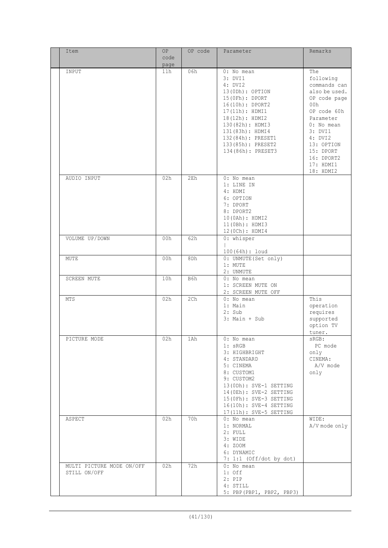| Item                                      | OP           | OP code | Parameter                                                                                                                                                                                                                                 | Remarks                                                                                                                                                                                                       |
|-------------------------------------------|--------------|---------|-------------------------------------------------------------------------------------------------------------------------------------------------------------------------------------------------------------------------------------------|---------------------------------------------------------------------------------------------------------------------------------------------------------------------------------------------------------------|
|                                           | code<br>page |         |                                                                                                                                                                                                                                           |                                                                                                                                                                                                               |
| INPUT                                     | 11h          | 06h     | $0:$ No mean<br>3: DVI1<br>4: DVI2<br>13(ODh): OPTION<br>15 (OFh) : DPORT<br>16(10h): DPORT2<br>17(11h): HDMI1<br>18(12h): HDMI2<br>130(82h): HDMI3<br>131(83h): HDMI4<br>132 (84h) : PRESET1<br>133(85h): PRESET2<br>134 (86h) : PRESET3 | The<br>following<br>commands can<br>also be used.<br>OP code page<br>00h<br>OP code 60h<br>Parameter<br>$0:$ No mean<br>3: DVI1<br>4: DVI2<br>13: OPTION<br>15: DPORT<br>16: DPORT2<br>17: HDMI1<br>18: HDMI2 |
| AUDIO INPUT                               | 02h          | 2Eh     | $0:$ No mean<br>1: LINE IN<br>4: HDMI<br>6: OPTION<br>7: DPORT<br>8: DPORT2<br>10(0Ah): HDMI2<br>11(0Bh): HDMI3<br>12 (0Ch) : HDMI4                                                                                                       |                                                                                                                                                                                                               |
| VOLUME UP/DOWN                            | 00h          | 62h     | 0: whisper<br>100 (64h) : loud                                                                                                                                                                                                            |                                                                                                                                                                                                               |
| MUTE                                      | 00h          | 8Dh     | 0: UNMUTE (Set only)<br>1: MUTE<br>2: UNMUTE                                                                                                                                                                                              |                                                                                                                                                                                                               |
| SCREEN MUTE                               | 10h          | B6h     | 0: No mean<br>1: SCREEN MUTE ON<br>2: SCREEN MUTE OFF                                                                                                                                                                                     |                                                                                                                                                                                                               |
| MTS                                       | 02h          | 2Ch     | 0: No mean<br>1: Main<br>$2:$ Sub<br>$3:$ Main + Sub                                                                                                                                                                                      | This<br>operation<br>requires<br>supported<br>option TV<br>tuner.                                                                                                                                             |
| PICTURE MODE                              | 02h          | 1Ah     | $0:$ No mean<br>$1:$ sRGB<br>3: HIGHBRIGHT<br>4: STANDARD<br>5: CINEMA<br>8: CUSTOM1<br>9: CUSTOM2<br>13(ODh): SVE-1 SETTING<br>14(OEh): SVE-2 SETTING<br>15(OFh): SVE-3 SETTING<br>16(10h): SVE-4 SETTING<br>17(11h): SVE-5 SETTING      | sRGB:<br>PC mode<br>only<br>CINEMA:<br>A/V mode<br>only                                                                                                                                                       |
| ASPECT                                    | 02h          | 70h     | $0:$ No mean<br>1: NORMAL<br>2: FULL<br>3: WIDE<br>4: ZOOM<br>6: DYNAMIC<br>7: 1:1 (Off/dot by dot)                                                                                                                                       | WIDE:<br>A/V mode only                                                                                                                                                                                        |
| MULTI PICTURE MODE ON/OFF<br>STILL ON/OFF | 02h          | 72h     | $0:$ No mean<br>$1:$ Off<br>$2:$ PIP<br>4: STILL<br>5: PBP (PBP1, PBP2, PBP3)                                                                                                                                                             |                                                                                                                                                                                                               |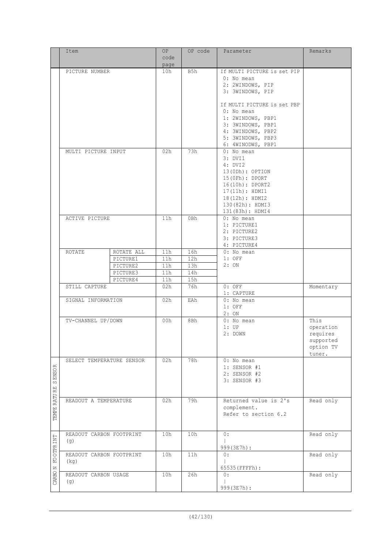|                     | Item                      |            | OP              | OP code         | Parameter                              | Remarks                |
|---------------------|---------------------------|------------|-----------------|-----------------|----------------------------------------|------------------------|
|                     |                           |            | code            |                 |                                        |                        |
|                     |                           |            | page            |                 |                                        |                        |
|                     | PICTURE NUMBER            |            | 10h             | B5h             | If MULTI PICTURE is set PIP            |                        |
|                     |                           |            |                 |                 | $0:$ No mean                           |                        |
|                     |                           |            |                 |                 | 2: 2WINDOWS, PIP                       |                        |
|                     |                           |            |                 |                 | 3: 3WINDOWS, PIP                       |                        |
|                     |                           |            |                 |                 |                                        |                        |
|                     |                           |            |                 |                 | If MULTI PICTURE is set PBP            |                        |
|                     |                           |            |                 |                 | $0:$ No mean                           |                        |
|                     |                           |            |                 |                 | 1: 2WINDOWS, PBP1<br>3: 3WINDOWS, PBP1 |                        |
|                     |                           |            |                 |                 | 4: 3WINDOWS, PBP2                      |                        |
|                     |                           |            |                 |                 | 5: 3WINDOWS, PBP3                      |                        |
|                     |                           |            |                 |                 | 6: 4WINODWS, PBP1                      |                        |
|                     | MULTI PICTURE INPUT       |            | 02h             | 73h             | 0: No mean                             |                        |
|                     |                           |            |                 |                 | 3: DVI1                                |                        |
|                     |                           |            |                 |                 | 4: DVI2                                |                        |
|                     |                           |            |                 |                 | $13(0Dh):$ OPTION                      |                        |
|                     |                           |            |                 |                 | 15(0Fh): DPORT                         |                        |
|                     |                           |            |                 |                 | 16(10h): DPORT2                        |                        |
|                     |                           |            |                 |                 | 17(11h): HDM11                         |                        |
|                     |                           |            |                 |                 | 18(12h): HDMI2                         |                        |
|                     |                           |            |                 |                 | 130(82h): HDMI3                        |                        |
|                     |                           |            |                 |                 | 131(83h): HDMI4                        |                        |
|                     | ACTIVE PICTURE            |            | 11h             | 0Bh             | $0:$ No mean                           |                        |
|                     |                           |            |                 |                 | 1: PICTURE1                            |                        |
|                     |                           |            |                 |                 | 2: PICTURE2                            |                        |
|                     |                           |            |                 |                 | 3: PICTURE3                            |                        |
|                     |                           |            |                 |                 | 4: PICTURE4                            |                        |
|                     | ROTATE                    | ROTATE ALL | 11h             | 16h             | $0:$ No mean                           |                        |
|                     |                           | PICTURE1   | 11 <sub>h</sub> | 12 <sub>h</sub> | $1:$ OFF                               |                        |
|                     |                           | PICTURE2   | 11h             | 13h             | 2:ON                                   |                        |
|                     |                           | PICTURE3   | 11h             | 14h             |                                        |                        |
|                     |                           | PICTURE4   | 11h             | 15h             |                                        |                        |
|                     | STILL CAPTURE             |            | 02h             | 76h             | $0:$ OFF                               | Momentary              |
|                     |                           |            |                 |                 | 1: CAPTURE                             |                        |
|                     | SIGNAL INFORMATION        |            | 02h             | EAh             | 0: No mean                             |                        |
|                     |                           |            |                 |                 | $1:$ OFF                               |                        |
|                     |                           |            |                 |                 | 2:ON                                   |                        |
|                     | TV-CHANNEL UP/DOWN        |            | 00h             | 8Bh             | 0: No mean<br>$1:$ UP                  | This                   |
|                     |                           |            |                 |                 |                                        | operation              |
|                     |                           |            |                 |                 | 2: DOWN                                | requires               |
|                     |                           |            |                 |                 |                                        | supported<br>option TV |
|                     |                           |            |                 |                 |                                        | tuner.                 |
|                     | SELECT TEMPERATURE SENSOR |            | 02h             | 78h             | 0: No mean                             |                        |
| $\simeq$            |                           |            |                 |                 | 1: SENSOR #1                           |                        |
|                     |                           |            |                 |                 | 2: SENSOR #2                           |                        |
| <b>SENSO</b>        |                           |            |                 |                 | 3: SENSOR #3                           |                        |
|                     |                           |            |                 |                 |                                        |                        |
|                     |                           |            |                 |                 |                                        |                        |
|                     | READOUT A TEMPERATURE     |            | 02h             | 79h             | Returned value is 2's                  | Read only              |
|                     |                           |            |                 |                 | complement.                            |                        |
| <b>TEMPE RATURE</b> |                           |            |                 |                 | Refer to section 6.2                   |                        |
|                     |                           |            |                 |                 |                                        |                        |
|                     |                           |            |                 |                 |                                        |                        |
|                     | READOUT CARBON FOOTPRINT  |            | 10h             | 10h             | 0:                                     | Read only              |
| FOOTER INT          | (g)                       |            |                 |                 |                                        |                        |
|                     |                           |            |                 |                 | 999 (3E7h) :<br>$\overline{0}$ :       |                        |
|                     | READOUT CARBON FOOTPRINT  |            | 10h             | 11h             |                                        | Read only              |
|                     | (kq)                      |            |                 |                 | 65535 (FFFFh) :                        |                        |
|                     | READOUT CARBON USAGE      |            | 10h             | 26h             | 0:                                     | Read only              |
| CARBO N             | (g)                       |            |                 |                 |                                        |                        |
|                     |                           |            |                 |                 | 999 (3E7h) :                           |                        |
|                     |                           |            |                 |                 |                                        |                        |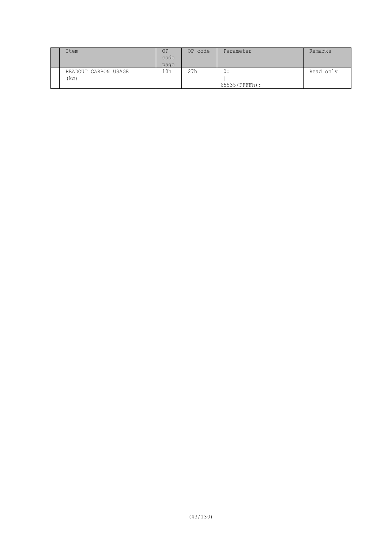| Item                         | OP<br>code<br>page | OP code | Parameter            | Remarks   |
|------------------------------|--------------------|---------|----------------------|-----------|
| READOUT CARBON USAGE<br>(kg) | 10h                | 27h     | υ:<br>65535 (FFFFh): | Read only |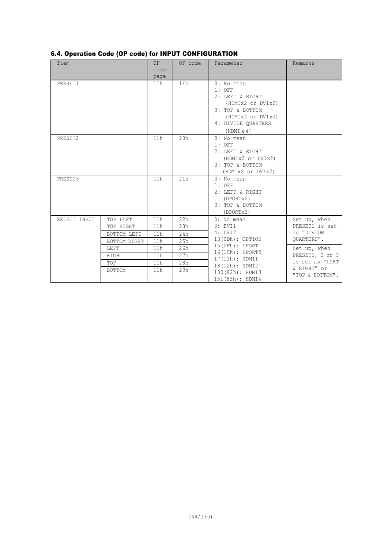|  |  | 6.4. Operation Code (OP code) for INPUT CONFIGURATION |
|--|--|-------------------------------------------------------|
|  |  |                                                       |

| Item         |                                                       | OP<br>code<br>page              | OP code                         | Parameter                                                                                                                                         | Remarks                                                           |
|--------------|-------------------------------------------------------|---------------------------------|---------------------------------|---------------------------------------------------------------------------------------------------------------------------------------------------|-------------------------------------------------------------------|
| PRESET1      |                                                       | 11h                             | 1Fh                             | 0: No mean<br>$1:$ OFF<br>2: LEFT & RIGHT<br>(HDMIx2 or DVIx2)<br>3: TOP & BOTTOM<br>(HDMIx2 or DVIx2)<br>4: DIVIDE QUARTERS<br>$(HDMI \times 4)$ |                                                                   |
| PRESET2      |                                                       | 11h                             | 20h                             | $0:$ No mean<br>$1:$ OFF<br>2: LEFT & RIGHT<br>(HDMIx2 or DVIx2)<br>3: TOP & BOTTOM<br>(HDMIx2 or DVIx2)                                          |                                                                   |
| PRESET3      |                                                       | 11h                             | 21h                             | $0:$ No mean<br>$1:$ OFF<br>2: LEFT & RIGHT<br>(DPORTx2)<br>3: TOP & BOTTOM<br>(DPORTx2)                                                          |                                                                   |
| SELECT INPUT | TOP LEFT<br>TOP RIGHT<br>BOTTOM LEFT                  | 11h<br>11h<br>11h               | 22h<br>23h<br>24h               | $0:$ No mean<br>3: DVI1<br>4: DVI2<br>13(ODh): OPTION                                                                                             | Set up, when<br>PRESET1 is set<br>as "DIVIDE<br>OUARTERS".        |
|              | BOTTOM RIGHT<br>LEFT<br><b>RIGHT</b><br>TOP<br>BOTTOM | 11h<br>11h<br>11h<br>11h<br>11h | 25h<br>26h<br>27h<br>28h<br>29h | 15(0Fh): DPORT<br>16(10h): DPORT2<br>17(11h): HDMI1<br>18(12h): HDMI2                                                                             | Set up, when<br>PRESET1, 2 or 3<br>is set as "LEFT<br>& RIGHT" or |
|              |                                                       |                                 |                                 | 130 (82h) : HDMI3<br>131 (83h) : HDMI4                                                                                                            | "TOP & BOTTOM".                                                   |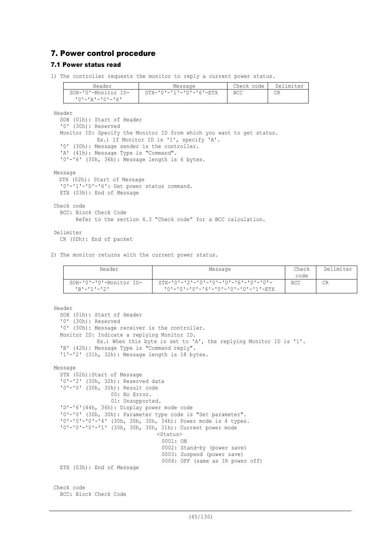# 7. Power control procedure

## 7.1 Power status read

1) The controller requests the monitor to reply a current power status.

| Header              | Message                             | Check code | Delimiter |
|---------------------|-------------------------------------|------------|-----------|
| SOH-'0'-Monitor ID- | $STX - '0' - '1' - 'D' - '6' - ETX$ | <b>BCC</b> | CR        |
| '0'-'A'-'0'-'6'     |                                     |            |           |

Header

SOH (01h): Start of Header '0' (30h): Reserved Monitor ID: Specify the Monitor ID from which you want to get status. Ex.) If Monitor ID is '1', specify 'A'. '0' (30h): Message sender is the controller. 'A' (41h): Message Type is "Command". '0'-'6' (30h, 36h): Message length is 6 bytes. Message

STX (02h): Start of Message '0'-'1'-'D'-'6': Get power status command. ETX (03h): End of Message

Check code BCC: Block Check Code

Refer to the section 4.3 "Check code" for a BCC calculation.

# Delimiter

CR (0Dh): End of packet

2) The monitor returns with the current power status.

| Header                  | Message                                               | Check | Delimiter |
|-------------------------|-------------------------------------------------------|-------|-----------|
|                         |                                                       | code  |           |
| SOH-'0'-'0'-Monitor ID- | $STX - 10 - 2 = 10 - 10 - 10 - 10 - 16 - 10 - 10 - 1$ | BCC   | <b>CR</b> |
| <b>'R'-'1'-'2'</b>      | '0'-'0'-'0'-'4'-'0'-'0'-'0'-'1'-ETX                   |       |           |

```
Header
  SOH (01h): Start of Header
  '0' (30h): Reserved
  '0' (30h): Message receiver is the controller.
  Monitor ID: Indicate a replying Monitor ID.
             Ex.) When this byte is set to 'A', the replying Monitor ID is '1'.
  'B' (42h): Message Type is "Command reply".
  '1'-'2' (31h, 32h): Message length is 18 bytes.
Message
  STX (02h):Start of Message
  '0'-'2' (30h, 32h): Reserved data
  '0'-'0' (30h, 30h): Result code
                  00: No Error.
                  01: Unsupported.
  'D'-'6'(44h, 36h): Display power mode code
  '0'-'0' (30h, 30h): Parameter type code is "Set parameter".
  '0'-'0'-'0'-'4' (30h, 30h, 30h, 34h): Power mode is 4 types.
  '0'-'0'-'0'-'1' (30h, 30h, 30h, 31h): Current power mode
                                 <Status>
                                   0001: ON
                                   0002: Stand-by (power save)
                                   0003: Suspend (power save)
                                   0004: OFF (same as IR power off)
  ETX (03h): End of Message
Check code
 BCC: Block Check Code
```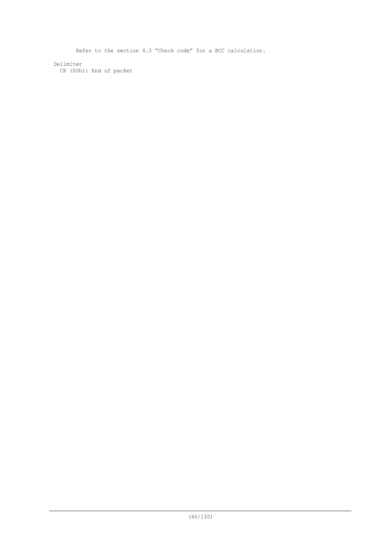Refer to the section 4.3 "Check code" for a BCC calculation.

Delimiter CR (0Dh): End of packet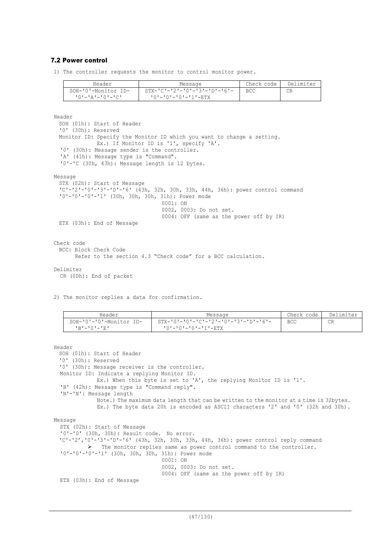## 7.2 Power control

1) The controller requests the monitor to control monitor power.

| Header                         | Message                        | Check code | Delimiter |
|--------------------------------|--------------------------------|------------|-----------|
| SOH-'0'-Monitor ID-            | - STX-'C'-'2'-'0'-'3'-'D'-'6'- | <b>BCC</b> | СR        |
| <u> 'O' - 'A' - 'O' - 'C' </u> | '0'-'0'-'0'-'1'-ETX            |            |           |

Header SOH (01h): Start of Header '0' (30h): Reserved Monitor ID: Specify the Monitor ID which you want to change a setting. Ex.) If Monitor ID is '1', specify 'A'. '0' (30h): Message sender is the controller. 'A' (41h): Message type is "Command". '0'-'C (30h, 43h): Message length is 12 bytes. Message STX (02h): Start of Message 'C'-'2'-'0'-'3'-'D'-'6' (43h, 32h, 30h, 33h, 44h, 36h): power control command '0'-'0'-'0'-'1' (30h, 30h, 30h, 31h): Power mode 0001: ON 0002, 0003: Do not set. 0004: OFF (same as the power off by IR) ETX (03h): End of Message Check code BCC: Block Check Code Refer to the section 4.3 "Check code" for a BCC calculation. Delimiter CR (0Dh): End of packet

2) The monitor replies a data for confirmation.

| Header                  | Message                                | Check code . | Delimiter |
|-------------------------|----------------------------------------|--------------|-----------|
| SOH-'0'-'0'-Monitor ID- | - STX-'0'-'0'-'C'-'2'-'0'-'3'-'D'-'6'- | <b>BCC</b>   | CR        |
| IR'-'0'-'R'             | '0'-'0'-'0'-'1'-ETX                    |              |           |

```
SOH (01h): Start of Header
  '0' (30h): Reserved
 '0' (30h): Message receiver is the controller.
 Monitor ID: Indicate a replying Monitor ID.
             Ex.) When this byte is set to 'A', the replying Monitor ID is '1'.
  'B' (42h): Message type is "Command reply".
  'N'-'N': Message length
             Note.) The maximum data length that can be written to the monitor at a time is 32bytes.
             Ex.) The byte data 20h is encoded as ASCII characters '2' and '0' (32h and 30h).
Message
  STX (02h): Start of Message
  '0'-'0' (30h, 30h): Result code. No error.
  'C'-'2','0'-'3'-'D'-'6' (43h, 32h, 30h, 33h, 44h, 36h): power control reply command
          Ø The monitor replies same as power control command to the controller.
  '0'-'0'-'0'-'1' (30h, 30h, 30h, 31h): Power mode
                                  0001: ON
                                  0002, 0003: Do not set.
                                  0004: OFF (same as the power off by IR)
  ETX (03h): End of Message
```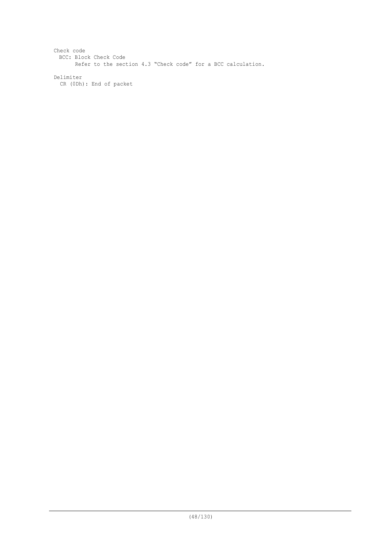Check code BCC: Block Check Code Refer to the section 4.3 "Check code" for a BCC calculation.

Delimiter

CR (0Dh): End of packet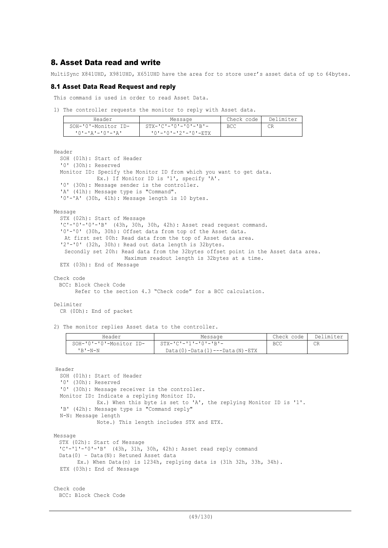# 8. Asset Data read and write

MultiSync X841UHD, X981UHD, X651UHD have the area for to store user's asset data of up to 64bytes.

## 8.1 Asset Data Read Request and reply

This command is used in order to read Asset Data.

1) The controller requests the monitor to reply with Asset data.

| Header              | Message                       | Check code | Delimiter |
|---------------------|-------------------------------|------------|-----------|
| SOH-'0'-Monitor ID- | $STX - IC = 101 - 101 - IR =$ | <b>BCC</b> |           |
| 10'-'A'-'0'-'A'     | '0'-'0'-'2'-'0'-ETX           |            |           |

Header

SOH (01h): Start of Header '0' (30h): Reserved Monitor ID: Specify the Monitor ID from which you want to get data. Ex.) If Monitor ID is '1', specify 'A'. '0' (30h): Message sender is the controller. 'A' (41h): Message type is "Command". '0'-'A' (30h, 41h): Message length is 10 bytes.

Message

STX (02h): Start of Message 'C'-'0'-'0'-'B' (43h, 30h, 30h, 42h): Asset read request command. '0'-'0' (30h, 30h): Offset data from top of the Asset data. At first set 00h: Read data from the top of Asset data area. '2'-'0' (32h, 30h): Read out data length is 32bytes. Secondly set 20h: Read data from the 32bytes offset point in the Asset data area. Maximum readout length is 32bytes at a time. ETX (03h): End of Message

Check code

BCC: Block Check Code

Refer to the section 4.3 "Check code" for a BCC calculation.

### Delimiter

CR (0Dh): End of packet

2) The monitor replies Asset data to the controller.

| Header                  | Message                               | Check code | Delimiter |
|-------------------------|---------------------------------------|------------|-----------|
| SOH-'0'-'0'-Monitor ID- | $STX - 'C' - '1' - '0' - 'B' -$       | <b>BCC</b> | CR        |
| $'$ R $'$ $-N-N$        | $Data(0) - Data(1) --- Data(N) - ETX$ |            |           |

Header

```
SOH (01h): Start of Header
  '0' (30h): Reserved
  '0' (30h): Message receiver is the controller.
 Monitor ID: Indicate a replying Monitor ID.
             Ex.) When this byte is set to 'A', the replying Monitor ID is '1'.
  'B' (42h): Message type is "Command reply"
  N-N: Message length
             Note.) This length includes STX and ETX.
Message
 STX (02h): Start of Message
  'C'-'1'-'0'-'B' (43h, 31h, 30h, 42h): Asset read reply command
 Data(0) – Data(N): Retuned Asset data
       Ex.) When Data(n) is 1234h, replying data is (31h 32h, 33h, 34h).
  ETX (03h): End of Message
```
Check code BCC: Block Check Code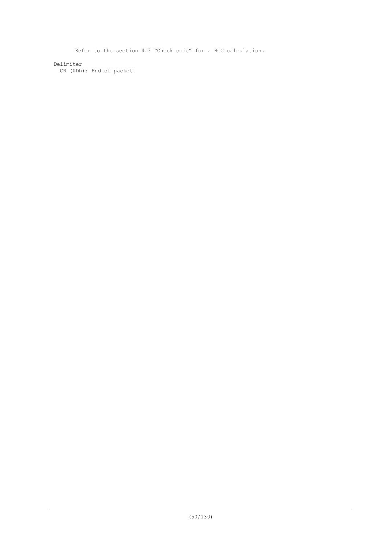Refer to the section 4.3 "Check code" for a BCC calculation.

Delimiter CR (0Dh): End of packet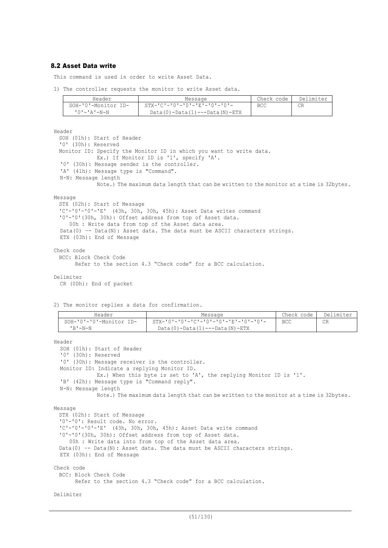## 8.2 Asset Data write

This command is used in order to write Asset Data.

1) The controller requests the monitor to write Asset data.

| Header              | Message                                                     | Check code | Delimiter |
|---------------------|-------------------------------------------------------------|------------|-----------|
| SOH-'0'-Monitor ID- | $STX - ^{\dagger}C$ ' - '0' - '0' - 'E' - '0' - '0' - '0' - | BCC        | CR        |
| $101 - 121 - N - N$ | Data (0) - Data (1) --- Data (N) - ETX                      |            |           |

Header

```
SOH (01h): Start of Header
  '0' (30h): Reserved
 Monitor ID: Specify the Monitor ID in which you want to write data.
             Ex.) If Monitor ID is '1', specify 'A'.
  '0' (30h): Message sender is the controller.
  'A' (41h): Message type is "Command".
  N-N: Message length
             Note.) The maximum data length that can be written to the monitor at a time is 32bytes.
Message
 STX (02h): Start of Message
  'C'-'0'-'0'-'E' (43h, 30h, 30h, 45h): Asset Data writes command
  '0'-'0'(30h, 30h): Offset address from top of Asset data.
    00h : Write data from top of the Asset data area.
  Data(0) –- Data(N): Asset data. The data must be ASCII characters strings.
  ETX (03h): End of Message
Check code
 BCC: Block Check Code
       Refer to the section 4.3 "Check code" for a BCC calculation.
```
#### Delimiter

```
CR (0Dh): End of packet
```
2) The monitor replies a data for confirmation.

| Header                  | Message                                                     | Check code | Delimiter |
|-------------------------|-------------------------------------------------------------|------------|-----------|
| SOH-'0'-'0'-Monitor ID- | $STX - T0 = T0 = TC - T0 = T0 = T0 = T0 = T0 = T0 = T0 = T$ | <b>BCC</b> | CR        |
| ' B ' -N-N              | $Data(0) - Data(1) --- Data(N) - ETX$                       |            |           |

Header

SOH (01h): Start of Header '0' (30h): Reserved '0' (30h): Message receiver is the controller. Monitor ID: Indicate a replying Monitor ID. Ex.) When this byte is set to 'A', the replying Monitor ID is '1'. 'B' (42h): Message type is "Command reply". N-N: Message length Note.) The maximum data length that can be written to the monitor at a time is 32bytes. Message STX (02h): Start of Message '0'-'0': Result code. No error. 'C'-'0'-'0'-'E' (43h, 30h, 30h, 45h): Asset Data write command '0'-'0'(30h, 30h): Offset address from top of Asset data. 00h : Write data into from top of the Asset data area. Data(0) -- Data(N): Asset data. The data must be ASCII characters strings. ETX (03h): End of Message

Check code

BCC: Block Check Code

Refer to the section 4.3 "Check code" for a BCC calculation.

Delimiter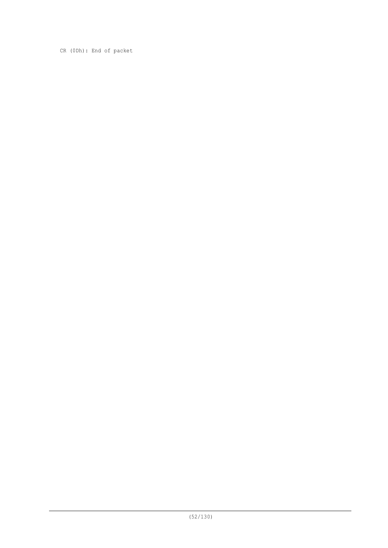CR (0Dh): End of packet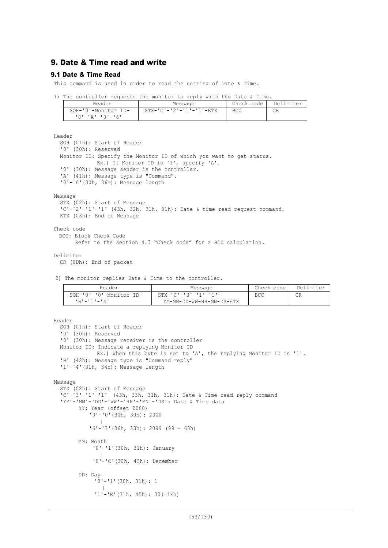# 9. Date & Time read and write

## 9.1 Date & Time Read

This command is used in order to read the setting of Date & Time.

1) The controller requests the monitor to reply with the Date & Time.

| Header              | Message                            | Check code | Delimiter |
|---------------------|------------------------------------|------------|-----------|
| SOH-'0'-Monitor ID- | $STX - IC - 121 - 111 - 111 - RTX$ | <b>BCC</b> |           |
| 10'-'A'-'0'-'6'     |                                    |            |           |

Header

```
SOH (01h): Start of Header
  '0' (30h): Reserved
 Monitor ID: Specify the Monitor ID of which you want to get status.
             Ex.) If Monitor ID is '1', specify 'A'.
  '0' (30h): Message sender is the controller.
  'A' (41h): Message type is "Command".
  '0'-'6'(30h, 36h): Message length
Message
```

```
STX (02h): Start of Message
'C'-'2'-'1'-'1' (43h, 32h, 31h, 31h): Date & time read request command.
ETX (03h): End of Message
```
Check code

```
BCC: Block Check Code
```

```
 Refer to the section 4.3 "Check code" for a BCC calculation.
```
Delimiter

```
CR (0Dh): End of packet
```
2) The monitor replies Date & Time to the controller.

| Header                           | Message                         | Check code | Delimiter |
|----------------------------------|---------------------------------|------------|-----------|
| $SOH - '0' - '0' - Monitor ID -$ | $STX - 'C' - '3' - '1' - '1' -$ | BCC        | СR        |
| $1R1 - 111 - 141$                | YY-MM-DD-WW-HH-MN-DS-ETX        |            |           |

```
Header
  SOH (01h): Start of Header
  '0' (30h): Reserved
  '0' (30h): Message receiver is the controller
  Monitor ID: Indicate a replying Monitor ID
              Ex.) When this byte is set to 'A', the replying Monitor ID is '1'.
  'B' (42h): Message type is "Command reply"
  '1'-'4'(31h, 34h): Message length
Message
  STX (02h): Start of Message
  'C'-'3'-'1'-'1' (43h, 33h, 31h, 31h): Date & Time read reply command
  'YY'-'MM'-'DD'-'WW'-'HH'-'MN'-'DS': Date & Time data
        YY: Year (offset 2000)
             '0'-'0'(30h, 30h): 2000
        || || || || || ||
            '6'-'3'(36h, 33h): 2099 (99 = 63h)
        MM: Month
             '0'-'1'(30h, 31h): January
             \sim \pm'0'-'C'(30h, 43h): December
        DD: Day
             '0'-'1'(30h, 31h): 1
             \blacksquare'1'-'E'(31h, 45h): 30(=1Eh)
```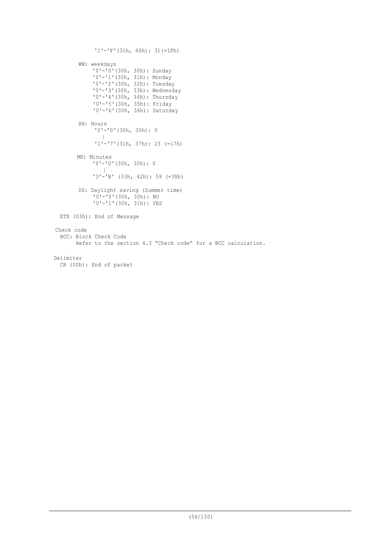```
'1'-'F'(31h, 46h): 31(=1Fh)
        WW: weekdays
            "0"-'0'(30h, 30h): Sunday
             '0'-'1'(30h, 31h): Monday
             '0'-'2'(30h, 32h): Tuesday
             '0'-'3'(30h, 33h): Wednesday
            '0'-'4'(30h, 34h): Thursday
             '0'-'5'(30h, 35h): Friday
             '0'-'6'(30h, 36h): Saturday
        HH: Hours
             '0'-'0'(30h, 30h): 0
                |
             '1'-'7'(31h, 37h): 23 (=17h)
       MN: Minutes
            '0'-'0'(30h, 30h): 0
               \blacksquare'3'-'B' (33h, 42h): 59 (=3Bh)
        DS: Daylight saving (Summer time)
            '0'-'0'(30h, 30h): NO
            '0'-'1'(30h, 31h): YES
 ETX (03h): End of Message
Check code
 BCC: Block Check Code
        Refer to the section 4.3 "Check code" for a BCC calculation.
Delimiter
 CR (0Dh): End of packet
```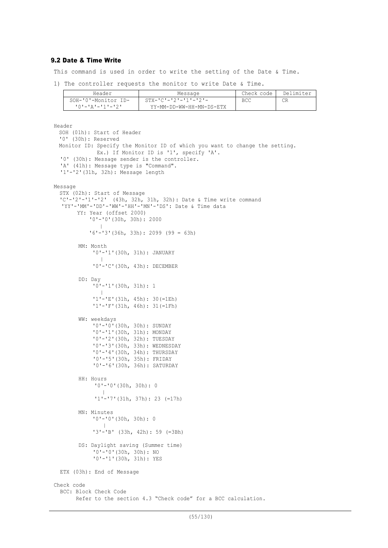## 9.2 Date & Time Write

This command is used in order to write the setting of the Date & Time.

1) The controller requests the monitor to write Date & Time.

| Header              | Message                         | Check code | Delimiter |
|---------------------|---------------------------------|------------|-----------|
| SOH-'0'-Monitor ID- | $STX - 'C' - '2' - '1' - '2' -$ | BCC        | СR        |
| +0+_+a+_+1+_+2+     | YY-MM-DD-WW-HH-MN-DS-ETX        |            |           |

```
Header
 SOH (01h): Start of Header
  '0' (30h): Reserved
 Monitor ID: Specify the Monitor ID of which you want to change the setting.
             Ex.) If Monitor ID is '1', specify 'A'.
  '0' (30h): Message sender is the controller.
  'A' (41h): Message type is "Command".
  '1'-'2'(31h, 32h): Message length
Message
 STX (02h): Start of Message
  'C'-'2'-'1'-'2' (43h, 32h, 31h, 32h): Date & Time write command
  'YY'-'MM'-'DD'-'WW'-'HH'-'MN'-'DS': Date & Time data
       YY: Year (offset 2000)
             '0'-'0'(30h, 30h): 2000
        || || || || || ||
            '6'-'3'(36h, 33h): 2099 (99 = 63h)
        MM: Month
            '0'-'1'(30h, 31h): JANUARY
             \sim \pm'0'-'C'(30h, 43h): DECEMBER
        DD: Day
            '0'-'1'(30h, 31h): 1
             \sim \pm'1'-'E'(31h, 45h): 30(=1Eh)
             '1'-'F'(31h, 46h): 31(=1Fh)
        WW: weekdays
             '0'-'0'(30h, 30h): SUNDAY
             '0'-'1'(30h, 31h): MONDAY
             '0'-'2'(30h, 32h): TUESDAY
             '0'-'3'(30h, 33h): WEDNESDAY
             '0'-'4'(30h, 34h): THURSDAY
             '0'-'5'(30h, 35h): FRIDAY
             '0'-'6'(30h, 36h): SATURDAY
        HH: Hours
             '0'-'0'(30h, 30h): 0
             \blacksquare'1'-'7'(31h, 37h): 23 (=17h)
        MN: Minutes
             '0'-'0'(30h, 30h): 0
               \blacksquare'3'-'B' (33h, 42h): 59 (=3Bh)
        DS: Daylight saving (Summer time)
             '0'-'0'(30h, 30h): NO
             '0'-'1'(30h, 31h): YES
 ETX (03h): End of Message
Check code
 BCC: Block Check Code
        Refer to the section 4.3 "Check code" for a BCC calculation.
```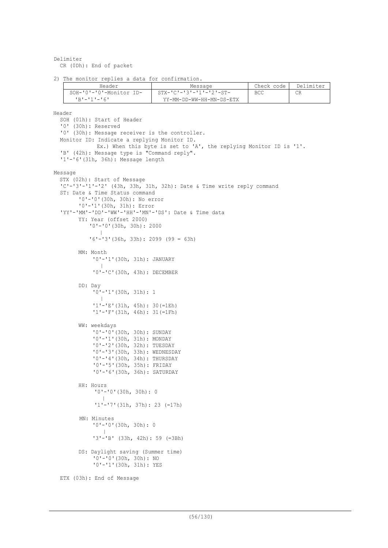Delimiter CR (0Dh): End of packet

2) The monitor replies a data for confirmation.

| Header                  | Message                              | Check code | Delimiter |
|-------------------------|--------------------------------------|------------|-----------|
| SOH-'0'-'0'-Monitor ID- | $STX - 'C' - '3' - '1' - '2' - ST -$ | BCC        | СR        |
| $1R1 - 111 - 161$       | YY-MM-DD-WW-HH-MN-DS-ETX             |            |           |

```
Header
  SOH (01h): Start of Header
  '0' (30h): Reserved
  '0' (30h): Message receiver is the controller.
 Monitor ID: Indicate a replying Monitor ID.
              Ex.) When this byte is set to 'A', the replying Monitor ID is '1'.
  'B' (42h): Message type is "Command reply".
  '1'-'6'(31h, 36h): Message length
Message
  STX (02h): Start of Message
  'C'-'3'-'1'-'2' (43h, 33h, 31h, 32h): Date & Time write reply command
  ST: Date & Time Status command
        '0'-'0'(30h, 30h): No error
        '0'-'1'(30h, 31h): Error
  'YY'-'MM'-'DD'-'WW'-'HH'-'MN'-'DS': Date & Time data
        YY: Year (offset 2000)
             '0'-'0'(30h, 30h): 2000
        || || || || || ||
            '6'-'3'(36h, 33h): 2099 (99 = 63h)
        MM: Month
             '0'-'1'(30h, 31h): JANUARY
              \blacksquare'0'-'C'(30h, 43h): DECEMBER
        DD: Day
             '0'-'1'(30h, 31h): 1
             \sim \pm'1'-'E'(31h, 45h): 30(=1Eh)
             '1'-'F'(31h, 46h): 31(=1Fh)
        WW: weekdays
             '0'-'0'(30h, 30h): SUNDAY
             '0'-'1'(30h, 31h): MONDAY
             '0'-'2'(30h, 32h): TUESDAY
             '0'-'3'(30h, 33h): WEDNESDAY
             '0'-'4'(30h, 34h): THURSDAY
             '0'-'5'(30h, 35h): FRIDAY
             '0'-'6'(30h, 36h): SATURDAY
        HH: Hours
             '0'-'0'(30h, 30h): 0
              \blacksquare'1'-'7'(31h, 37h): 23 (=17h)
        MN: Minutes
             '0'-'0'(30h, 30h): 0
                \blacksquare'3'-'B' (33h, 42h): 59 (=3Bh)
        DS: Daylight saving (Summer time)
             '0'-'0'(30h, 30h): NO
             '0'-'1'(30h, 31h): YES
  ETX (03h): End of Message
```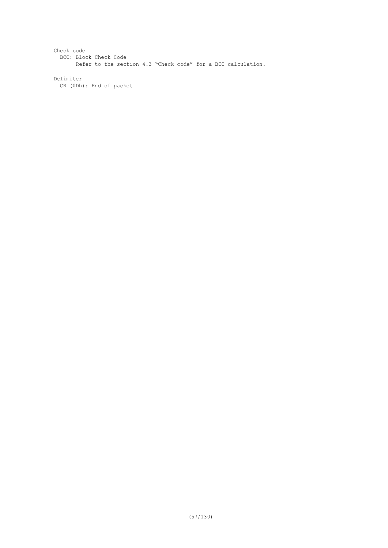Check code BCC: Block Check Code Refer to the section 4.3 "Check code" for a BCC calculation.

Delimiter CR (0Dh): End of packet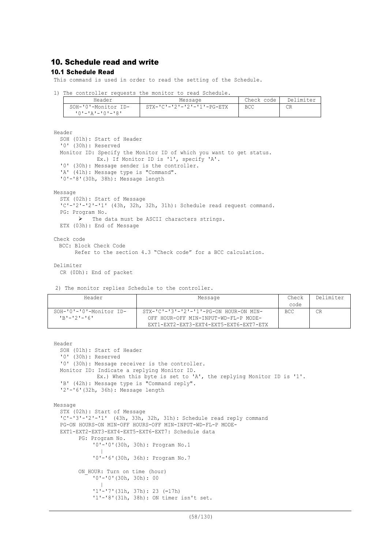# 10. Schedule read and write

## 10.1 Schedule Read

This command is used in order to read the setting of the Schedule.

1) The controller requests the monitor to read Schedule.

| Header              | Message                                  | Check code | Delimiter |
|---------------------|------------------------------------------|------------|-----------|
| SOH-'0'-Monitor ID- | $STX - 'C' - '2' - '2' - '1' - PG - ETX$ | BCC        | CR        |
| י אי−י∩י−י בי–י∩י   |                                          |            |           |

Header

```
SOH (01h): Start of Header
'0' (30h): Reserved
Monitor ID: Specify the Monitor ID of which you want to get status.
           Ex.) If Monitor ID is '1', specify 'A'.
'0' (30h): Message sender is the controller.
'A' (41h): Message type is "Command".
'0'-'8'(30h, 38h): Message length
```
Message

```
STX (02h): Start of Message
'C'-'2'-'2'-'1' (43h, 32h, 32h, 31h): Schedule read request command.
PG: Program No.
      Ø The data must be ASCII characters strings.
ETX (03h): End of Message
```
Check code BCC: Block Check Code Refer to the section 4.3 "Check code" for a BCC calculation.

Delimiter

CR (0Dh): End of packet

2) The monitor replies Schedule to the controller.

| Header                     | Message                                            | Check      | Delimiter |
|----------------------------|----------------------------------------------------|------------|-----------|
|                            |                                                    | code       |           |
| $SOH-101-101$ -Monitor ID- | $STX-VC' - 3' - 2' - 1' - PC - ON HOUR - ON MIN -$ | <b>BCC</b> | CR        |
| $1R1 - 121 - 161$          | OFF HOUR-OFF MIN-INPUT-WD-FL-P MODE-               |            |           |
|                            | EXT1-EXT2-EXT3-EXT4-EXT5-EXT6-EXT7-ETX             |            |           |

```
Header
  SOH (01h): Start of Header
  '0' (30h): Reserved
  '0' (30h): Message receiver is the controller.
  Monitor ID: Indicate a replying Monitor ID.
             Ex.) When this byte is set to 'A', the replying Monitor ID is '1'.
  'B' (42h): Message type is "Command reply".
  '2'-'6'(32h, 36h): Message length
Message
  STX (02h): Start of Message
  'C'-'3'-'2'-'1' (43h, 33h, 32h, 31h): Schedule read reply command
  PG-ON HOURS-ON MIN-OFF HOURS-OFF MIN-INPUT-WD-FL-P MODE-
  EXT1-EXT2-EXT3-EXT4-EXT5-EXT6-EXT7: Schedule data
        PG: Program No.
            '0'-'0'(30h, 30h): Program No.1
             \sim \pm'0'-'6'(30h, 36h): Program No.7
        ON HOUR: Turn on time (hour)
            '0'-'0'(30h, 30h): 00
             \sim \pm'1'-'7'(31h, 37h): 23 (=17h)
            '1'-'8'(31h, 38h): ON timer isn't set.
```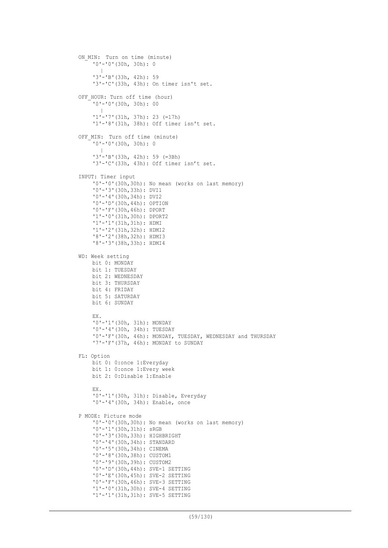```
ON MIN: Turn on time (minute)
    '0'-'0'(30h, 30h): 0
      \blacksquare'3'-'B'(33h, 42h): 59
     '3'-'C'(33h, 43h): On timer isn't set.
OFF HOUR: Turn off time (hour)
    '0'-'0'(30h, 30h): 00
      \blacksquare'1'-'7'(31h, 37h): 23 (=17h)
     '1'-'8'(31h, 38h): Off timer isn't set.
OFF MIN: Turn off time (minute)
    '0'-'0'(30h, 30h): 0
      \blacksquare'3'-'B'(33h, 42h): 59 (=3Bh)
     '3'-'C'(33h, 43h): Off timer isn't set.
INPUT: Timer input
    '0'-'0'(30h,30h): No mean (works on last memory)
     '0'-'3'(30h,33h): DVI1
     '0'-'4'(30h,34h): DVI2
    '0'-'D'(30h,44h): OPTION
    '0'-'F'(30h,46h): DPORT
    '1'-'0'(31h,30h): DPORT2
    '1'-'1'(31h,31h): HDMI
     '1'-'2'(31h,32h): HDMI2
    '8'-'2'(38h,32h): HDMI3
    '8'-'3'(38h,33h): HDMI4
WD: Week setting
    bit 0: MONDAY
    bit 1: TUESDAY
    bit 2: WEDNESDAY
    bit 3: THURSDAY
    bit 4: FRIDAY
    bit 5: SATURDAY
    bit 6: SUNDAY
    EX.
    '0'-'1'(30h, 31h): MONDAY
    '0'-'4'(30h, 34h): TUESDAY
     '0'-'F'(30h, 46h): MONDAY, TUESDAY, WEDNESDAY and THURSDAY
     '7'-'F'(37h, 46h): MONDAY to SUNDAY
FL: Option
    bit 0: 0:once 1:Everyday
    bit 1: 0:once 1:Every week
    bit 2: 0:Disable 1:Enable
    EX.
    '0'-'1'(30h, 31h): Disable, Everyday
    '0'-'4'(30h, 34h): Enable, once
P MODE: Picture mode
    '0'-'0'(30h,30h): No mean (works on last memory)
    '0'-'1'(30h,31h): sRGB
    '0'-'3'(30h,33h): HIGHBRIGHT
     '0'-'4'(30h,34h): STANDARD
     '0'-'5'(30h,34h): CINEMA
    '0'-'8'(30h,38h): CUSTOM1
    '0'-'9'(30h,39h): CUSTOM2
    '0'-'D'(30h,44h): SVE-1 SETTING
     '0'-'E'(30h,45h): SVE-2 SETTING
     '0'-'F'(30h,46h): SVE-3 SETTING
     '1'-'0'(31h,30h): SVE-4 SETTING
    '1'-'1'(31h,31h): SVE-5 SETTING
```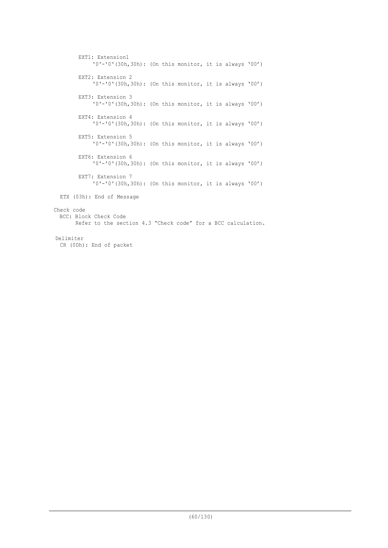```
EXT1: Extension1
            '0'-'0'(30h,30h): (On this monitor, it is always '00')
       EXT2: Extension 2
            '0'-'0'(30h,30h): (On this monitor, it is always '00')
       EXT3: Extension 3
            '0'-'0'(30h,30h): (On this monitor, it is always '00')
       EXT4: Extension 4
            '0'-'0'(30h,30h): (On this monitor, it is always '00')
       EXT5: Extension 5
            '0'-'0'(30h,30h): (On this monitor, it is always '00')
       EXT6: Extension 6
            '0'-'0'(30h,30h): (On this monitor, it is always '00')
       EXT7: Extension 7
            '0'-'0'(30h,30h): (On this monitor, it is always '00')
 ETX (03h): End of Message
Check code
 BCC: Block Check Code
       Refer to the section 4.3 "Check code" for a BCC calculation.
Delimiter
 CR (0Dh): End of packet
```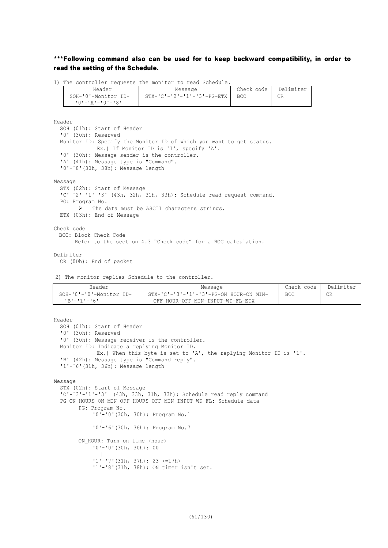# \*\*\*Following command also can be used for to keep backward compatibility, in order to read the setting of the Schedule.

1) The controller requests the monitor to read Schedule.

| Header              | Message                                  | Check code | Delimiter |
|---------------------|------------------------------------------|------------|-----------|
| SOH-'0'-Monitor ID- | $STX - 'C' - '2' - '1' - '3' - PG - ETX$ | - BCC      | СR        |
| 10'-'A'-'0'-'8'     |                                          |            |           |

Header

```
SOH (01h): Start of Header
  '0' (30h): Reserved
  Monitor ID: Specify the Monitor ID of which you want to get status.
             Ex.) If Monitor ID is '1', specify 'A'.
  '0' (30h): Message sender is the controller.
  'A' (41h): Message type is "Command".
  '0'-'8'(30h, 38h): Message length
Message
  STX (02h): Start of Message
  'C'-'2'-'1'-'3' (43h, 32h, 31h, 33h): Schedule read request command.
  PG: Program No.
       Ø The data must be ASCII characters strings.
  ETX (03h): End of Message
Check code
 BCC: Block Check Code
      Refer to the section 4.3 "Check code" for a BCC calculation.
```
Delimiter

CR (0Dh): End of packet

2) The monitor replies Schedule to the controller.

| Header                         | Message                                | Check code | Delimiter |
|--------------------------------|----------------------------------------|------------|-----------|
| $SOH - '0' - '0'$ -Monitor ID- | STX-'C'-'3'-'1'-'3'-PG-ON HOUR-ON MIN- | <b>BCC</b> | $\cap$    |
| $R = 11 - 161$                 | OFF HOUR-OFF MIN-INPUT-WD-FL-ETX       |            |           |

```
Header
  SOH (01h): Start of Header
  '0' (30h): Reserved
  '0' (30h): Message receiver is the controller.
  Monitor ID: Indicate a replying Monitor ID.
             Ex.) When this byte is set to 'A', the replying Monitor ID is '1'.
  'B' (42h): Message type is "Command reply".
  '1'-'6'(31h, 36h): Message length
Message
  STX (02h): Start of Message
  'C'-'3'-'1'-'3' (43h, 33h, 31h, 33h): Schedule read reply command
  PG-ON HOURS-ON MIN-OFF HOURS-OFF MIN-INPUT-WD-FL: Schedule data
        PG: Program No.
            '0'-'0'(30h, 30h): Program No.1
             \blacksquare'0'-'6'(30h, 36h): Program No.7
        ON HOUR: Turn on time (hour)
```

```
'0'-'0'(30h, 30h): 00
\sim \pm'1'-'7'(31h, 37h): 23 (=17h)
'1'-'8'(31h, 38h): ON timer isn't set.
```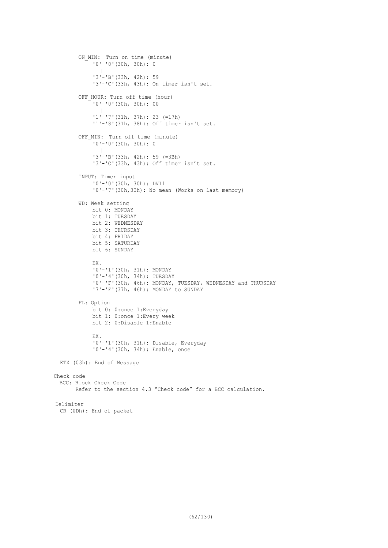```
ON MIN: Turn on time (minute)
            '0'-'0'(30h, 30h): 0
              \blacksquare'3'-'B'(33h, 42h): 59
            '3'-'C'(33h, 43h): On timer isn't set.
        OFF HOUR: Turn off time (hour)
            '0'-'0'(30h, 30h): 00
              \blacksquare'1'-'7'(31h, 37h): 23 (=17h)
             '1'-'8'(31h, 38h): Off timer isn't set.
        OFF MIN: Turn off time (minute)
            '0'-'0'(30h, 30h): 0
              \blacksquare'3'-'B'(33h, 42h): 59 (=3Bh)
             '3'-'C'(33h, 43h): Off timer isn't set.
        INPUT: Timer input
            '0'-'0'(30h, 30h): DVI1
            '0'-'7'(30h,30h): No mean (Works on last memory)
        WD: Week setting
            bit 0: MONDAY
            bit 1: TUESDAY
            bit 2: WEDNESDAY
            bit 3: THURSDAY
            bit 4: FRIDAY
            bit 5: SATURDAY
            bit 6: SUNDAY
            EX.
            '0'-'1'(30h, 31h): MONDAY
            '0'-'4'(30h, 34h): TUESDAY
            '0'-'F'(30h, 46h): MONDAY, TUESDAY, WEDNESDAY and THURSDAY
            '7'-'F'(37h, 46h): MONDAY to SUNDAY
        FL: Option
            bit 0: 0: once 1: Everyday
            bit 1: 0:once 1:Every week
            bit 2: 0:Disable 1:Enable
            EX.
            '0'-'1'(30h, 31h): Disable, Everyday
            '0'-'4'(30h, 34h): Enable, once
 ETX (03h): End of Message
Check code
 BCC: Block Check Code
       Refer to the section 4.3 "Check code" for a BCC calculation.
Delimiter
```

```
CR (0Dh): End of packet
```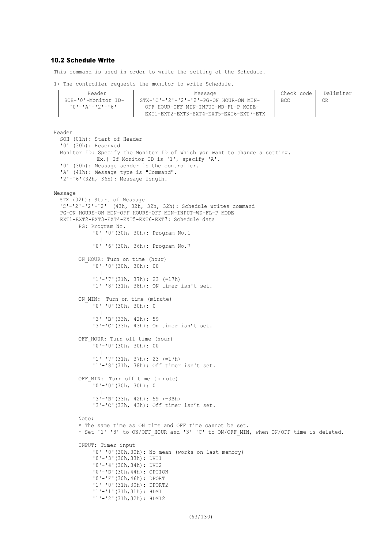## 10.2 Schedule Write

This command is used in order to write the setting of the Schedule.

1) The controller requests the monitor to write Schedule.

| Header                  | Message                                             | Check code | Delimiter |
|-------------------------|-----------------------------------------------------|------------|-----------|
| SOH-'0'-Monitor ID-     | $STX-IC - 21 - 21 - 21 - 21 - PC - ON$ HOUR-ON MIN- | BCC.       |           |
| $101 - 121 - 121 - 161$ | OFF HOUR-OFF MIN-INPUT-WD-FL-P MODE-                |            |           |
|                         | EXT1-EXT2-EXT3-EXT4-EXT5-EXT6-EXT7-ETX              |            |           |

Header SOH (01h): Start of Header '0' (30h): Reserved Monitor ID: Specify the Monitor ID of which you want to change a setting. Ex.) If Monitor ID is '1', specify 'A'. '0' (30h): Message sender is the controller. 'A' (41h): Message type is "Command". '2'-'6'(32h, 36h): Message length. Message STX (02h): Start of Message 'C'-'2'-'2'-'2' (43h, 32h, 32h, 32h): Schedule writes command PG-ON HOURS-ON MIN-OFF HOURS-OFF MIN-INPUT-WD-FL-P MODE EXT1-EXT2-EXT3-EXT4-EXT5-EXT6-EXT7: Schedule data PG: Program No. '0'-'0'(30h, 30h): Program No.1  $\blacksquare$ '0'-'6'(30h, 36h): Program No.7 ON HOUR: Turn on time (hour) '0'-'0'(30h, 30h): 00  $\blacksquare$ '1'-'7'(31h, 37h): 23 (=17h) '1'-'8'(31h, 38h): ON timer isn't set. ON MIN: Turn on time (minute) '0'-'0'(30h, 30h): 0  $\blacksquare$ '3'-'B'(33h, 42h): 59 '3'-'C'(33h, 43h): On timer isn't set. OFF HOUR: Turn off time (hour) '0'-'0'(30h, 30h): 00  $\sim$   $\pm$ '1'-'7'(31h, 37h): 23 (=17h) '1'-'8'(31h, 38h): Off timer isn't set. OFF MIN: Turn off time (minute) '0'-'0'(30h, 30h): 0  $\sim$   $\pm$ '3'-'B'(33h, 42h): 59 (=3Bh) '3'-'C'(33h, 43h): Off timer isn't set. Note: \* The same time as ON time and OFF time cannot be set. \* Set '1'-'8' to ON/OFF HOUR and '3'-'C' to ON/OFF MIN, when ON/OFF time is deleted. INPUT: Timer input '0'-'0'(30h,30h): No mean (works on last memory) '0'-'3'(30h,33h): DVI1 '0'-'4'(30h,34h): DVI2 '0'-'D'(30h,44h): OPTION '0'-'F'(30h,46h): DPORT '1'-'0'(31h,30h): DPORT2 '1'-'1'(31h,31h): HDMI '1'-'2'(31h,32h): HDMI2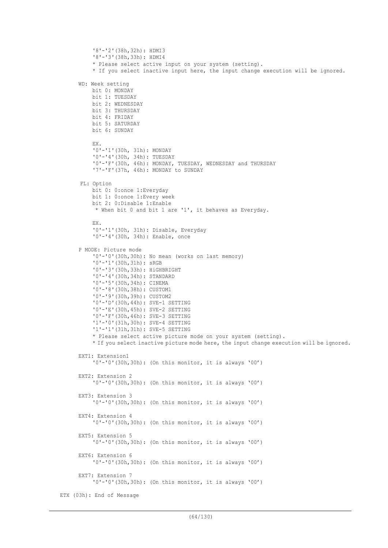```
'8'-'2'(38h,32h): HDMI3
          '8'-'3'(38h,33h): HDMI4
          * Please select active input on your system (setting).
          * If you select inactive input here, the input change execution will be ignored.
     WD: Week setting
          bit 0: MONDAY
          bit 1: TUESDAY
          bit 2: WEDNESDAY
          bit 3: THURSDAY
          bit 4: FRIDAY
          bit 5: SATURDAY
          bit 6: SUNDAY
          EX.
          '0'-'1'(30h, 31h): MONDAY
          '0'-'4'(30h, 34h): TUESDAY
          '0'-'F'(30h, 46h): MONDAY, TUESDAY, WEDNESDAY and THURSDAY
          '7'-'F'(37h, 46h): MONDAY to SUNDAY
      FL: Option
          bit 0: 0:once 1:Everyday
          bit 1: 0:once 1:Every week
          bit 2: 0:Disable 1:Enable
           * When bit 0 and bit 1 are '1', it behaves as Everyday.
          EX.
          '0'-'1'(30h, 31h): Disable, Everyday
          '0'-'4'(30h, 34h): Enable, once
      P MODE: Picture mode
          '0'-'0'(30h,30h): No mean (works on last memory)
          '0'-'1'(30h,31h): sRGB
          '0'-'3'(30h,33h): HiGHBRIGHT
          '0'-'4'(30h,34h): STANDARD
          '0'-'5'(30h,34h): CINEMA
          '0'-'8'(30h,38h): CUSTOM1
          '0'-'9'(30h,39h): CUSTOM2
          '0'-'D'(30h,44h): SVE-1 SETTING
          '0'-'E'(30h,45h): SVE-2 SETTING
          '0'-'F'(30h,46h): SVE-3 SETTING
          '1'-'0'(31h,30h): SVE-4 SETTING
          '1'-'1'(31h,31h): SVE-5 SETTING
          * Please select active picture mode on your system (setting).
          * If you select inactive picture mode here, the input change execution will be ignored.
     EXT1: Extension1
          '0'-'0'(30h,30h): (On this monitor, it is always '00')
     EXT2: Extension 2
          '0'-'0'(30h,30h): (On this monitor, it is always '00')
     EXT3: Extension 3
          '0'-'0'(30h,30h): (On this monitor, it is always '00')
     EXT4: Extension 4
          '0'-'0'(30h,30h): (On this monitor, it is always '00')
     EXT5: Extension 5
          '0'-'0'(30h,30h): (On this monitor, it is always '00')
     EXT6: Extension 6
          '0'-'0'(30h,30h): (On this monitor, it is always '00')
     EXT7: Extension 7
          '0'-'0'(30h,30h): (On this monitor, it is always '00')
ETX (03h): End of Message
```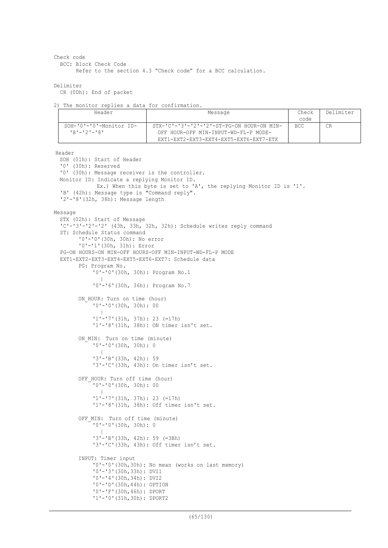```
Check code
```

```
BCC: Block Check Code
```
Refer to the section 4.3 "Check code" for a BCC calculation.

```
Delimiter
```
CR (0Dh): End of packet

```
2) The monitor replies a data for confirmation.
```

| Header                                       | Message                                                                                              | Check<br>code | Delimiter |
|----------------------------------------------|------------------------------------------------------------------------------------------------------|---------------|-----------|
| SOH-'0'-'0'-Monitor ID-<br>$1B1 - 121 - 181$ | $STX - 'C' - '3' - '2' - '2' - ST - PG - ON HOUR - ON MIN -$<br>OFF HOUR-OFF MIN-INPUT-WD-FL-P MODE- | BCC           |           |
|                                              | EXT1-EXT2-EXT3-EXT4-EXT5-EXT6-EXT7-ETX                                                               |               |           |

```
SOH (01h): Start of Header
  '0' (30h): Reserved
  '0' (30h): Message receiver is the controller.
 Monitor ID: Indicate a replying Monitor ID.
              Ex.) When this byte is set to 'A', the replying Monitor ID is '1'.
  'B' (42h): Message type is "Command reply".
  '2'-'8'(32h, 38h): Message length
Message
  STX (02h): Start of Message
  'C'-'3'-'2'-'2' (43h, 33h, 32h, 32h): Schedule writes reply command
  ST: Schedule Status command
        '0'-'0'(30h, 30h): No error
        '0'-'1'(30h, 31h): Error
  PG-ON HOURS-ON MIN-OFF HOURS-OFF MIN-INPUT-WD-FL-P MODE
  EXT1-EXT2-EXT3-EXT4-EXT5-EXT6-EXT7: Schedule data
        PG: Program No.
            '0'-'0'(30h, 30h): Program No.1
             \blacksquare'0'-'6'(30h, 36h): Program No.7
        ON HOUR: Turn on time (hour)
             '0'-'0'(30h, 30h): 00
             \sim \pm'1'-'7'(31h, 37h): 23 (=17h)
             '1'-'8'(31h, 38h): ON timer isn't set.
        ON MIN: Turn on time (minute)
            '0'-'0'(30h, 30h): 0
              \blacksquare'3'-'B'(33h, 42h): 59
             '3'-'C'(33h, 43h): On timer isn't set.
        OFF HOUR: Turn off time (hour)
            '0'-'0'(30h, 30h): 00
             \blacksquare'1'-'7'(31h, 37h): 23 (=17h)
             '1'-'8'(31h, 38h): Off timer isn't set.
        OFF MIN: Turn off time (minute)
            '0'-'0'(30h, 30h): 0
             \sim \pm'3'-'B'(33h, 42h): 59 (=3Bh)
             '3'-'C'(33h, 43h): Off timer isn't set.
        INPUT: Timer input
            '0'-'0'(30h,30h): No mean (works on last memory)
             '0'-'3'(30h,33h): DVI1
             '0'-'4'(30h,34h): DVI2
            '0'-'D'(30h,44h): OPTION
            '0'-'F'(30h,46h): DPORT
            '1'-'0'(31h,30h): DPORT2
```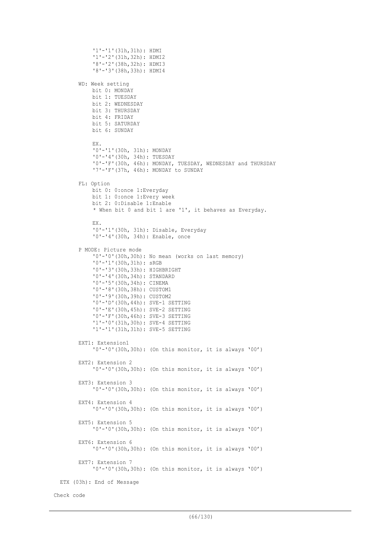```
'1'-'1'(31h,31h): HDMI
            '1'-'2'(31h,32h): HDMI2
            '8'-'2'(38h,32h): HDMI3
            '8'-'3'(38h,33h): HDMI4
        WD: Week setting
            bit 0: MONDAY
            bit 1: TUESDAY
            bit 2: WEDNESDAY
            bit 3: THURSDAY
            bit 4: FRIDAY
            bit 5: SATURDAY
            bit 6: SUNDAY
            EX.
             '0'-'1'(30h, 31h): MONDAY
             '0'-'4'(30h, 34h): TUESDAY
            '0'-'F'(30h, 46h): MONDAY, TUESDAY, WEDNESDAY and THURSDAY
            '7'-'F'(37h, 46h): MONDAY to SUNDAY
        FL: Option
            bit 0: 0:once 1:Everyday
            bit 1: 0:once 1:Every week
            bit 2: 0:Disable 1:Enable
            * When bit 0 and bit 1 are '1', it behaves as Everyday.
            EX.
            '0'-'1'(30h, 31h): Disable, Everyday
            '0'-'4'(30h, 34h): Enable, once
        P MODE: Picture mode
            '0'-'0'(30h,30h): No mean (works on last memory)
            '0'-'1'(30h,31h): sRGB
            '0'-'3'(30h,33h): HIGHBRIGHT
            '0'-'4'(30h,34h): STANDARD
            '0'-'5'(30h,34h): CINEMA
            '0'-'8'(30h,38h): CUSTOM1
            '0'-'9'(30h,39h): CUSTOM2
            '0'-'D'(30h,44h): SVE-1 SETTING
            '0'-'E'(30h,45h): SVE-2 SETTING
            '0'-'F'(30h,46h): SVE-3 SETTING
            '1'-'0'(31h,30h): SVE-4 SETTING
            '1'-'1'(31h,31h): SVE-5 SETTING
        EXT1: Extension1
            '0'-'0'(30h,30h): (On this monitor, it is always '00')
        EXT2: Extension 2
            '0'-'0'(30h,30h): (On this monitor, it is always '00')
        EXT3: Extension 3
            '0'-'0'(30h,30h): (On this monitor, it is always '00')
        EXT4: Extension 4
            '0'-'0'(30h,30h): (On this monitor, it is always '00')
        EXT5: Extension 5
            '0'-'0'(30h,30h): (On this monitor, it is always '00')
        EXT6: Extension 6
            '0'-'0'(30h,30h): (On this monitor, it is always '00')
        EXT7: Extension 7
            '0'-'0'(30h,30h): (On this monitor, it is always '00')
  ETX (03h): End of Message
Check code
```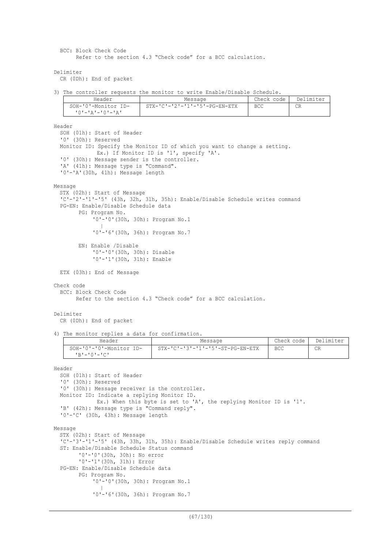BCC: Block Check Code Refer to the section 4.3 "Check code" for a BCC calculation.

Delimiter

CR (0Dh): End of packet

3) The controller requests the monitor to write Enable/Disable Schedule.

| Header                        | Message                                       | Check code | Delimiter |
|-------------------------------|-----------------------------------------------|------------|-----------|
| SOH-'0'-Monitor ID-           | $STX - 'C' - '2' - '1' - '5' - PG - EN - ETX$ | BCC        | CR        |
| ' ^ ' – ' ^ ' – ' ^ ' – ' ^ ' |                                               |            |           |

```
Header
  SOH (01h): Start of Header
  '0' (30h): Reserved
  Monitor ID: Specify the Monitor ID of which you want to change a setting.
             Ex.) If Monitor ID is '1', specify 'A'.
  '0' (30h): Message sender is the controller.
  'A' (41h): Message type is "Command".
  '0'-'A'(30h, 41h): Message length
Message
  STX (02h): Start of Message
  'C'-'2'-'1'-'5' (43h, 32h, 31h, 35h): Enable/Disable Schedule writes command
  PG-EN: Enable/Disable Schedule data
        PG: Program No.
            '0'-'0'(30h, 30h): Program No.1
            \sim \pm'0'-'6'(30h, 36h): Program No.7
        EN: Enable /Disable
            '0'-'0'(30h, 30h): Disable
             '0'-'1'(30h, 31h): Enable
 ETX (03h): End of Message
Check code
  BCC: Block Check Code
        Refer to the section 4.3 "Check code" for a BCC calculation.
Delimiter
  CR (0Dh): End of packet
```
4) The monitor replies a data for confirmation.

| Header                                 | Message                                            | Check code | Delimiter |
|----------------------------------------|----------------------------------------------------|------------|-----------|
| SOH-'0'-'0'-Monitor ID-<br>ימי−י∩י−יתי | $STX - 'C' - '3' - '1' - '5' - ST - PG - EN - ETX$ | <b>BCC</b> | CR        |

```
SOH (01h): Start of Header
  '0' (30h): Reserved
  '0' (30h): Message receiver is the controller.
 Monitor ID: Indicate a replying Monitor ID.
             Ex.) When this byte is set to 'A', the replying Monitor ID is '1'.
  'B' (42h): Message type is "Command reply".
  '0'-'C' (30h, 43h): Message length
Message
  STX (02h): Start of Message
  'C'-'3'-'1'-'5' (43h, 33h, 31h, 35h): Enable/Disable Schedule writes reply command
  ST: Enable/Disable Schedule Status command
        '0'-'0'(30h, 30h): No error
        '0'-'1'(30h, 31h): Error
  PG-EN: Enable/Disable Schedule data
        PG: Program No.
            '0'-'0'(30h, 30h): Program No.1
            \sim \pm'0'-'6'(30h, 36h): Program No.7
```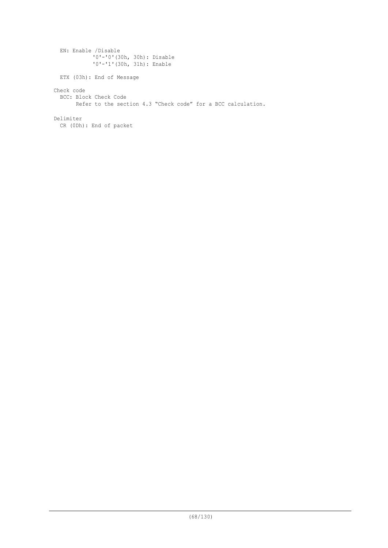EN: Enable /Disable '0'-'0'(30h, 30h): Disable '0'-'1'(30h, 31h): Enable ETX (03h): End of Message Check code BCC: Block Check Code Refer to the section 4.3 "Check code" for a BCC calculation. Delimiter CR (0Dh): End of packet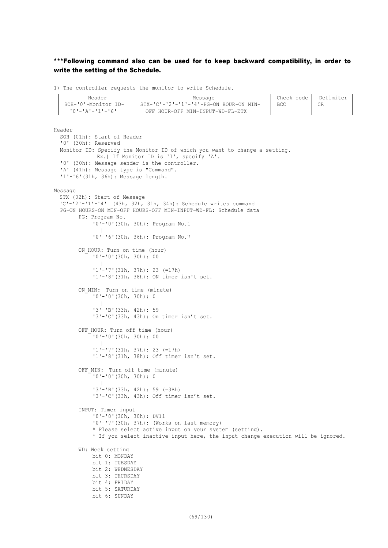# \*\*\*Following command also can be used for to keep backward compatibility, in order to write the setting of the Schedule.

1) The controller requests the monitor to write Schedule.

| Header                  | Message                                            | Check code | Delimiter |
|-------------------------|----------------------------------------------------|------------|-----------|
| SOH-'0'-Monitor ID-     | $STX - 'C' - '2' - '1' - '4' - PG-ON$ HOUR-ON MIN- | BCC        |           |
| $101 - 121 - 111 - 161$ | OFF HOUR-OFF MIN-INPUT-WD-FL-ETX                   |            |           |

```
Header
  SOH (01h): Start of Header
  '0' (30h): Reserved
  Monitor ID: Specify the Monitor ID of which you want to change a setting.
              Ex.) If Monitor ID is '1', specify 'A'.
  '0' (30h): Message sender is the controller.
  'A' (41h): Message type is "Command".
  '1'-'6'(31h, 36h): Message length.
Message
  STX (02h): Start of Message
  'C'-'2'-'1'-'4' (43h, 32h, 31h, 34h): Schedule writes command
  PG-ON HOURS-ON MIN-OFF HOURS-OFF MIN-INPUT-WD-FL: Schedule data
        PG: Program No.
            '0'-'0'(30h, 30h): Program No.1
             \sim \pm'0'-'6'(30h, 36h): Program No.7
        ON HOUR: Turn on time (hour)
            '0'-'0'(30h, 30h): 00
             \sim \pm'1'-'7'(31h, 37h): 23 (=17h)
            '1'-'8'(31h, 38h): ON timer isn't set.
        ON MIN: Turn on time (minute)
            '0'-'0'(30h, 30h): 0
                |
             '3'-'B'(33h, 42h): 59
            '3'-'C'(33h, 43h): On timer isn't set.
        OFF HOUR: Turn off time (hour)
            '0'-'0'(30h, 30h): 00
             \blacksquare'1'-'7'(31h, 37h): 23 (=17h)
            '1'-'8'(31h, 38h): Off timer isn't set.
        OFF MIN: Turn off time (minute)
            '0'-'0'(30h, 30h): 0
             \sim \pm'3'-'B'(33h, 42h): 59 (=3Bh)
            '3'-'C'(33h, 43h): Off timer isn't set.
        INPUT: Timer input
            '0'-'0'(30h, 30h): DVI1
            '0'-'7'(30h, 37h): (Works on last memory)
            * Please select active input on your system (setting).
            * If you select inactive input here, the input change execution will be ignored.
        WD: Week setting
            bit 0: MONDAY
            bit 1: TUESDAY
            bit 2: WEDNESDAY
            bit 3: THURSDAY
            bit 4: FRIDAY
            bit 5: SATURDAY
            bit 6: SUNDAY
```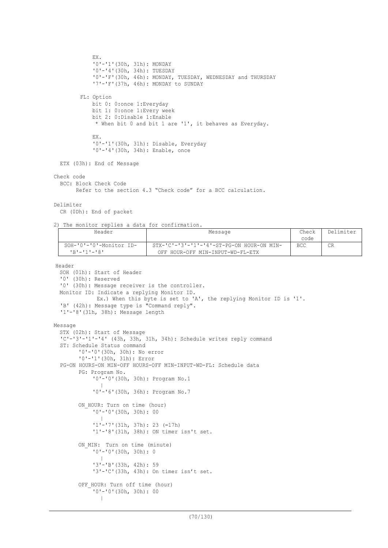```
EX.
            '0'-'1'(30h, 31h): MONDAY
            '0'-'4'(30h, 34h): TUESDAY
            '0'-'F'(30h, 46h): MONDAY, TUESDAY, WEDNESDAY and THURSDAY
            '7'-'F'(37h, 46h): MONDAY to SUNDAY
        FL: Option
            bit 0: 0:once 1:Everyday
            bit 1: 0:once 1:Every week
            bit 2: 0:Disable 1:Enable
             * When bit 0 and bit 1 are '1', it behaves as Everyday.
            EX.
            '0'-'1'(30h, 31h): Disable, Everyday
            '0'-'4'(30h, 34h): Enable, once
 ETX (03h): End of Message
Check code
 BCC: Block Check Code
        Refer to the section 4.3 "Check code" for a BCC calculation.
Delimiter
  CR (0Dh): End of packet
2) The monitor replies a data for confirmation.
```

| Header                  | Message                                                      | Check      | Delimiter |
|-------------------------|--------------------------------------------------------------|------------|-----------|
|                         |                                                              | code       |           |
| SOH-'0'-'0'-Monitor ID- | $STX - 'C' - '3' - '1' - '4' - ST - PG - ON HOUR - ON MIN -$ | <b>BCC</b> | CR        |
| $P_{R} = 11 - 181$      | OFF HOUR-OFF MIN-INPUT-WD-FL-ETX                             |            |           |
|                         |                                                              |            |           |

```
SOH (01h): Start of Header
  '0' (30h): Reserved
  '0' (30h): Message receiver is the controller.
 Monitor ID: Indicate a replying Monitor ID.
             Ex.) When this byte is set to 'A', the replying Monitor ID is '1'.
  'B' (42h): Message type is "Command reply".
  '1'-'8'(31h, 38h): Message length
Message
  STX (02h): Start of Message
  'C'-'3'-'1'-'4' (43h, 33h, 31h, 34h): Schedule writes reply command
  ST: Schedule Status command
        '0'-'0'(30h, 30h): No error
        '0'-'1'(30h, 31h): Error
  PG-ON HOURS-ON MIN-OFF HOURS-OFF MIN-INPUT-WD-FL: Schedule data
        PG: Program No.
             '0'-'0'(30h, 30h): Program No.1
             \sim \pm'0'-'6'(30h, 36h): Program No.7
        ON HOUR: Turn on time (hour)
            '0'-'0'(30h, 30h): 00
              \blacksquare'1'-'7'(31h, 37h): 23 (=17h)
             '1'-'8'(31h, 38h): ON timer isn't set.
        ON MIN: Turn on time (minute)
            '0'-'0'(30h, 30h): 0
             \sim \pm'3'-'B'(33h, 42h): 59
             '3'-'C'(33h, 43h): On timer isn't set.
        OFF HOUR: Turn off time (hour)
             '0'-'0'(30h, 30h): 00
              \|
```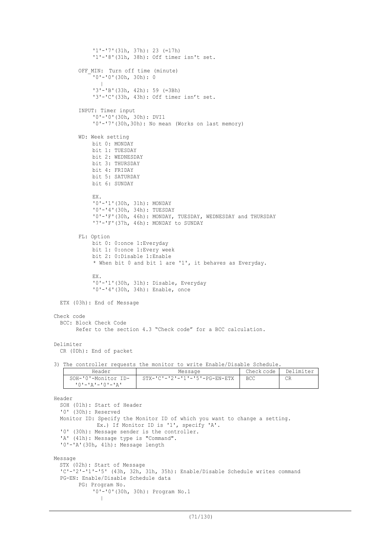```
'1'-'7'(31h, 37h): 23 (=17h)
            '1'-'8'(31h, 38h): Off timer isn't set.
        OFF MIN: Turn off time (minute)
            '0'-'0'(30h, 30h): 0
             \blacksquare'3'-'B'(33h, 42h): 59 (=3Bh)
            '3'-'C'(33h, 43h): Off timer isn't set.
        INPUT: Timer input
            '0'-'0'(30h, 30h): DVI1
             '0'-'7'(30h,30h): No mean (Works on last memory)
        WD: Week setting
            bit 0: MONDAY
            bit 1: TUESDAY
            bit 2: WEDNESDAY
            bit 3: THURSDAY
            bit 4: FRIDAY
            bit 5: SATURDAY
            bit 6: SUNDAY
            EX.
            '0'-'1'(30h, 31h): MONDAY
            '0'-'4'(30h, 34h): TUESDAY
            '0'-'F'(30h, 46h): MONDAY, TUESDAY, WEDNESDAY and THURSDAY
            '7'-'F'(37h, 46h): MONDAY to SUNDAY
        FL: Option
            bit 0: 0:once 1:Everyday
            bit 1: 0:once 1:Every week
            bit 2: 0:Disable 1:Enable
            * When bit 0 and bit 1 are '1', it behaves as Everyday.
            EX.
            '0'-'1'(30h, 31h): Disable, Everyday
            '0'-'4'(30h, 34h): Enable, once
 ETX (03h): End of Message
Check code
  BCC: Block Check Code
       Refer to the section 4.3 "Check code" for a BCC calculation.
Delimiter
  CR (0Dh): End of packet
3) The controller requests the monitor to write Enable/Disable Schedule.
```

```
Header Message Check code Delimiter
SOH-'0'-Monitor ID-
 '0'-'A'-'0'-'A'
               STX-'C'-'2'-'1'-'5'-PG-EN-ETX BCC CR
```

```
Header
  SOH (01h): Start of Header
  '0' (30h): Reserved
  Monitor ID: Specify the Monitor ID of which you want to change a setting.
             Ex.) If Monitor ID is '1', specify 'A'.
  '0' (30h): Message sender is the controller.
  'A' (41h): Message type is "Command".
  '0'-'A'(30h, 41h): Message length
Message
  STX (02h): Start of Message
  'C'-'2'-'1'-'5' (43h, 32h, 31h, 35h): Enable/Disable Schedule writes command
  PG-EN: Enable/Disable Schedule data
        PG: Program No.
            '0'-'0'(30h, 30h): Program No.1
              \|
```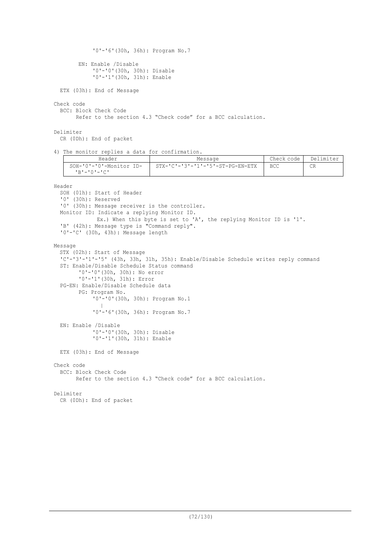```
'0'-'6'(30h, 36h): Program No.7
        EN: Enable /Disable
             '0'-'0'(30h, 30h): Disable
             '0'-'1'(30h, 31h): Enable
 ETX (03h): End of Message
Check code
  BCC: Block Check Code
        Refer to the section 4.3 "Check code" for a BCC calculation.
```
Delimiter

CR (0Dh): End of packet

4) The monitor replies a data for confirmation.

| Header                  | Message                          | Check code | Delimiter |
|-------------------------|----------------------------------|------------|-----------|
| SOH-'0'-'0'-Monitor ID- | STX-'C'-'3'-'1'-'5'-ST-PG-EN-ETX | <b>BCC</b> | CR        |
| ימי=יחי=יתי             |                                  |            |           |

```
SOH (01h): Start of Header
  '0' (30h): Reserved
  '0' (30h): Message receiver is the controller.
 Monitor ID: Indicate a replying Monitor ID.
             Ex.) When this byte is set to 'A', the replying Monitor ID is '1'.
  'B' (42h): Message type is "Command reply".
  '0'-'C' (30h, 43h): Message length
Message
  STX (02h): Start of Message
  'C'-'3'-'1'-'5' (43h, 33h, 31h, 35h): Enable/Disable Schedule writes reply command
  ST: Enable/Disable Schedule Status command
        '0'-'0'(30h, 30h): No error
        '0'-'1'(30h, 31h): Error
  PG-EN: Enable/Disable Schedule data
        PG: Program No.
            '0'-'0'(30h, 30h): Program No.1
            \blacksquare'0'-'6'(30h, 36h): Program No.7
  EN: Enable /Disable
             '0'-'0'(30h, 30h): Disable
            '0'-'1'(30h, 31h): Enable
 ETX (03h): End of Message
Check code
 BCC: Block Check Code
        Refer to the section 4.3 "Check code" for a BCC calculation.
Delimiter
  CR (0Dh): End of packet
```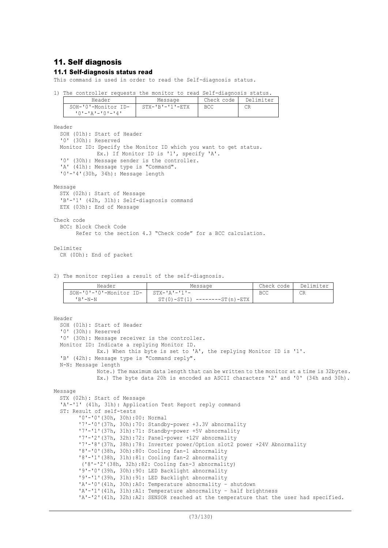# 11. Self diagnosis

## 11.1 Self-diagnosis status read

This command is used in order to read the Self-diagnosis status.

1) The controller requests the monitor to read Self-diagnosis status.

| Header                       | Message                 | Check code | Delimiter |
|------------------------------|-------------------------|------------|-----------|
| SOH-'0'-Monitor ID-          | $STX - 'B' - '1' - ETX$ | <b>BCC</b> | CR        |
| TO ' - ' A ' - ' O ' - ' 4 ' |                         |            |           |

Header

SOH (01h): Start of Header '0' (30h): Reserved Monitor ID: Specify the Monitor ID which you want to get status. Ex.) If Monitor ID is '1', specify 'A'. '0' (30h): Message sender is the controller. 'A' (41h): Message type is "Command". '0'-'4'(30h, 34h): Message length

Message

STX (02h): Start of Message 'B'-'1' (42h, 31h): Self-diagnosis command ETX (03h): End of Message

Check code BCC: Block Check Code

Refer to the section 4.3 "Check code" for a BCC calculation.

#### Delimiter

CR (0Dh): End of packet

2) The monitor replies a result of the self-diagnosis.

| Header                  | Message                                | Check code | Delimiter |
|-------------------------|----------------------------------------|------------|-----------|
| SOH-'0'-'0'-Monitor ID- | $STX - TA$ $I - T1$ $I -$              | BCC        | СR        |
| $'$ R $'$ – $N - N$     | $ST(0) - ST(1)$<br>--------ST (n) -ETX |            |           |

```
Header
  SOH (01h): Start of Header
  '0' (30h): Reserved
  '0' (30h): Message receiver is the controller.
  Monitor ID: Indicate a replying Monitor ID.
             Ex.) When this byte is set to 'A', the replying Monitor ID is '1'.
  'B' (42h): Message type is "Command reply".
  N-N: Message length
             Note.) The maximum data length that can be written to the monitor at a time is 32bytes.
              Ex.) The byte data 20h is encoded as ASCII characters '2' and '0' (34h and 30h).
Message
  STX (02h): Start of Message
  'A'-'1' (41h, 31h): Application Test Report reply command
  ST: Result of self-tests
        '0'-'0'(30h, 30h):00: Normal
        '7'-'0'(37h, 30h):70: Standby-power +3.3V abnormality
        '7'-'1'(37h, 31h):71: Standby-power +5V abnormality
        '7'-'2'(37h, 32h):72: Panel-power +12V abnormality
        '7'-'8'(37h, 38h):78: Inverter power/Option slot2 power +24V Abnormality
        '8'-'0'(38h, 30h):80: Cooling fan-1 abnormality
        '8'-'1'(38h, 31h):81: Cooling fan-2 abnormality
        ('8'-'2'(38h, 32h):82: Cooling fan-3 abnormality)
        '9'-'0'(39h, 30h):90: LED Backlight abnormality
        '9'-'1'(39h, 31h):91: LED Backlight abnormality
        'A'-'0'(41h, 30h):A0: Temperature abnormality – shutdown
        'A'-'1'(41h, 31h):A1: Temperature abnormality – half brightness
        'A'-'2'(41h, 32h):A2: SENSOR reached at the temperature that the user had specified.
```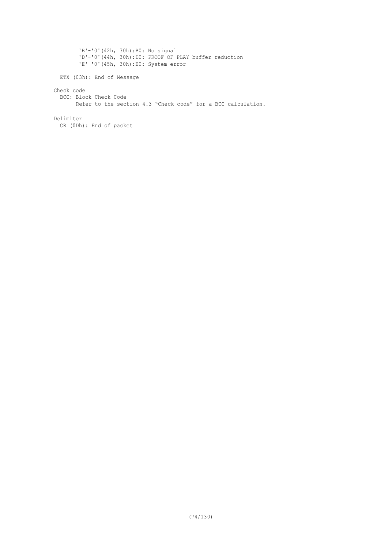'B'-'0'(42h, 30h):B0: No signal 'D'-'0'(44h, 30h):D0: PROOF OF PLAY buffer reduction 'E'-'0'(45h, 30h):E0: System error ETX (03h): End of Message Check code BCC: Block Check Code Refer to the section 4.3 "Check code" for a BCC calculation. Delimiter CR (0Dh): End of packet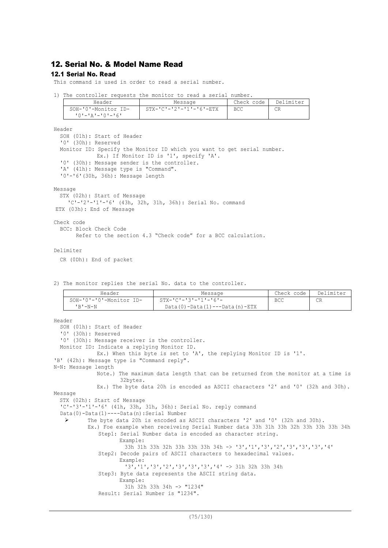# 12. Serial No. & Model Name Read

# 12.1 Serial No. Read

This command is used in order to read a serial number.

1) The controller requests the monitor to read a serial number.

| Header              | Message                             | Check code | Delimiter |
|---------------------|-------------------------------------|------------|-----------|
| SOH-'0'-Monitor ID- | $STX - 'C' - '2' - '1' - '6' - ETX$ | <b>BCC</b> | CR        |
| 'O'-'A'-'O'-'6'     |                                     |            |           |

Header

```
SOH (01h): Start of Header
'0' (30h): Reserved
Monitor ID: Specify the Monitor ID which you want to get serial number.
           Ex.) If Monitor ID is '1', specify 'A'.
'0' (30h): Message sender is the controller.
'A' (41h): Message type is "Command".
'0'-'6'(30h, 36h): Message length
```
Message

```
STX (02h): Start of Message
   'C'-'2'-'1'-'6' (43h, 32h, 31h, 36h): Serial No. command
ETX (03h): End of Message
```
Check code

```
BCC: Block Check Code
      Refer to the section 4.3 "Check code" for a BCC calculation.
```
Delimiter

CR (0Dh): End of packet

2) The monitor replies the serial No. data to the controller.

| Header                  | Message                               | Check code I | Delimiter |
|-------------------------|---------------------------------------|--------------|-----------|
| SOH-'0'-'0'-Monitor ID- | STX-'C'-'3'-'1'-'6'-                  | BCC          | CR        |
| $'$ R $'$ -N-N          | $Data(0) - Data(1) --- Data(n) - ETX$ |              |           |

```
Header
  SOH (01h): Start of Header
  '0' (30h): Reserved
  '0' (30h): Message receiver is the controller.
 Monitor ID: Indicate a replying Monitor ID.
             Ex.) When this byte is set to 'A', the replying Monitor ID is '1'.
'B' (42h): Message type is "Command reply".
N-N: Message length
             Note.) The maximum data length that can be returned from the monitor at a time is
                     32bytes.
             Ex.) The byte data 20h is encoded as ASCII characters '2' and '0' (32h and 30h).
Message
  STX (02h): Start of Message
  'C'-'3'-'1'-'6' (41h, 33h, 31h, 36h): Serial No. reply command
  Data(0)-Data(1)----Data(n):Serial Number
          The byte data 20h is encoded as ASCII characters '2' and '0' (32h and 30h).
          Ex.) Foe example when receiveing Serial Number data 33h 31h 33h 32h 33h 33h 33h 34h
              Step1: Serial Number data is encoded as character string.
                     Example:
                      33h 31h 33h 32h 33h 33h 33h 34h -> '3','1','3','2','3','3','3','4'
              Step2: Decode pairs of ASCII characters to hexadecimal values.
                     Example:
                      '3','1','3','2','3','3','3','4' -> 31h 32h 33h 34h
              Step3: Byte data represents the ASCII string data.
                     Example:
                      31h 32h 33h 34h -> "1234"
              Result: Serial Number is "1234".
```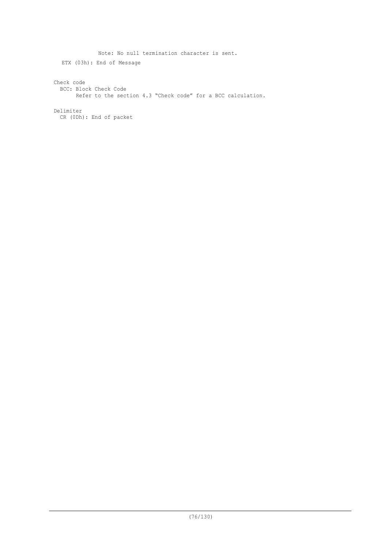Note: No null termination character is sent. ETX (03h): End of Message Check code BCC: Block Check Code Refer to the section 4.3 "Check code" for a BCC calculation. Delimiter CR (0Dh): End of packet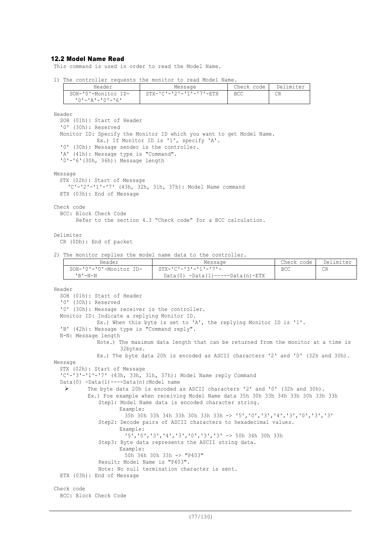## 12.2 Model Name Read

This command is used in order to read the Model Name.

1) The controller requests the monitor to read Model Name.

| Header                                 | Message                             | Check code | Delimiter |
|----------------------------------------|-------------------------------------|------------|-----------|
| SOH-'0'-Monitor ID-<br>10'-'A'-'0'-'6' | $STX - 'C' - '2' - '1' - '7' - ETX$ | BCC        | CR        |

Header

```
SOH (01h): Start of Header
  '0' (30h): Reserved
  Monitor ID: Specify the Monitor ID which you want to get Model Name.
             Ex.) If Monitor ID is '1', specify 'A'.
  '0' (30h): Message sender is the controller.
  'A' (41h): Message type is "Command".
  '0'-'6'(30h, 36h): Message length
Message
  STX (02h): Start of Message
    'C'-'2'-'1'-'7' (43h, 32h, 31h, 37h): Model Name command
  ETX (03h): End of Message
Check code
  BCC: Block Check Code
```
Refer to the section 4.3 "Check code" for a BCC calculation.

## Delimiter

CR (0Dh): End of packet

2) The monitor replies the model name data to the controller.

| Header                  | Message                              | Check code | Delimiter |
|-------------------------|--------------------------------------|------------|-----------|
| SOH-'0'-'0'-Monitor ID- | - STX-'C'-'3'-'1'-'7'-               | BCC        | CR        |
| 'R'-N-N                 | $Data(0) -Data(1) --- Data(n) - ETX$ |            |           |

```
Header
```

```
SOH (01h): Start of Header
  '0' (30h): Reserved
  '0' (30h): Message receiver is the controller.
 Monitor ID: Indicate a replying Monitor ID.
             Ex.) When this byte is set to 'A', the replying Monitor ID is '1'.
  'B' (42h): Message type is "Command reply".
  N-N: Message length
             Note.) The maximum data length that can be returned from the monitor at a time is
                     32bytes.
             Ex.) The byte data 20h is encoded as ASCII characters '2' and '0' (32h and 30h).
Message
  STX (02h): Start of Message
  'C'-'3'-'1'-'7' (43h, 33h, 31h, 37h): Model Name reply Command
  Data(0) -Data(1)----Data(n):Model name
   Ø The byte data 20h is encoded as ASCII characters '2' and '0' (32h and 30h).
          Ex.) Foe example when receiving Model Name data 35h 30h 33h 34h 33h 30h 33h 33h
              Step1: Model Name data is encoded character string.
                     Example:
                      35h 30h 33h 34h 33h 30h 33h 33h -> '5','0','3','4','3','0','3','3'
              Step2: Decode pairs of ASCII characters to hexadecimal values.
                     Example:
                      '5','0','3','4','3','0','3','3' -> 50h 34h 30h 33h
              Step3: Byte data represents the ASCII string data.
                     Example:
                      50h 34h 30h 33h -> "P403"
              Result: Model Name is "P403".
              Note: No null termination character is sent.
  ETX (03h): End of Message
Check code
  BCC: Block Check Code
```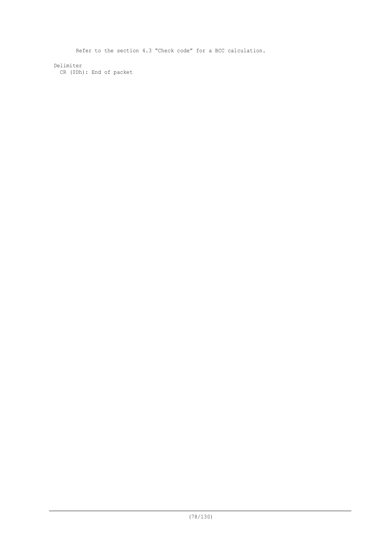Refer to the section 4.3 "Check code" for a BCC calculation.

Delimiter CR (0Dh): End of packet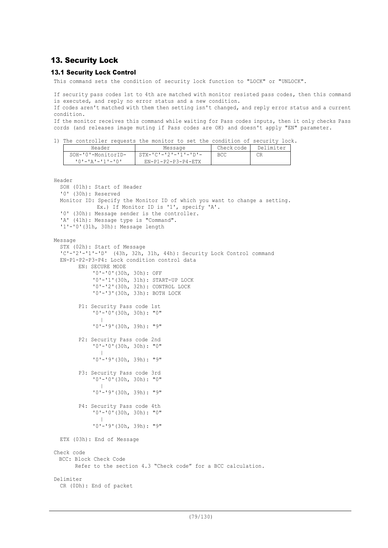# 13. Security Lock

# 13.1 Security Lock Control

This command sets the condition of security lock function to "LOCK" or "UNLOCK".

If security pass codes 1st to 4th are matched with monitor resisted pass codes, then this command is executed, and reply no error status and a new condition.

If codes aren't matched with them then setting isn't changed, and reply error status and a current condition.

If the monitor receives this command while waiting for Pass codes inputs, then it only checks Pass cords (and releases image muting if Pass codes are OK) and doesn't apply "EN" parameter.

1) The controller requests the monitor to set the condition of security lock.

| Header             | Message                         | Check code | Delimiter |
|--------------------|---------------------------------|------------|-----------|
| SOH-'0'-MonitorID- | $STX - 'C' - '2' - '1' - 'D' -$ | BCC        | CR        |
| 10'-'A'-'1'-'0'    | $EN-P1-P2-P3-P4-FTX$            |            |           |

```
Header
```

```
SOH (01h): Start of Header
  '0' (30h): Reserved
  Monitor ID: Specify the Monitor ID of which you want to change a setting.
             Ex.) If Monitor ID is '1', specify 'A'.
  '0' (30h): Message sender is the controller.
  'A' (41h): Message type is "Command".
  '1'-'0'(31h, 30h): Message length
Message
  STX (02h): Start of Message
  'C'-'2'-'1'-'D' (43h, 32h, 31h, 44h): Security Lock Control command
  EN-P1-P2-P3-P4: Lock condition control data
        EN: SECURE MODE
             '0'-'0'(30h, 30h): OFF
             '0'-'1'(30h, 31h): START-UP LOCK
             '0'-'2'(30h, 32h): CONTROL LOCK
             '0'-'3'(30h, 33h): BOTH LOCK
        P1: Security Pass code 1st
             '0'-'0'(30h, 30h): "0"
             \blacksquare'0'-'9'(30h, 39h): "9"
        P2: Security Pass code 2nd
             '0'-'0'(30h, 30h): "0"
               \blacksquare'0'-'9'(30h, 39h): "9"
        P3: Security Pass code 3rd
             '0'-'0'(30h, 30h): "0"
             \blacksquare'0'-'9'(30h, 39h): "9"
        P4: Security Pass code 4th
             '0'-'0'(30h, 30h): "0"
             \sim \pm'0'-'9'(30h, 39h): "9"
 ETX (03h): End of Message
Check code
 BCC: Block Check Code
       Refer to the section 4.3 "Check code" for a BCC calculation.
Delimiter
  CR (0Dh): End of packet
```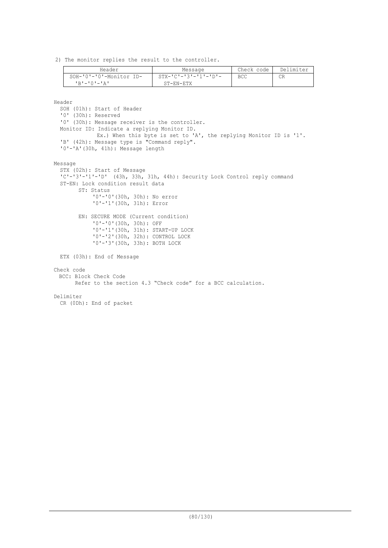2) The monitor replies the result to the controller.

| Header                  | Message                         | Check code | Delimiter |
|-------------------------|---------------------------------|------------|-----------|
| SOH-'0'-'0'-Monitor ID- | $STX - 'C' - '3' - '1' - 'D' -$ | <b>BCC</b> |           |
| י בי – י ∩י – י די די   | ST-EN-ETX                       |            |           |

Header

```
SOH (01h): Start of Header
  '0' (30h): Reserved
  '0' (30h): Message receiver is the controller.
 Monitor ID: Indicate a replying Monitor ID.
             Ex.) When this byte is set to 'A', the replying Monitor ID is '1'.
  'B' (42h): Message type is "Command reply".
  '0'-'A'(30h, 41h): Message length
Message
  STX (02h): Start of Message
  'C'-'3'-'1'-'D' (43h, 33h, 31h, 44h): Security Lock Control reply command
  ST-EN: Lock condition result data
       ST: Status
            '0'-'0'(30h, 30h): No error
            '0'-'1'(30h, 31h): Error
       EN: SECURE MODE (Current condition)
             '0'-'0'(30h, 30h): OFF
             '0'-'1'(30h, 31h): START-UP LOCK
            '0'-'2'(30h, 32h): CONTROL LOCK
            '0'-'3'(30h, 33h): BOTH LOCK
 ETX (03h): End of Message
Check code
 BCC: Block Check Code
       Refer to the section 4.3 "Check code" for a BCC calculation.
Delimiter
 CR (0Dh): End of packet
```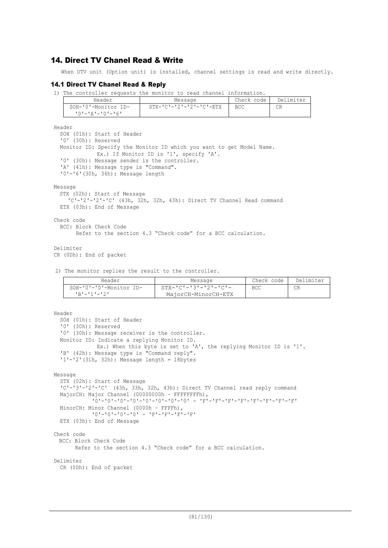# 14. Direct TV Chanel Read & Write

When DTV unit (Option unit) is installed, channel settings is read and write directly.

# 14.1 Direct TV Chanel Read & Reply

1) The controller requests the monitor to read channel information.

| Header              | Message                 | Check code | Delimiter |
|---------------------|-------------------------|------------|-----------|
| SOH-'0'-Monitor ID- | STX-'C'-'2'-'2'-'C'-ETX | <b>BCC</b> | СR        |
| '0'-'A'-'0'-'6'     |                         |            |           |

Header

```
SOH (01h): Start of Header
  '0' (30h): Reserved
 Monitor ID: Specify the Monitor ID which you want to get Model Name.
             Ex.) If Monitor ID is '1', specify 'A'.
  '0' (30h): Message sender is the controller.
  'A' (41h): Message type is "Command".
  '0'-'6'(30h, 36h): Message length
Message
  STX (02h): Start of Message
    'C'-'2'-'2'-'C' (43h, 32h, 32h, 43h): Direct TV Channel Read command
 ETX (03h): End of Message
Check code
```
BCC: Block Check Code

```
 Refer to the section 4.3 "Check code" for a BCC calculation.
```
Delimiter

```
CR (0Dh): End of packet
```
2) The monitor replies the result to the controller.

| Header                         | Message                         | Check code | Delimiter |
|--------------------------------|---------------------------------|------------|-----------|
| $SOH - '0' - '0'$ -Monitor ID- | $STX - 'C' - '3' - '2' - 'C' -$ | BCC        | CR        |
| TR'-'1'-'2'                    | MajorCH-MinorCH-ETX             |            |           |

```
Header
  SOH (01h): Start of Header
  '0' (30h): Reserved
  '0' (30h): Message receiver is the controller.
  Monitor ID: Indicate a replying Monitor ID.
             Ex.) When this byte is set to 'A', the replying Monitor ID is '1'.
  'B' (42h): Message type is "Command reply".
  '1'-'2'(31h, 32h): Message length = 18bytes
Message
  STX (02h): Start of Message
  'C'-'3'-'2'-'C' (43h, 33h, 32h, 43h): Direct TV Channel read reply command
 MajorCH: Major Channel (00000000h - FFFFFFFFh),
            '0'-'0'-'0'-'0'-'0'-'0'-'0'-'0' - 'F'-'F'-'F'-'F'-'F'-'F'-'F'-'F'
  MinorCH: Minor Channel (0000h – FFFFh),
            '0'-'0'-'0'-'0' - 'F'-'F'-'F'-'F'
 ETX (03h): End of Message
Check code
 BCC: Block Check Code
       Refer to the section 4.3 "Check code" for a BCC calculation.
Delimiter
 CR (0Dh): End of packet
```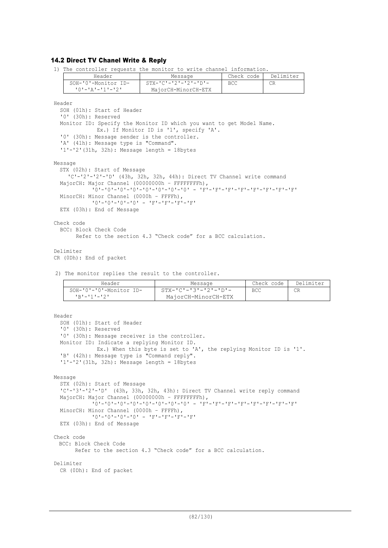# 14.2 Direct TV Chanel Write & Reply

1) The controller requests the monitor to write channel information.

|        | Header                                           | Message                                                               | Check code | Delimiter |
|--------|--------------------------------------------------|-----------------------------------------------------------------------|------------|-----------|
|        | SOH-'0'-Monitor ID-                              | $STX - TC = 12I - T2I - TDI -$                                        | <b>BCC</b> | CR        |
|        | $101 - 121 - 11 - 121$                           | MajorCH-MinorCH-ETX                                                   |            |           |
|        |                                                  |                                                                       |            |           |
| Header |                                                  |                                                                       |            |           |
|        | SOH (01h): Start of Header                       |                                                                       |            |           |
|        | '0' (30h): Reserved                              |                                                                       |            |           |
|        |                                                  | Monitor ID: Specify the Monitor ID which you want to get Model Name.  |            |           |
|        |                                                  | Ex.) If Monitor ID is '1', specify 'A'.                               |            |           |
|        | '0' (30h): Message sender is the controller.     |                                                                       |            |           |
|        | 'A' (41h): Message type is "Command".            |                                                                       |            |           |
|        | $'1'$ - '2' (31h, 32h): Message length = 18bytes |                                                                       |            |           |
|        |                                                  |                                                                       |            |           |
|        | Message                                          |                                                                       |            |           |
|        | STX (02h): Start of Message                      | 'C'-'2'-'2'-'D' (43h, 32h, 32h, 44h): Direct TV Channel write command |            |           |
|        | MajorCH: Major Channel (00000000h - FFFFFFFFh),  |                                                                       |            |           |
|        |                                                  |                                                                       |            |           |
|        | MinorCH: Minor Channel (0000h - FFFFh),          |                                                                       |            |           |
|        |                                                  | $101 - 101 - 101 - 101 = 1$ F1-1F1-1F1-1F1                            |            |           |
|        | ETX (03h): End of Message                        |                                                                       |            |           |
|        |                                                  |                                                                       |            |           |
|        | Check code                                       |                                                                       |            |           |
|        | BCC: Block Check Code                            |                                                                       |            |           |
|        |                                                  | Refer to the section 4.3 "Check code" for a BCC calculation.          |            |           |
|        |                                                  |                                                                       |            |           |
|        | Delimiter                                        |                                                                       |            |           |
|        | CR (ODh): End of packet                          |                                                                       |            |           |

2) The monitor replies the result to the controller.

| Header                         | Message                         | Check code | Delimiter |
|--------------------------------|---------------------------------|------------|-----------|
| $SOH - '0' - '0'$ -Monitor ID- | $STX - 'C' - '3' - '2' - 'D' -$ | <b>BCC</b> |           |
| コロリーエチエーエクエ                    | MajorCH-MinorCH-ETX             |            |           |

```
Header
  SOH (01h): Start of Header
  '0' (30h): Reserved
  '0' (30h): Message receiver is the controller.
 Monitor ID: Indicate a replying Monitor ID.
             Ex.) When this byte is set to 'A', the replying Monitor ID is '1'.
  'B' (42h): Message type is "Command reply".
  '1'-'2'(31h, 32h): Message length = 18bytes
Message
  STX (02h): Start of Message
  'C'-'3'-'2'-'D' (43h, 33h, 32h, 43h): Direct TV Channel write reply command
  MajorCH: Major Channel (00000000h – FFFFFFFFh),
             '0'-'0'-'0'-'0'-'0'-'0'-'0'-'0' - 'F'-'F'-'F'-'F'-'F'-'F'-'F'-'F'
 MinorCH: Minor Channel (0000h – FFFFh),
            '0'-'0'-'0'-'0' - 'F'-'F'-'F'-'F'
 ETX (03h): End of Message
Check code
 BCC: Block Check Code
       Refer to the section 4.3 "Check code" for a BCC calculation.
Delimiter
 CR (0Dh): End of packet
```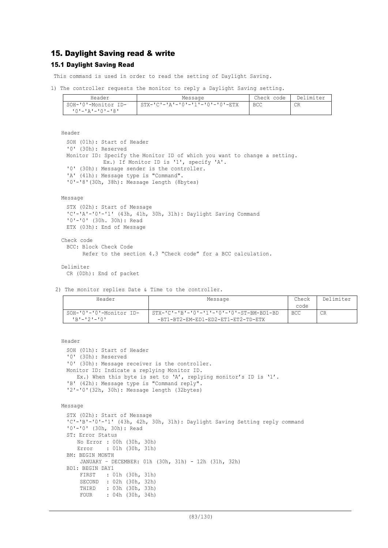# 15. Daylight Saving read & write

# 15.1 Daylight Saving Read

This command is used in order to read the setting of Daylight Saving.

```
1) The controller requests the monitor to reply a Daylight Saving setting.
```

| Header              | Message                         | Check code | Delimiter |
|---------------------|---------------------------------|------------|-----------|
| SOH-'0'-Monitor ID- | STX-'C'-'A'-'0'-'1'-'0'-'0'-ETX | BCC        | CR        |
| 10'-'A'-'0'-'8'     |                                 |            |           |

Header

```
SOH (01h): Start of Header
'0' (30h): Reserved
Monitor ID: Specify the Monitor ID of which you want to change a setting.
           Ex.) If Monitor ID is '1', specify 'A'.
'0' (30h): Message sender is the controller.
'A' (41h): Message type is "Command".
'0'-'8'(30h, 38h): Message length (8bytes)
```
### Message

```
STX (02h): Start of Message
 'C'-'A'-'0'-'1' (43h, 41h, 30h, 31h): Daylight Saving Command
 '0'-'0' (30h. 30h): Read
 ETX (03h): End of Message
Check code
 BCC: Block Check Code
       Refer to the section 4.3 "Check code" for a BCC calculation.
Delimiter
```
CR (0Dh): End of packet

2) The monitor replies Date & Time to the controller.

| Header                  | Message                                  | Check      | Delimiter |
|-------------------------|------------------------------------------|------------|-----------|
|                         |                                          | code       |           |
| SOH-'0'-'0'-Monitor ID- | STX-'C'-'B'-'0'-'1'-'0'-'0'-ST-BM-BD1-BD | <b>BCC</b> | CR        |
| $1R1 - 121 - 101$       | -BT1-BT2-EM-ED1-ED2-ET1-ET2-TD-ETX       |            |           |

Header

```
SOH (01h): Start of Header
'0' (30h): Reserved
'0' (30h): Message receiver is the controller.
Monitor ID: Indicate a replying Monitor ID.
  Ex.) When this byte is set to 'A', replying monitor's ID is '1'.
'B' (42h): Message type is "Command reply".
'2'-'0'(32h, 30h): Message length (32bytes)
```

```
Message
```

```
STX (02h): Start of Message
'C'-'B'-'0'-'1' (43h, 42h, 30h, 31h): Daylight Saving Setting reply command
'0'-'0' (30h, 30h): Read
ST: Error Status
    No Error : 00h (30h, 30h)
    Error : 01h (30h, 31h)
BM: BEGIN MONTH
    JANUARY – DECEMBER: 01h (30h, 31h) - 12h (31h, 32h)
BD1: BEGIN DAY1
     FIRST : 01h (30h, 31h)
     SECOND : 02h (30h, 32h)
     THIRD : 03h (30h, 33h)
     FOUR : 04h (30h, 34h)
```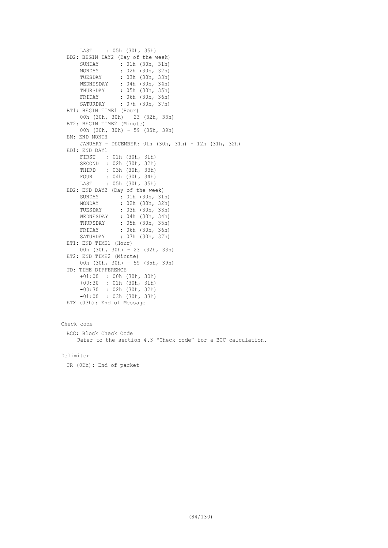```
 LAST : 05h (30h, 35h)
 BD2: BEGIN DAY2 (Day of the week)
       SUNDAY : 01h (30h, 31h)
      MONDAY : 02h (30h, 32h)<br>TUESDAY : 03h (30h, 33h)
      TUESDAY : 03h (30h, 33h)<br>WEDNESDAY : 04h (30h, 34h)
   WEDNESDAY : 04h (30h, 34h)
   THURSDAY : 05h (30h, 35h)
       FRIDAY : 06h (30h, 36h)
       SATURDAY : 07h (30h, 37h)
 BT1: BEGIN TIME1 (Hour)
      00h (30h, 30h) – 23 (32h, 33h)
 BT2: BEGIN TIME2 (Minute)
      00h (30h, 30h) – 59 (35h, 39h)
 EM: END MONTH
       JANUARY – DECEMBER: 01h (30h, 31h) - 12h (31h, 32h)
 ED1: END DAY1
       FIRST : 01h (30h, 31h)
       SECOND : 02h (30h, 32h)
       THIRD : 03h (30h, 33h)
      FOUR : 04h (30h, 34h)<br>LAST : 05h (30h, 35h)
              : 05h (30h, 35h)
 ED2: END DAY2 (Day of the week)
       SUNDAY : 01h (30h, 31h)
      MONDAY : 02h (30h, 32h)<br>TUESDAY : 03h (30h, 33h)
                  : 03h (30h, 33h)
       WEDNESDAY : 04h (30h, 34h)
       THURSDAY : 05h (30h, 35h)
   FRIDAY : 06h (30h, 36h)
   SATURDAY : 07h (30h, 37h)
 ET1: END TIME1 (Hour)
      00h (30h, 30h) – 23 (32h, 33h)
 ET2: END TIME2 (Minute)
       00h (30h, 30h) – 59 (35h, 39h)
 TD: TIME DIFFERENCE
       +01:00 : 00h (30h, 30h)
       +00:30 : 01h (30h, 31h)
       -00:30 : 02h (30h, 32h)
       -01:00 : 03h (30h, 33h)
 ETX (03h): End of Message
Check code
 BCC: Block Check Code
     Refer to the section 4.3 "Check code" for a BCC calculation.
```
Delimiter

CR (0Dh): End of packet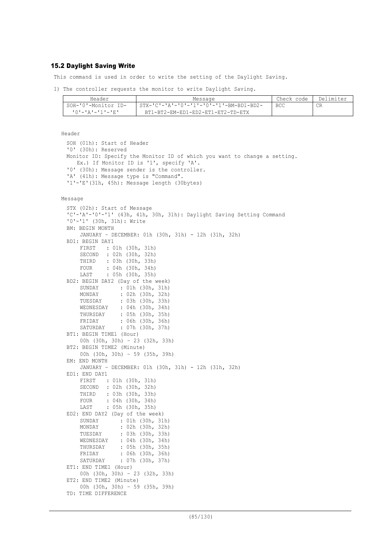### 15.2 Daylight Saving Write

This command is used in order to write the setting of the Daylight Saving.

1) The controller requests the monitor to write Daylight Saving.

| Header              | Message                                 | Check code I | Delimiter |
|---------------------|-----------------------------------------|--------------|-----------|
| SOH-'0'-Monitor ID- | STX-'C'-'A'-'O'-'1'-'O'-'1'-BM-BD1-BD2- | <b>BCC</b>   | CR        |
|                     | BT1-BT2-EM-ED1-ED2-ET1-ET2-TD-ETX       |              |           |

```
Header
 SOH (01h): Start of Header
 '0' (30h): Reserved
 Monitor ID: Specify the Monitor ID of which you want to change a setting.
    Ex.) If Monitor ID is '1', specify 'A'.
  '0' (30h): Message sender is the controller.
  'A' (41h): Message type is "Command".
  '1'-'E'(31h, 45h): Message length (30bytes)
Message
 STX (02h): Start of Message
  'C'-'A'-'0'-'1' (43h, 41h, 30h, 31h): Daylight Saving Setting Command
 '0'-'1' (30h, 31h): Write
 BM: BEGIN MONTH
      JANUARY – DECEMBER: 01h (30h, 31h) - 12h (31h, 32h)
 BD1: BEGIN DAY1
       FIRST : 01h (30h, 31h)
       SECOND : 02h (30h, 32h)
       THIRD : 03h (30h, 33h)
      FOUR : 04h (30h, 34h)<br>LAST : 05h (30h, 35h)
              : 05h (30h, 35h)BD2: BEGIN DAY2 (Day of the week)
      SUNDAY : 01h (30h, 31h)<br>MONDAY : 02h (30h, 32h)
                   : 02h (30h, 32h)
       TUESDAY : 03h (30h, 33h)
       WEDNESDAY : 04h (30h, 34h)
   THURSDAY : 05h (30h, 35h)
   FRIDAY : 06h (30h, 36h)
       SATURDAY : 07h (30h, 37h)
 BT1: BEGIN TIME1 (Hour)
       00h (30h, 30h) – 23 (32h, 33h)
 BT2: BEGIN TIME2 (Minute)
       00h (30h, 30h) – 59 (35h, 39h)
 EM: END MONTH
       JANUARY – DECEMBER: 01h (30h, 31h) - 12h (31h, 32h)
 ED1: END DAY1
      FIRST : 01h (30h, 31h)<br>SECOND : 02h (30h, 32h)
              : 02h (30h, 32h) THIRD : 03h (30h, 33h)
       FOUR : 04h (30h, 34h)
       LAST : 05h (30h, 35h)
 ED2: END DAY2 (Day of the week)
       SUNDAY : 01h (30h, 31h)
       MONDAY : 02h (30h, 32h)
       TUESDAY : 03h (30h, 33h)
       WEDNESDAY : 04h (30h, 34h)
       THURSDAY : 05h (30h, 35h)
      FRIDAY : 06h (30h, 36h)<br>SATURDAY : 07h (30h, 37h)
                   : 07h (30h, 37h)ET1: END TIME1 (Hour)
      00h (30h, 30h) – 23 (32h, 33h)
 ET2: END TIME2 (Minute)
       00h (30h, 30h) – 59 (35h, 39h)
 TD: TIME DIFFERENCE
```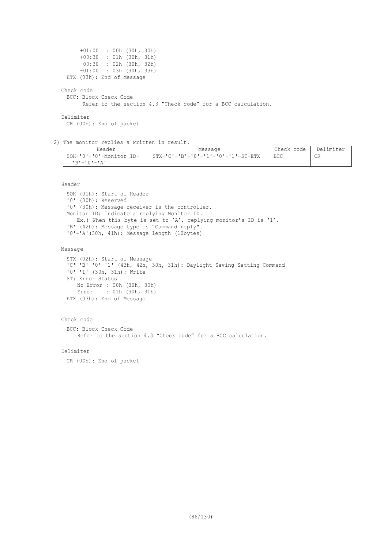```
+01:00 : 00h (30h, 30h)<br>+00:30 : 01h (30h, 31h)
               : 01h (30h, 31h) -00:30 : 02h (30h, 32h)
       -01:00 : 03h (30h, 33h)
 ETX (03h): End of Message
Check code
 BCC: Block Check Code
        Refer to the section 4.3 "Check code" for a BCC calculation.
Delimiter
```
CR (0Dh): End of packet

2) The monitor replies a written in result.

| Header                                                    | Message                            | Check code | Delimiter |
|-----------------------------------------------------------|------------------------------------|------------|-----------|
| SOH-'0'-'0'-Monitor ID-<br>$R$ 'r $-$ ' $0$ ' $-$ ' $R$ ' | STX-'C'-'B'-'0'-'1'-'0'-'1'-ST-ETX | <b>BCC</b> | <b>CR</b> |

Header

```
SOH (01h): Start of Header
'0' (30h): Reserved
'0' (30h): Message receiver is the controller.
Monitor ID: Indicate a replying Monitor ID.
  Ex.) When this byte is set to 'A', replying monitor's ID is '1'.
'B' (42h): Message type is "Command reply".
'0'-'A'(30h, 41h): Message length (10bytes)
```
Message

```
STX (02h): Start of Message
'C'-'B'-'0'-'1' (43h, 42h, 30h, 31h): Daylight Saving Setting Command
'0'-'1' (30h, 31h): Write
ST: Error Status
 No Error : 00h (30h, 30h)
 Error : 01h (30h, 31h)
ETX (03h): End of Message
```

```
Check code
 BCC: Block Check Code
    Refer to the section 4.3 "Check code" for a BCC calculation.
```
Delimiter

CR (0Dh): End of packet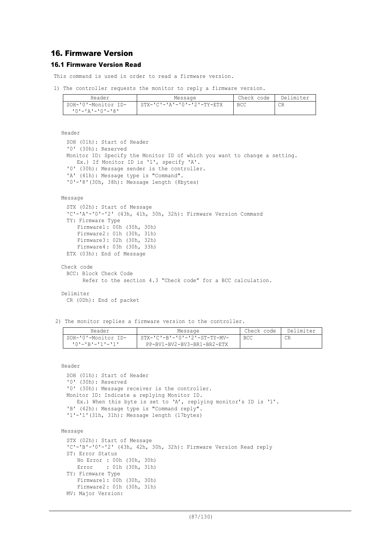# 16. Firmware Version

# 16.1 Firmware Version Read

This command is used in order to read a firmware version.

1) The controller requests the monitor to reply a firmware version.

| Header                               | Message                    | Check code | Delimiter |
|--------------------------------------|----------------------------|------------|-----------|
| SOH-'0'-Monitor ID-                  | STX-'C'-'A'-'0'-'2'-TY-ETX | BCC        | CR        |
| י R י – י ∩ י – י ב <i>י</i> – י ∩ י |                            |            |           |

```
Header
```

```
SOH (01h): Start of Header
 '0' (30h): Reserved
 Monitor ID: Specify the Monitor ID of which you want to change a setting.
    Ex.) If Monitor ID is '1', specify 'A'.
  '0' (30h): Message sender is the controller.
  'A' (41h): Message type is "Command".
 '0'-'8'(30h, 38h): Message length (8bytes)
Message
 STX (02h): Start of Message
 'C'-'A'-'0'-'2' (43h, 41h, 30h, 32h): Firmware Version Command
 TY: Firmware Type
      Firmware1 : 00h (30h, 30h)
      Firmware2 : 01h (30h, 31h)
     Firmware3 : 02h (30h, 32h)
     Firmware4 : 03h (30h, 33h)
 ETX (03h): End of Message
Check code
```

```
BCC: Block Check Code
      Refer to the section 4.3 "Check code" for a BCC calculation.
```
#### Delimiter

```
CR (0Dh): End of packet
```
2) The monitor replies a firmware version to the controller.

| Header                  | Message                                       | Check code | Delimiter |
|-------------------------|-----------------------------------------------|------------|-----------|
| SOH-'0'-Monitor ID-     | $STX - 'C' - B' - '0' - '2' - ST - TY - MV -$ | <b>BCC</b> |           |
| $101 - 1R1 - 111 - 111$ | PP-BV1-BV2-BV3-BR1-BR2-ETX                    |            |           |

Header

```
SOH (01h): Start of Header
 '0' (30h): Reserved
 '0' (30h): Message receiver is the controller.
 Monitor ID: Indicate a replying Monitor ID.
    Ex.) When this byte is set to 'A', replying monitor's ID is '1'.
  'B' (42h): Message type is "Command reply".
 '1'-'1'(31h, 31h): Message length (17bytes)
Message
 STX (02h): Start of Message
 'C'-'B'-'0'-'2' (43h, 42h, 30h, 32h): Firmware Version Read reply
```

```
ST: Error Status
    No Error : 00h (30h, 30h)
    Error : 01h (30h, 31h)
TY: Firmware Type
    Firmware1 : 00h (30h, 30h)
    Firmware2 : 01h (30h, 31h)
MV: Major Version:
```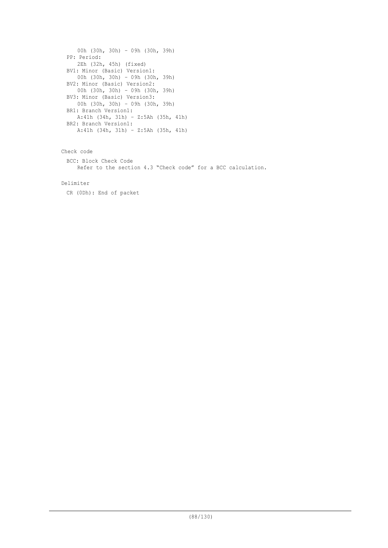```
00h (30h, 30h) – 09h (30h, 39h)
PP: Period:
   2Eh (32h, 45h) (fixed)
BV1: Minor (Basic) Version1:
   00h (30h, 30h) – 09h (30h, 39h)
BV2: Minor (Basic) Version2:
   00h (30h, 30h) – 09h (30h, 39h)
BV3: Minor (Basic) Version3:
   00h (30h, 30h) – 09h (30h, 39h)
BR1: Branch Version1:
  A:41h (34h, 31h) – Z:5Ah (35h, 41h)
BR2: Branch Version1:
  A:41h (34h, 31h) – Z:5Ah (35h, 41h)
```
Check code BCC: Block Check Code Refer to the section 4.3 "Check code" for a BCC calculation.

# Delimiter

CR (0Dh): End of packet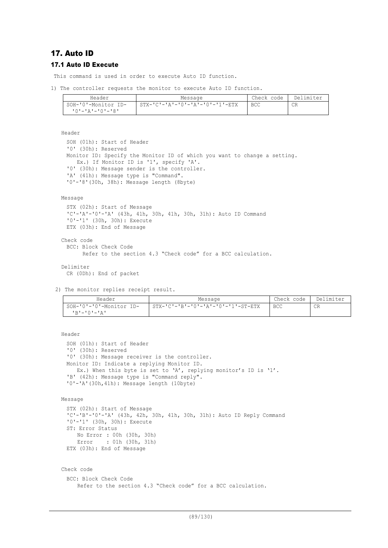# 17. Auto ID 17.1 Auto ID Execute

This command is used in order to execute Auto ID function.

1) The controller requests the monitor to execute Auto ID function.

| Header                                 | Message                         | Check code | Delimiter |
|----------------------------------------|---------------------------------|------------|-----------|
| SOH-'0'-Monitor ID-<br>10'-'A'-'0'-'8' | STX-'C'-'A'-'O'-'A'-'O'-'1'-ETX | BCC        | СR        |
|                                        |                                 |            |           |

Header

```
SOH (01h): Start of Header
'0' (30h): Reserved
Monitor ID: Specify the Monitor ID of which you want to change a setting.
  Ex.) If Monitor ID is '1', specify 'A'.
'0' (30h): Message sender is the controller.
'A' (41h): Message type is "Command".
'0'-'8'(30h, 38h): Message length (8byte)
```
Message

```
STX (02h): Start of Message
 'C'-'A'-'0'-'A' (43h, 41h, 30h, 41h, 30h, 31h): Auto ID Command
 '0'-'1' (30h, 30h): Execute
 ETX (03h): End of Message
Check code
 BCC: Block Check Code
       Refer to the section 4.3 "Check code" for a BCC calculation.
Delimiter
 CR (0Dh): End of packet
```
2) The monitor replies receipt result.

| Header                  | Message                            | Check code | Delimiter |
|-------------------------|------------------------------------|------------|-----------|
| SOH-'0'-'0'-Monitor ID- | STX-'C'-'B'-'0'-'A'-'0'-'1'-ST-ETX | <b>BCC</b> | CR        |
| י בי–י∩י–יתי            |                                    |            |           |

```
Header
 SOH (01h): Start of Header
 '0' (30h): Reserved
 '0' (30h): Message receiver is the controller.
 Monitor ID: Indicate a replying Monitor ID.
    Ex.) When this byte is set to 'A', replying monitor's ID is '1'.
  'B' (42h): Message type is "Command reply".
 '0'-'A'(30h,41h): Message length (10byte)
Message
 STX (02h): Start of Message
 'C'-'B'-'0'-'A' (43h, 42h, 30h, 41h, 30h, 31h): Auto ID Reply Command
 '0'-'1' (30h, 30h): Execute
 ST: Error Status
      No Error : 00h (30h, 30h)
      Error : 01h (30h, 31h)
 ETX (03h): End of Message
Check code
 BCC: Block Check Code
     Refer to the section 4.3 "Check code" for a BCC calculation.
```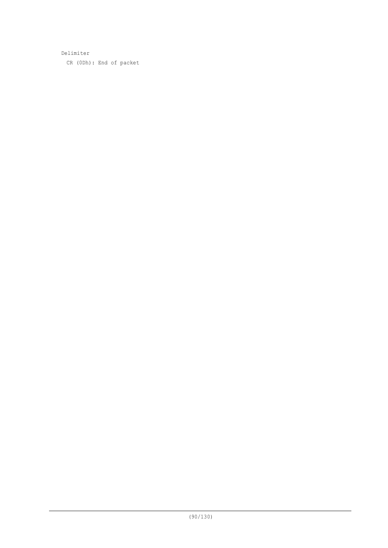Delimiter CR (0Dh): End of packet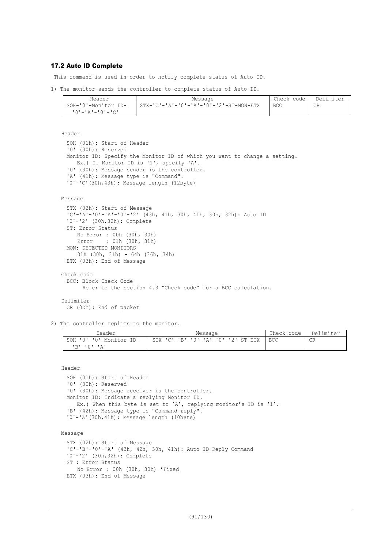## 17.2 Auto ID Complete

This command is used in order to notify complete status of Auto ID.

1) The monitor sends the controller to complete status of Auto ID.

| Header                         | Message                                                    | Check code | Delimiter |
|--------------------------------|------------------------------------------------------------|------------|-----------|
| SOH-'0'-Monitor ID-            | $STX - 'C' - 'A' - '0' - 'A' - '0' - '2' - ST - MON - ETX$ | <b>BCC</b> | CR        |
| <u> 'O' - 'A' - 'O' - 'C' </u> |                                                            |            |           |

Header

SOH (01h): Start of Header '0' (30h): Reserved Monitor ID: Specify the Monitor ID of which you want to change a setting. Ex.) If Monitor ID is '1', specify 'A'. '0' (30h): Message sender is the controller. 'A' (41h): Message type is "Command". '0'-'C'(30h,43h): Message length (12byte)

### Message

```
STX (02h): Start of Message
 'C'-'A'-'0'-'A'-'0'-'2' (43h, 41h, 30h, 41h, 30h, 32h): Auto ID
 '0'-'2' (30h,32h): Complete
 ST: Error Status
     No Error : 00h (30h, 30h)
     Error : 01h (30h, 31h)
 MON: DETECTED MONITORS
     01h (30h, 31h) - 64h (36h, 34h)
 ETX (03h): End of Message
Check code
 BCC: Block Check Code
       Refer to the section 4.3 "Check code" for a BCC calculation.
Delimiter
```
CR (0Dh): End of packet

2) The controller replies to the monitor.

| Header                  | Message                             | Check code | Delimiter |
|-------------------------|-------------------------------------|------------|-----------|
| SOH-'0'-'0'-Monitor ID- | 'STX-'C'-'B'-'O'-'A'-'O'-'2'-ST-ETX | <b>BCC</b> | CR        |
| IR'-'0'-'A'             |                                     |            |           |

Header

```
SOH (01h): Start of Header
'0' (30h): Reserved
'0' (30h): Message receiver is the controller.
Monitor ID: Indicate a replying Monitor ID.
  Ex.) When this byte is set to 'A', replying monitor's ID is '1'.
'B' (42h): Message type is "Command reply".
'0'-'A'(30h,41h): Message length (10byte)
```
Message

```
STX (02h): Start of Message
'C'-'B'-'0'-'A' (43h, 42h, 30h, 41h): Auto ID Reply Command
'0'-'2' (30h,32h): Complete
ST : Error Status
    No Error : 00h (30h, 30h) *Fixed
ETX (03h): End of Message
```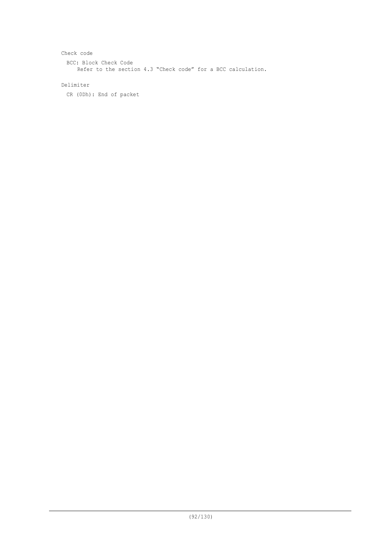```
Check code
  BCC: Block Check Code
     Refer to the section 4.3 "Check code" for a BCC calculation.
```
# Delimiter

CR (0Dh): End of packet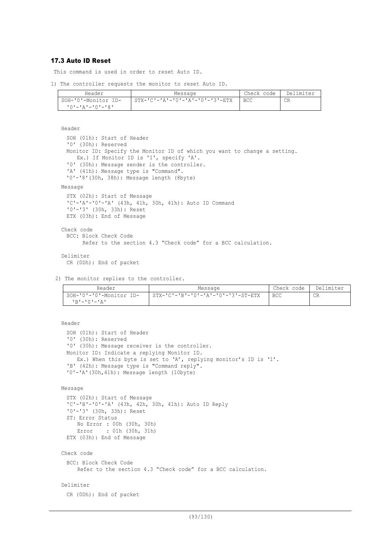# 17.3 Auto ID Reset

This command is used in order to reset Auto ID.

```
1) The controller requests the monitor to reset Auto ID.
```

| Header              | Message                                         | Check code | Delimiter |
|---------------------|-------------------------------------------------|------------|-----------|
| SOH-'0'-Monitor ID- | $STX - 'C' - 'A' - '0' - 'A' - '0' - '3' - ETX$ | <b>BCC</b> | CR        |
| י פי−י∩י−י בי–י∩י   |                                                 |            |           |

Header

```
SOH (01h): Start of Header
 '0' (30h): Reserved
 Monitor ID: Specify the Monitor ID of which you want to change a setting.
    Ex.) If Monitor ID is '1', specify 'A'.
  '0' (30h): Message sender is the controller.
  'A' (41h): Message type is "Command".
 '0'-'8'(30h, 38h): Message length (8byte)
Message
 STX (02h): Start of Message
 'C'-'A'-'0'-'A' (43h, 41h, 30h, 41h): Auto ID Command
 '0'-'3' (30h, 33h): Reset
 ETX (03h): End of Message
Check code
 BCC: Block Check Code
       Refer to the section 4.3 "Check code" for a BCC calculation.
```
Delimiter CR (0Dh): End of packet

2) The monitor replies to the controller.

| Header                  | Message                              | Check code | Delimiter |
|-------------------------|--------------------------------------|------------|-----------|
| SOH-'0'-'0'-Monitor ID- | $STX-ICI-IBI-I0I-IAI-I0I-I3I-ST-ETX$ | <b>BCC</b> | CR        |
| יגי−י∩י−יתי             |                                      |            |           |

```
Header
 SOH (01h): Start of Header
 '0' (30h): Reserved
 '0' (30h): Message receiver is the controller.
 Monitor ID: Indicate a replying Monitor ID.
    Ex.) When this byte is set to 'A', replying monitor's ID is '1'.
  'B' (42h): Message type is "Command reply".
 '0'-'A'(30h,41h): Message length (10byte)
Message
 STX (02h): Start of Message
 'C'-'B'-'0'-'A' (43h, 42h, 30h, 41h): Auto ID Reply
 '0'-'3' (30h, 33h): Reset
 ST: Error Status
     No Error : 00h (30h, 30h)<br>Error : 01h (30h, 31h)
              : 01h (30h, 31h)
 ETX (03h): End of Message
Check code
 BCC: Block Check Code
     Refer to the section 4.3 "Check code" for a BCC calculation.
Delimiter
 CR (0Dh): End of packet
```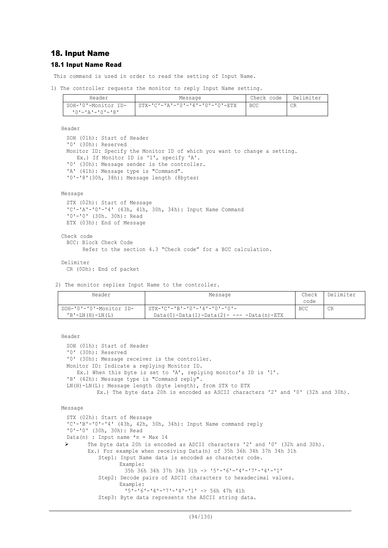# 18. Input Name

## 18.1 Input Name Read

This command is used in order to read the setting of Input Name.

1) The controller requests the monitor to reply Input Name setting.

| Header                        | Message                                         | Check code | Delimiter |
|-------------------------------|-------------------------------------------------|------------|-----------|
| SOH-'0'-Monitor ID-           | $STX - 'C' - 'A' - '0' - '4' - '0' - '0' - ETX$ | <b>BCC</b> | CR        |
| י R י – י ∩ י – י ב י – י ∩ י |                                                 |            |           |

Header

```
SOH (01h): Start of Header
'0' (30h): Reserved
Monitor ID: Specify the Monitor ID of which you want to change a setting.
  Ex.) If Monitor ID is '1', specify 'A'.
'0' (30h): Message sender is the controller.
'A' (41h): Message type is "Command".
'0'-'8'(30h, 38h): Message length (8bytes)
```
#### Message

```
STX (02h): Start of Message
'C'-'A'-'0'-'4' (43h, 41h, 30h, 34h): Input Name Command
'0'-'0' (30h. 30h): Read
ETX (03h): End of Message
```

```
Check code
 BCC: Block Check Code
       Refer to the section 4.3 "Check code" for a BCC calculation.
```
#### Delimiter

CR (0Dh): End of packet

2) The monitor replies Input Name to the controller.

| Header                  | Message                                                     | Check      | Delimiter |
|-------------------------|-------------------------------------------------------------|------------|-----------|
|                         |                                                             | code       |           |
| SOH-'0'-'0'-Monitor ID- | $STX - 'C' - 'B' - '0' - '4' - '0' - '0' -$                 | <b>BCC</b> | CR        |
| $'B'$ – LN (H) – LN (L) | Data (0) $-$ Data (1) $-$ Data (2) $      Data$ (n) $-$ ETX |            |           |

```
Header
```

```
SOH (01h): Start of Header
 '0' (30h): Reserved
 '0' (30h): Message receiver is the controller.
 Monitor ID: Indicate a replying Monitor ID.
    Ex.) When this byte is set to 'A', replying monitor's ID is '1'.
 'B' (42h): Message type is "Command reply".
 LN(H)-LN(L): Message length (byte length), from STX to ETX
           Ex.) The byte data 20h is encoded as ASCII characters '2' and '0' (32h and 30h).
Message
 STX (02h): Start of Message
  'C'-'B'-'0'-'4' (43h, 42h, 30h, 34h): Input Name command reply
 '0'-'0' (30h, 30h): Read
 Data(n) : Input name *n = Max 14Ø The byte data 20h is encoded as ASCII characters '2' and '0' (32h and 30h).
        Ex.) For example when receiving Data(n) of 35h 36h 34h 37h 34h 31h
           Step1: Input Name data is encoded as character code.
                  Example:
                    35h 36h 34h 37h 34h 31h -> '5'-'6'-'4'-'7'-'4'-'1'
           Step2: Decode pairs of ASCII characters to hexadecimal values.
                  Example:
                    '5'-'6'-'4'-'7'-'4'-'1' -> 56h 47h 41h
           Step3: Byte data represents the ASCII string data.
```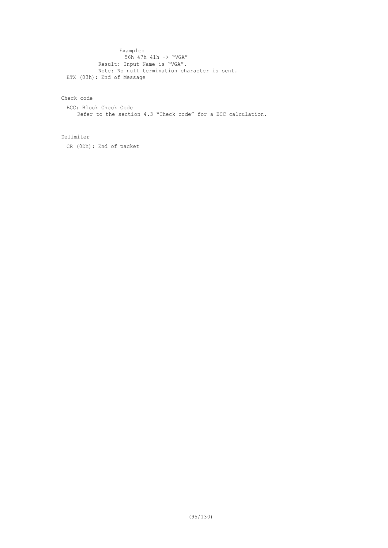Example: 56h 47h 41h -> "VGA" Result: Input Name is "VGA". Note: No null termination character is sent. ETX (03h): End of Message

# Check code

BCC: Block Check Code Refer to the section 4.3 "Check code" for a BCC calculation.

### Delimiter

CR (0Dh): End of packet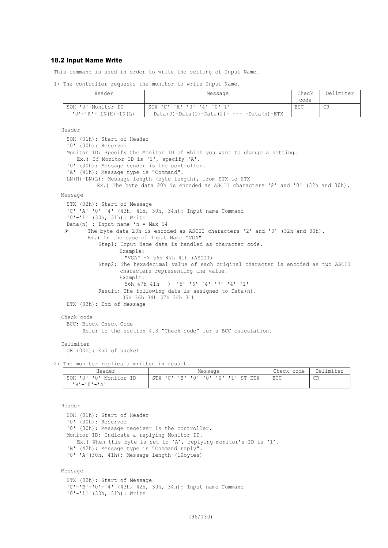## 18.2 Input Name Write

This command is used in order to write the setting of Input Name.

1) The controller requests the monitor to write Input Name.

| Header                        | Message                                                   | Check      | Delimiter |
|-------------------------------|-----------------------------------------------------------|------------|-----------|
|                               |                                                           | code       |           |
| SOH-'0'-Monitor ID-           | $STX-ICI-IAI-IOI-IAI-IOI-1$                               | <b>BCC</b> | CR        |
| $'0'$ - $'A'$ - LN(H) - LN(L) | Data $(0)$ -Data $(1)$ -Data $(2)$ - --- -Data $(n)$ -ETX |            |           |

Header

```
SOH (01h): Start of Header
 '0' (30h): Reserved
 Monitor ID: Specify the Monitor ID of which you want to change a setting.
    Ex.) If Monitor ID is '1', specify 'A'.
 '0' (30h): Message sender is the controller.
  'A' (41h): Message type is "Command".
 LN(H)-LN(L): Message length (byte length), from STX to ETX
           Ex.) The byte data 20h is encoded as ASCII characters '2' and '0' (32h and 30h).
Message
 STX (02h): Start of Message
 'C'-'A'-'0'-'4' (43h, 41h, 30h, 34h): Input name Command
 '0'-'1' (30h, 31h): Write
 Data(n) : Input name *n = Max 14<br>
\triangleright The byte data 20b is encore
        The byte data 20h is encoded as ASCII characters '2' and '0' (32h and 30h).
        Ex.) In the case of Input Name "VGA"
            Step1: Input Name data is handled as character code.
                   Example:
                     "VGA" -> 56h 47h 41h (ASCII)
            Step2: The hexadecimal value of each original character is encoded as two ASCII
                   characters representing the value.
                   Example:
                     56h 47h 41h -> '5'-'6'-'4'-'7'-'4'-'1'
            Result: The following data is assigned to Data(n).
                    35h 36h 34h 37h 34h 31h
 ETX (03h): End of Message
Check code
 BCC: Block Check Code
        Refer to the section 4.3 "Check code" for a BCC calculation.
Delimiter
```
CR (0Dh): End of packet

2) The monitor replies a written in result.

| Header                  | Message                            | Check code | Delimiter |
|-------------------------|------------------------------------|------------|-----------|
| SOH-'0'-'0'-Monitor ID- | STX-'C'-'B'-'0'-'0'-'0'-'1'-ST-ETX | <b>BCC</b> | CR        |
| י בי—י∩י−י בי           |                                    |            |           |

Header SOH (01h): Start of Header '0' (30h): Reserved '0' (30h): Message receiver is the controller. Monitor ID: Indicate a replying Monitor ID. Ex.) When this byte is set to 'A', replying monitor's ID is '1'. 'B' (42h): Message type is "Command reply". '0'-'A'(30h, 41h): Message length (10bytes)

Message

```
STX (02h): Start of Message
'C'-'B'-'0'-'4' (43h, 42h, 30h, 34h): Input name Command
'0'-'1' (30h, 31h): Write
```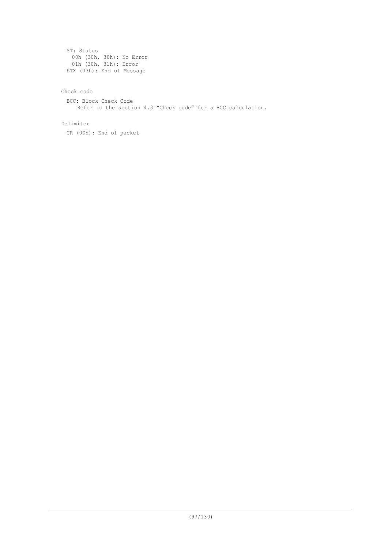```
ST: Status
 00h (30h, 30h): No Error
  01h (30h, 31h): Error
ETX (03h): End of Message
```
# Check code

BCC: Block Check Code Refer to the section 4.3 "Check code" for a BCC calculation.

# Delimiter

CR (0Dh): End of packet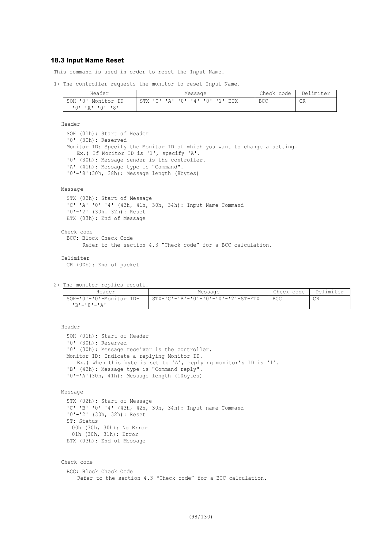## 18.3 Input Name Reset

This command is used in order to reset the Input Name.

1) The controller requests the monitor to reset Input Name.

| Header              | Message                         | Check code | Delimiter |
|---------------------|---------------------------------|------------|-----------|
| SOH-'0'-Monitor ID- | STX-'C'-'A'-'0'-'4'-'0'-'2'-ETX | <b>BCC</b> | CR        |
| 10'-'A'-'0'-'8'     |                                 |            |           |

Header

```
SOH (01h): Start of Header
'0' (30h): Reserved
Monitor ID: Specify the Monitor ID of which you want to change a setting.
   Ex.) If Monitor ID is '1', specify 'A'.
'0' (30h): Message sender is the controller.
'A' (41h): Message type is "Command".
'0'-'8'(30h, 38h): Message length (8bytes)
```
#### Message

```
STX (02h): Start of Message
 'C'-'A'-'0'-'4' (43h, 41h, 30h, 34h): Input Name Command
 '0'-'2' (30h. 32h): Reset
 ETX (03h): End of Message
Check code
 BCC: Block Check Code
       Refer to the section 4.3 "Check code" for a BCC calculation.
Delimiter
```

```
CR (0Dh): End of packet
```

```
2) The monitor replies result.
```

| Header                  | Message                            | Check code | Delimiter |
|-------------------------|------------------------------------|------------|-----------|
| SOH-'0'-'0'-Monitor ID- | STX-'C'-'B'-'0'-'0'-'0'-'2'-ST-ETX | <b>BCC</b> | CR        |
| יגי−י∩י−יתי             |                                    |            |           |

#### Header

SOH (01h): Start of Header '0' (30h): Reserved '0' (30h): Message receiver is the controller. Monitor ID: Indicate a replying Monitor ID. Ex.) When this byte is set to 'A', replying monitor's ID is '1'. 'B' (42h): Message type is "Command reply". '0'-'A'(30h, 41h): Message length (10bytes)

#### Message

```
STX (02h): Start of Message
'C'-'B'-'0'-'4' (43h, 42h, 30h, 34h): Input name Command
'0'-'2' (30h, 32h): Reset
ST: Status
 00h (30h, 30h): No Error
 01h (30h, 31h): Error
ETX (03h): End of Message
```
#### Check code

```
BCC: Block Check Code
   Refer to the section 4.3 "Check code" for a BCC calculation.
```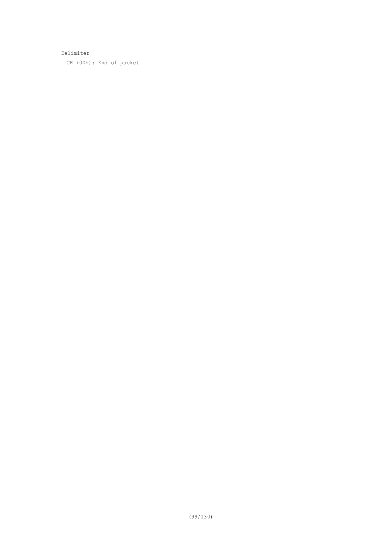Delimiter CR (0Dh): End of packet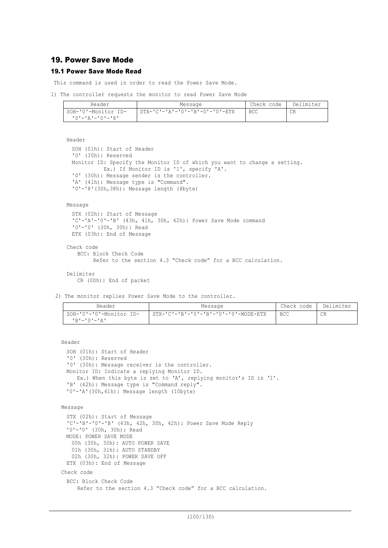# 19. Power Save Mode

# 19.1 Power Save Mode Read

This command is used in order to read the Power Save Mode.

1) The controller requests the monitor to read Power Save Mode

| Header              | Message                                        | Check code | Delimiter |
|---------------------|------------------------------------------------|------------|-----------|
| SOH-'0'-Monitor ID- | $STX - 'C' - 'A' - 'O' - 'B' - 0' - 'O' - ETX$ | <b>BCC</b> | CR        |
| 10'-'A'-'0'-'8'     |                                                |            |           |

### Header

```
SOH (01h): Start of Header
'0' (30h): Reserved
Monitor ID: Specify the Monitor ID of which you want to change a setting.
         Ex.) If Monitor ID is '1', specify 'A'.
'0' (30h): Message sender is the controller.
'A' (41h): Message type is "Command".
'0'-'8'(30h,38h): Message length (8byte)
```
### Message

```
STX (02h): Start of Message
 'C'-'A'-'0'-'B' (43h, 41h, 30h, 42h): Power Save Mode command
 '0'-'0' (30h, 30h): Read
 ETX (03h): End of Message
Check code
   BCC: Block Check Code
```

```
 Refer to the section 4.3 "Check code" for a BCC calculation.
```

```
Delimiter
   CR (0Dh): End of packet
```
2) The monitor replies Power Save Mode to the controller.

| Header                                 | Message                              | Check code | Delimiter |
|----------------------------------------|--------------------------------------|------------|-----------|
| SOH-'0'-'0'-Monitor ID-<br>יגי−י∩י−יתי | STX-'C'-'B'-'0'-'B'-'0'-'0'-WODE-ETX | <b>BCC</b> | CR        |

Header

```
SOH (01h): Start of Header
'0' (30h): Reserved
'0' (30h): Message receiver is the controller.
Monitor ID: Indicate a replying Monitor ID.
  Ex.) When this byte is set to 'A', replying monitor's ID is '1'.
'B' (42h): Message type is "Command reply".
'0'-'A'(30h,41h): Message length (10byte)
```

```
Message
```

```
STX (02h): Start of Message
 'C'-'B'-'0'-'B' (43h, 42h, 30h, 42h): Power Save Mode Reply
 '0'-'0' (30h, 30h): Read
 MODE: POWER SAVE MODE
   00h (30h, 30h): AUTO POWER SAVE
   01h (30h, 31h): AUTO STANDBY
   02h (30h, 32h): POWER SAVE OFF
 ETX (03h): End of Message
Check code
 BCC: Block Check Code
     Refer to the section 4.3 "Check code" for a BCC calculation.
```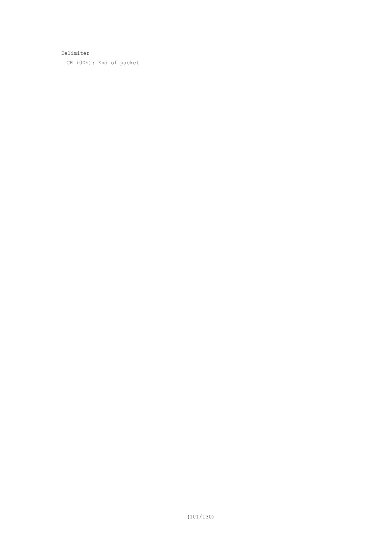Delimiter CR (0Dh): End of packet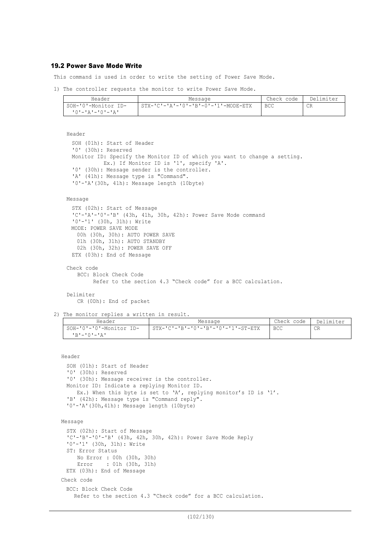### 19.2 Power Save Mode Write

This command is used in order to write the setting of Power Save Mode.

1) The controller requests the monitor to write Power Save Mode.

| Header                    | Message                                              | Check code | Delimiter |
|---------------------------|------------------------------------------------------|------------|-----------|
| SOH-'0'-Monitor ID-       | $STX - 'C' - 'A' - '0' - 'B' - 0' - '1' - MODEL-ETX$ | <b>BCC</b> | CR.       |
| י בי – י ∩י – י בי – י ∩י |                                                      |            |           |

```
Header
```

```
SOH (01h): Start of Header
'0' (30h): Reserved
Monitor ID: Specify the Monitor ID of which you want to change a setting.
          Ex.) If Monitor ID is '1', specify 'A'.
'0' (30h): Message sender is the controller.
'A' (41h): Message type is "Command".
'0'-'A'(30h, 41h): Message length (10byte)
```
#### Message

```
STX (02h): Start of Message
 'C'-'A'-'0'-'B' (43h, 41h, 30h, 42h): Power Save Mode command
 '0'-'1' (30h, 31h): Write
 MODE: POWER SAVE MODE
   00h (30h, 30h): AUTO POWER SAVE
 01h (30h, 31h): AUTO STANDBY
 02h (30h, 32h): POWER SAVE OFF
 ETX (03h): End of Message
```

```
Check code
   BCC: Block Check Code
         Refer to the section 4.3 "Check code" for a BCC calculation.
```

```
Delimiter
```
CR (0Dh): End of packet

2) The monitor replies a written in result.

| Header                                  | Message                            | Check code | Delimiter |
|-----------------------------------------|------------------------------------|------------|-----------|
| SOH-'0'-'0'-Monitor ID-<br>י בי–י∩י–יתי | STX-'C'-'B'-'0'-'B'-'0'-'1'-ST-ETX | <b>BCC</b> | CR        |

```
Header
```

```
SOH (01h): Start of Header
'0' (30h): Reserved
'0' (30h): Message receiver is the controller.
Monitor ID: Indicate a replying Monitor ID.
  Ex.) When this byte is set to 'A', replying monitor's ID is '1'.
'B' (42h): Message type is "Command reply".
'0'-'A'(30h,41h): Message length (10byte)
```

```
Message
```

```
STX (02h): Start of Message
 'C'-'B'-'0'-'B' (43h, 42h, 30h, 42h): Power Save Mode Reply
 '0'-'1' (30h, 31h): Write
 ST: Error Status
     No Error : 00h (30h, 30h)
     Error : 01h (30h, 31h)
 ETX (03h): End of Message
Check code
 BCC: Block Check Code
   Refer to the section 4.3 "Check code" for a BCC calculation.
```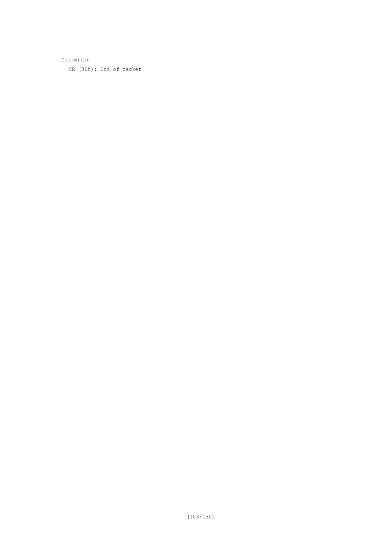Delimiter CR (0Dh): End of packet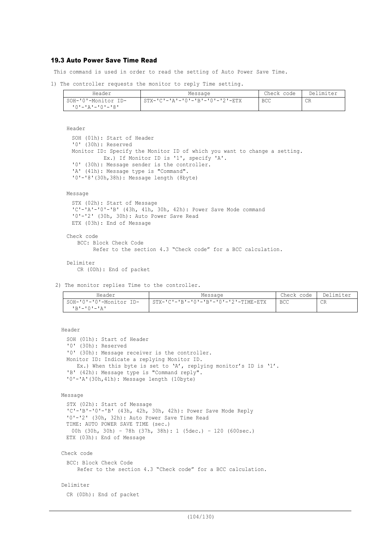## 19.3 Auto Power Save Time Read

This command is used in order to read the setting of Auto Power Save Time.

1) The controller requests the monitor to reply Time setting.

| Header                        | Message                         | Check code | Delimiter |
|-------------------------------|---------------------------------|------------|-----------|
| SOH-'0'-Monitor ID-           | STX-'C'-'A'-'O'-'B'-'O'-'2'-ETX | <b>BCC</b> | CR        |
| י R י – י ∩ י – י ב י – י ∩ י |                                 |            |           |

Header SOH (01h): Start of Header '0' (30h): Reserved Monitor ID: Specify the Monitor ID of which you want to change a setting. Ex.) If Monitor ID is '1', specify 'A'. '0' (30h): Message sender is the controller. 'A' (41h): Message type is "Command". '0'-'8'(30h,38h): Message length (8byte)

### Message

```
STX (02h): Start of Message
'C'-'A'-'0'-'B' (43h, 41h, 30h, 42h): Power Save Mode command
'0'-'2' (30h, 30h): Auto Power Save Read
ETX (03h): End of Message
```

```
Check code
   BCC: Block Check Code
         Refer to the section 4.3 "Check code" for a BCC calculation.
```
Delimiter CR (0Dh): End of packet

2) The monitor replies Time to the controller.

| Header                                 | Message                                | Check code | Delimiter |
|----------------------------------------|----------------------------------------|------------|-----------|
| SOH-'0'-'0'-Monitor ID-<br>IR'-'0'-'A' | $STX-ICI-IBI-I0I-IBI-I0I-I2I-TIME-ETX$ | <b>BCC</b> | CR        |

```
Header
```

```
SOH (01h): Start of Header
'0' (30h): Reserved
'0' (30h): Message receiver is the controller.
Monitor ID: Indicate a replying Monitor ID.
  Ex.) When this byte is set to 'A', replying monitor's ID is '1'.
'B' (42h): Message type is "Command reply".
'0'-'A'(30h,41h): Message length (10byte)
```

```
Message
```

```
STX (02h): Start of Message
'C'-'B'-'0'-'B' (43h, 42h, 30h, 42h): Power Save Mode Reply
'0'-'2' (30h, 32h): Auto Power Save Time Read
TIME: AUTO POWER SAVE TIME (sec.)
 00h (30h, 30h) – 78h (37h, 38h): 1 (5dec.) – 120 (600sec.)
ETX (03h): End of Message
```

```
Check code
```

```
BCC: Block Check Code
   Refer to the section 4.3 "Check code" for a BCC calculation.
```
# Delimiter

CR (0Dh): End of packet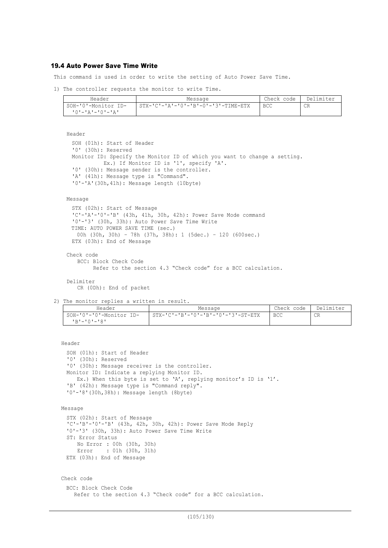### 19.4 Auto Power Save Time Write

This command is used in order to write the setting of Auto Power Save Time.

1) The controller requests the monitor to write Time.

| Header                    | Message                                               | Check code | Delimiter |
|---------------------------|-------------------------------------------------------|------------|-----------|
| SOH-'0'-Monitor ID-       | $STX - 'C' - 'A' - '0' - 'B' - 0' - '3' - TIME - ETX$ | <b>BCC</b> | <b>CR</b> |
| י בי – י ∩י – י בי – י הי |                                                       |            |           |

```
Header
```

```
SOH (01h): Start of Header
'0' (30h): Reserved
Monitor ID: Specify the Monitor ID of which you want to change a setting.
          Ex.) If Monitor ID is '1', specify 'A'.
'0' (30h): Message sender is the controller.
'A' (41h): Message type is "Command".
'0'-'A'(30h,41h): Message length (10byte)
```
#### Message

```
STX (02h): Start of Message
'C'-'A'-'0'-'B' (43h, 41h, 30h, 42h): Power Save Mode command
'0'-'3' (30h, 33h): Auto Power Save Time Write
TIME: AUTO POWER SAVE TIME (sec.)
  00h (30h, 30h) – 78h (37h, 38h): 1 (5dec.) – 120 (600sec.)
ETX (03h): End of Message
```

```
Check code
```
BCC: Block Check Code

```
 Refer to the section 4.3 "Check code" for a BCC calculation.
```

```
Delimiter
```
CR (0Dh): End of packet

2) The monitor replies a written in result.

| Header                                     | Message                            | Check code   Delimiter |    |
|--------------------------------------------|------------------------------------|------------------------|----|
| SOH-'0'-'0'-Monitor ID-<br>$R = 101 - 181$ | STX-'C'-'B'-'0'-'B'-'0'-'3'-ST-ETX | <b>BCC</b>             | CR |

Header

```
SOH (01h): Start of Header
'0' (30h): Reserved
'0' (30h): Message receiver is the controller.
Monitor ID: Indicate a replying Monitor ID.
  Ex.) When this byte is set to 'A', replying monitor's ID is '1'.
'B' (42h): Message type is "Command reply".
'0'-'8'(30h,38h): Message length (8byte)
```

```
Message
```

```
STX (02h): Start of Message
'C'-'B'-'0'-'B' (43h, 42h, 30h, 42h): Power Save Mode Reply
'0'-'3' (30h, 33h): Auto Power Save Time Write
ST: Error Status
    No Error : 00h (30h, 30h)
    Error : 01h (30h, 31h)
ETX (03h): End of Message
```

```
Check code
```

```
BCC: Block Check Code
  Refer to the section 4.3 "Check code" for a BCC calculation.
```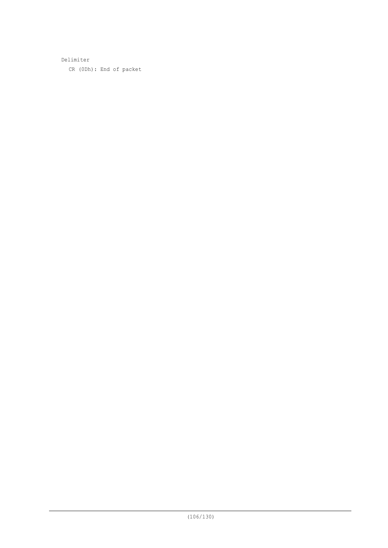Delimiter CR (0Dh): End of packet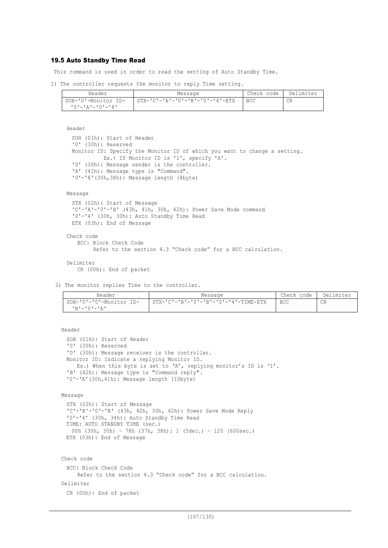## 19.5 Auto Standby Time Read

This command is used in order to read the setting of Auto Standby Time.

1) The controller requests the monitor to reply Time setting.

| Header              | Message                                         | Check code | Delimiter |
|---------------------|-------------------------------------------------|------------|-----------|
| SOH-'0'-Monitor ID- | $STX - 'C' - 'A' - 'O' - 'B' - 'O' - '4' - ETX$ | <b>BCC</b> | CR        |
| 10'-'A'-'0'-'8'     |                                                 |            |           |

Header SOH (01h): Start of Header '0' (30h): Reserved Monitor ID: Specify the Monitor ID of which you want to change a setting. Ex.) If Monitor ID is '1', specify 'A'. '0' (30h): Message sender is the controller. 'A' (41h): Message type is "Command". '0'-'8'(30h,38h): Message length (8byte)

### Message

```
STX (02h): Start of Message
'C'-'A'-'0'-'B' (43h, 41h, 30h, 42h): Power Save Mode command
'0'-'4' (30h, 30h): Auto Standby Time Read
ETX (03h): End of Message
```

```
Check code
   BCC: Block Check Code
         Refer to the section 4.3 "Check code" for a BCC calculation.
```

```
Delimiter
   CR (0Dh): End of packet
```
2) The monitor replies Time to the controller.

| Header                                              | Message                                                | Check code | Delimiter |
|-----------------------------------------------------|--------------------------------------------------------|------------|-----------|
| SOH-'0'-'0'-Monitor ID-<br>י בי – י∩י – י <b>בי</b> | $STX - 'C' - 'B' - '0' - 'B' - '0' - '4' - TIME - ETX$ | <b>BCC</b> | CR        |

```
Header
```

```
SOH (01h): Start of Header
'0' (30h): Reserved
'0' (30h): Message receiver is the controller.
Monitor ID: Indicate a replying Monitor ID.
  Ex.) When this byte is set to 'A', replying monitor's ID is '1'.
'B' (42h): Message type is "Command reply".
'0'-'A'(30h,41h): Message length (10byte)
```

```
Message
```

```
STX (02h): Start of Message
'C'-'B'-'0'-'B' (43h, 42h, 30h, 42h): Power Save Mode Reply
'0'-'4' (30h, 34h): Auto Standby Time Read
TIME: AUTO STANDBY TIME (sec.)
 00h (30h, 30h) – 78h (37h, 38h): 1 (5dec.) – 120 (600sec.)
ETX (03h): End of Message
```

```
Check code
 BCC: Block Check Code
     Refer to the section 4.3 "Check code" for a BCC calculation.
Delimiter
 CR (0Dh): End of packet
```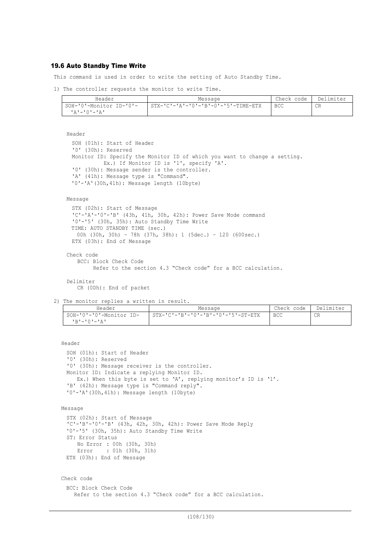## 19.6 Auto Standby Time Write

This command is used in order to write the setting of Auto Standby Time.

```
1) The controller requests the monitor to write Time.
```

| Header                  | Message                               | Check code   Delimiter |    |
|-------------------------|---------------------------------------|------------------------|----|
| SOH-'0'-Monitor ID-'0'- | 1 STX-'C'-'A'-'0'-'B'-0'-'5'-TIME-ETX | <b>BCC</b>             | CR |
| ╹д╹–╹ <b>∩╹</b> –╹Д╹    |                                       |                        |    |

Header

```
SOH (01h): Start of Header
'0' (30h): Reserved
Monitor ID: Specify the Monitor ID of which you want to change a setting.
          Ex.) If Monitor ID is '1', specify 'A'.
'0' (30h): Message sender is the controller.
'A' (41h): Message type is "Command".
'0'-'A'(30h,41h): Message length (10byte)
```
Message

```
STX (02h): Start of Message
'C'-'A'-'0'-'B' (43h, 41h, 30h, 42h): Power Save Mode command
'0'-'5' (30h, 35h): Auto Standby Time Write
TIME: AUTO STANDBY TIME (sec.)
  00h (30h, 30h) – 78h (37h, 38h): 1 (5dec.) – 120 (600sec.)
ETX (03h): End of Message
```

```
Check code
   BCC: Block Check Code
```

```
 Refer to the section 4.3 "Check code" for a BCC calculation.
```

```
Delimiter
```
CR (0Dh): End of packet

2) The monitor replies a written in result.

| Header                                     | Message                            | Check code | Delimiter |
|--------------------------------------------|------------------------------------|------------|-----------|
| SOH-'0'-'0'-Monitor ID-<br>$R = 101 - 121$ | STX-'C'-'B'-'0'-'B'-'0'-'5'-ST-ETX | <b>BCC</b> | CR        |

Header

```
SOH (01h): Start of Header
'0' (30h): Reserved
'0' (30h): Message receiver is the controller.
Monitor ID: Indicate a replying Monitor ID.
  Ex.) When this byte is set to 'A', replying monitor's ID is '1'.
'B' (42h): Message type is "Command reply".
'0'-'A'(30h,41h): Message length (10byte)
```

```
Message
```

```
STX (02h): Start of Message
'C'-'B'-'0'-'B' (43h, 42h, 30h, 42h): Power Save Mode Reply
'0'-'5' (30h, 35h): Auto Standby Time Write
ST: Error Status
    No Error : 00h (30h, 30h)
    Error : 01h (30h, 31h)
ETX (03h): End of Message
```

```
Check code
```

```
BCC: Block Check Code
  Refer to the section 4.3 "Check code" for a BCC calculation.
```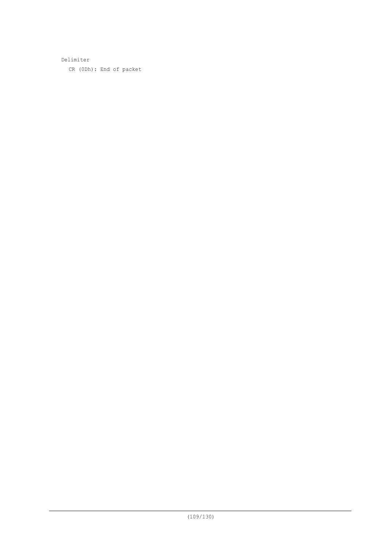Delimiter CR (0Dh): End of packet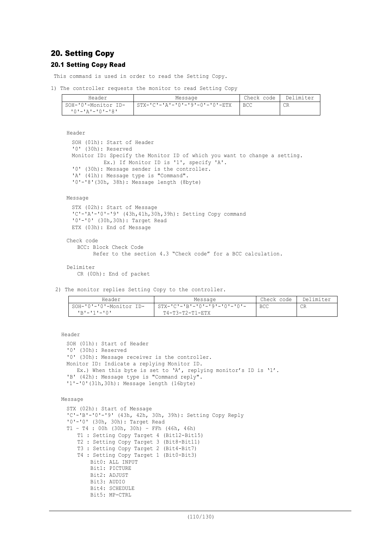# 20. Setting Copy

### 20.1 Setting Copy Read

This command is used in order to read the Setting Copy.

```
1) The controller requests the monitor to read Setting Copy
```

| Header              | Message                        | Check code | Delimiter |
|---------------------|--------------------------------|------------|-----------|
| SOH-'0'-Monitor ID- | STX-'C'-'A'-'0'-'9'-0'-'0'-ETX | <b>BCC</b> | CR        |
| 10'-'A'-'0'-'8'     |                                |            |           |

Header

```
SOH (01h): Start of Header
'0' (30h): Reserved
Monitor ID: Specify the Monitor ID of which you want to change a setting.
          Ex.) If Monitor ID is '1', specify 'A'.
'0' (30h): Message sender is the controller.
'A' (41h): Message type is "Command".
'0'-'8'(30h, 38h): Message length (8byte)
```
Message

```
STX (02h): Start of Message
'C'-'A'-'0'-'9' (43h,41h,30h,39h): Setting Copy command
'0'-'0' (30h,30h): Target Read
ETX (03h): End of Message
```
Check code BCC: Block Check Code Refer to the section 4.3 "Check code" for a BCC calculation. Delimiter CR (0Dh): End of packet

2) The monitor replies Setting Copy to the controller.

| Header                  | Message                        | Check code | Delimiter |
|-------------------------|--------------------------------|------------|-----------|
| SOH-'0'-'0'-Monitor ID- | - STX-'C'-'B'-'0'-'9'-'0'-'0'- | <b>BCC</b> | <b>CR</b> |
| י∩י−י1י−י¤י             | $T4 - T3 - T2 - T1 - ETX$      |            |           |

Header

```
SOH (01h): Start of Header
'0' (30h): Reserved
'0' (30h): Message receiver is the controller.
Monitor ID: Indicate a replying Monitor ID.
  Ex.) When this byte is set to 'A', replying monitor's ID is '1'.
'B' (42h): Message type is "Command reply".
'1'-'0'(31h,30h): Message length (16byte)
```

```
Message
```

```
STX (02h): Start of Message
'C'-'B'-'0'-'9' (43h, 42h, 30h, 39h): Setting Copy Reply
'0'-'0' (30h, 30h): Target Read
T1 – T4 : 00h (30h, 30h) – FFh (46h, 46h)
   T1 : Setting Copy Target 4 (Bit12-Bit15)
   T2 : Setting Copy Target 3 (Bit8-Bit11)
   T3 : Setting Copy Target 2 (Bit4-Bit7)
   T4 : Setting Copy Target 1 (Bit0-Bit3)
       Bit0: ALL INPUT
       Bit1: PICTURE
       Bit2: ADJUST
       Bit3: AUDIO
       Bit4: SCHEDULE
       Bit5: MP-CTRL
```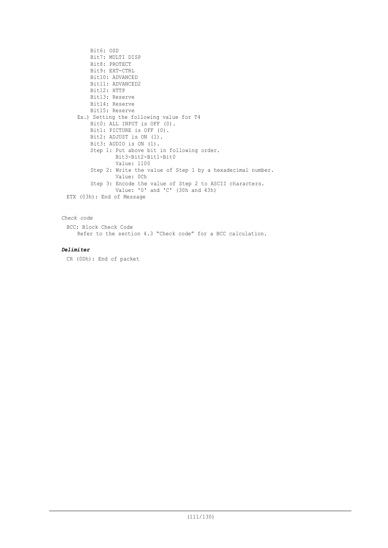```
Bit6: OSD
       Bit7: MULTI DISP
       Bit8: PROTECT
       Bit9: EXT-CTRL
       Bit10: ADVANCED
       Bit11: ADVANCED2
       Bit12: HTTP
       Bit13: Reserve
       Bit14: Reserve
       Bit15: Reserve
   Ex.) Setting the following value for T4
        Bit0: ALL INPUT is OFF (0).
       Bit1: PICTURE is OFF (0).
       Bit2: ADJUST is ON (1).
       Bit3: AUDIO is ON (1).
       Step 1: Put above bit in following order.
               Bit3-Bit2-Bit1-Bit0
               Value: 1100
        Step 2: Write the value of Step 1 by a hexadecimal number.
               Value: 0Ch
    Step 3: Encode the value of Step 2 to ASCII characters.
                Value: '0' and 'C' (30h and 43h)
ETX (03h): End of Message
```
## *Check code*

BCC: Block Check Code Refer to the section 4.3 "Check code" for a BCC calculation.

### *Delimiter*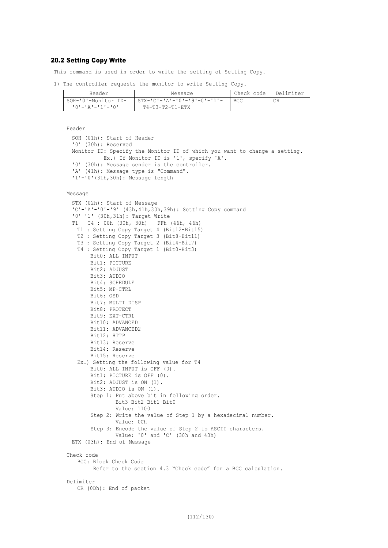### 20.2 Setting Copy Write

This command is used in order to write the setting of Setting Copy.

1) The controller requests the monitor to write Setting Copy.

| Header                          | Message                       | Check code | Delimiter |
|---------------------------------|-------------------------------|------------|-----------|
| SOH-'0'-Monitor ID-             | - STX-'C'-'A'-'0'-'9'-0'-'1'- | <b>BCC</b> | CR        |
| י ^ ^ ' – ' ג ' – ' ^ ' – ' ^ ' | Т4-Т3-Т2-Т1-ЕТХ               |            |           |

```
Header
 SOH (01h): Start of Header
 '0' (30h): Reserved
 Monitor ID: Specify the Monitor ID of which you want to change a setting.
           Ex.) If Monitor ID is '1', specify 'A'.
 '0' (30h): Message sender is the controller.
  'A' (41h): Message type is "Command".
 '1'-'0'(31h,30h): Message length
Message
 STX (02h): Start of Message
 'C'-'A'-'0'-'9' (43h,41h,30h,39h): Setting Copy command
 '0'-'1' (30h,31h): Target Write
 T1 – T4 : 00h (30h, 30h) – FFh (46h, 46h)
   T1 : Setting Copy Target 4 (Bit12-Bit15)
   T2 : Setting Copy Target 3 (Bit8-Bit11)
   T3 : Setting Copy Target 2 (Bit4-Bit7)
   T4 : Setting Copy Target 1 (Bit0-Bit3)
       Bit0: ALL INPUT
       Bit1: PICTURE
       Bit2: ADJUST
       Bit3: AUDIO
       Bit4: SCHEDULE
       Bit5: MP-CTRL
       Bit6: OSD
       Bit7: MULTI DISP
       Bit8: PROTECT
       Bit9: EXT-CTRL
       Bit10: ADVANCED
       Bit11: ADVANCED2
       Bit12: HTTP
       Bit13: Reserve
       Bit14: Reserve
       Bit15: Reserve
   Ex.) Setting the following value for T4
       Bit0: ALL INPUT is OFF (0).
       Bit1: PICTURE is OFF (0).
       Bit2: ADJUST is ON (1).
       Bit3: AUDIO is ON (1).
       Step 1: Put above bit in following order.
               Bit3-Bit2-Bit1-Bit0
               Value: 1100
        Step 2: Write the value of Step 1 by a hexadecimal number.
               Value: 0Ch
        Step 3: Encode the value of Step 2 to ASCII characters.
               Value: '0' and 'C' (30h and 43h)
 ETX (03h): End of Message
Check code
   BCC: Block Check Code
         Refer to the section 4.3 "Check code" for a BCC calculation.
Delimiter
   CR (0Dh): End of packet
```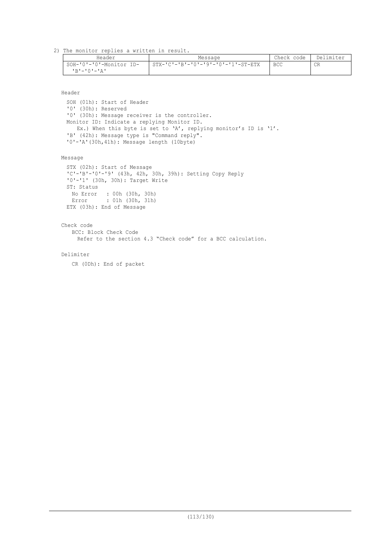2) The monitor replies a written in result.

| Header                                                    | Message                            | Check code | Delimiter |
|-----------------------------------------------------------|------------------------------------|------------|-----------|
| SOH-'0'-'0'-Monitor ID-<br>$R$ 'r $-$ ' $0$ ' $-$ ' $R$ ' | STX-'C'-'B'-'0'-'9'-'0'-'1'-ST-ETX | <b>BCC</b> | CR        |

Header

SOH (01h): Start of Header '0' (30h): Reserved '0' (30h): Message receiver is the controller. Monitor ID: Indicate a replying Monitor ID. Ex.) When this byte is set to 'A', replying monitor's ID is '1'. 'B' (42h): Message type is "Command reply". '0'-'A'(30h,41h): Message length (10byte)

Message

```
STX (02h): Start of Message
'C'-'B'-'0'-'9' (43h, 42h, 30h, 39h): Setting Copy Reply
'0'-'1' (30h, 30h): Target Write
ST: Status
  No Error : 00h (30h, 30h)
  Error : 01h (30h, 31h)
ETX (03h): End of Message
```
Check code BCC: Block Check Code Refer to the section 4.3 "Check code" for a BCC calculation.

Delimiter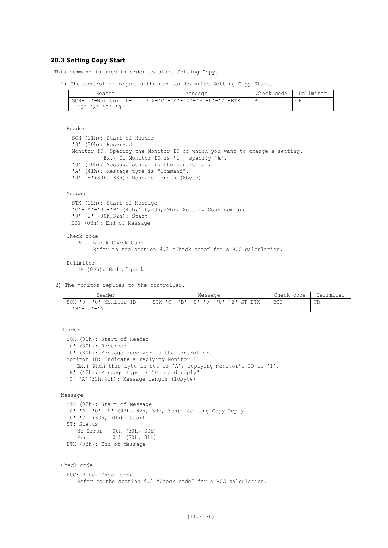### 20.3 Setting Copy Start

This command is used in order to start Setting Copy.

1) The controller requests the monitor to write Setting Copy Start.

| Header              | Message                                        | Check code | Delimiter |
|---------------------|------------------------------------------------|------------|-----------|
| SOH-'0'-Monitor ID- | $STX - 'C' - 'A' - '0' - '9' - 0' - '2' - ETX$ | BCC        | CR        |
| י8י−י∩י−יגי−יטי     |                                                |            |           |

Header

```
SOH (01h): Start of Header
'0' (30h): Reserved
Monitor ID: Specify the Monitor ID of which you want to change a setting.
          Ex.) If Monitor ID is '1', specify 'A'.
'0' (30h): Message sender is the controller.
'A' (41h): Message type is "Command".
'0'-'8'(30h, 38h): Message length (8byte)
```
Message

```
STX (02h): Start of Message
'C'-'A'-'0'-'9' (43h,41h,30h,39h): Setting Copy command
'0'-'2' (30h,32h): Start
ETX (03h): End of Message
```

```
Check code
   BCC: Block Check Code
         Refer to the section 4.3 "Check code" for a BCC calculation.
```
Delimiter CR (0Dh): End of packet

2) The monitor replies to the controller.

| Header                  | Message                                              | Check code | Delimiter |
|-------------------------|------------------------------------------------------|------------|-----------|
| SOH-'0'-'0'-Monitor ID- | $STX - 'C' - 'B' - '0' - '9' - '0' - '2' - ST - ETX$ | <b>BCC</b> | CR.       |
| 'R'−'∩'−'A'             |                                                      |            |           |

```
Header
```

```
SOH (01h): Start of Header
'0' (30h): Reserved
'0' (30h): Message receiver is the controller.
Monitor ID: Indicate a replying Monitor ID.
  Ex.) When this byte is set to 'A', replying monitor's ID is '1'.
'B' (42h): Message type is "Command reply".
'0'-'A'(30h,41h): Message length (10byte)
```

```
Message
```

```
STX (02h): Start of Message
'C'-'B'-'0'-'9' (43h, 42h, 30h, 39h): Setting Copy Reply
'0'-'2' (30h, 30h): Start
ST: Status
   No Error : 00h (30h, 30h)
   Error : 01h (30h, 31h)
ETX (03h): End of Message
```

```
Check code
 BCC: Block Check Code
    Refer to the section 4.3 "Check code" for a BCC calculation.
```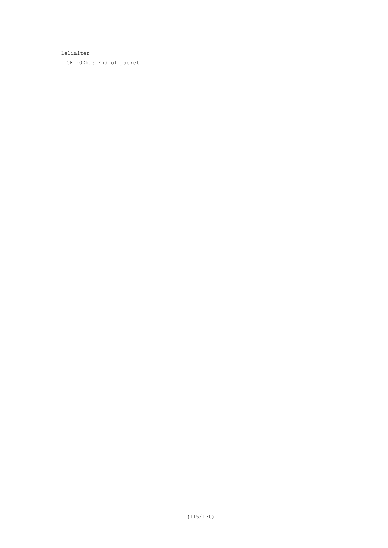Delimiter CR (0Dh): End of packet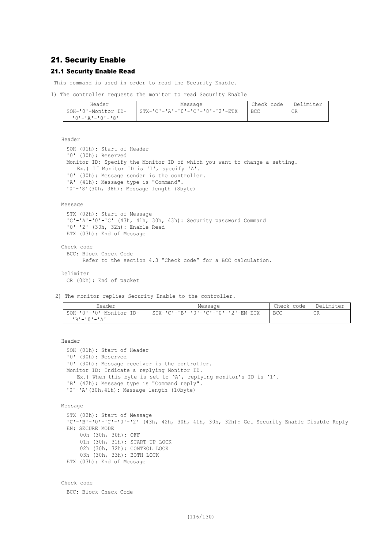# 21. Security Enable

## 21.1 Security Enable Read

This command is used in order to read the Security Enable.

1) The controller requests the monitor to read Security Enable

| Header                    | Message                          | Check code | Delimiter |
|---------------------------|----------------------------------|------------|-----------|
| SOH-'0'-Monitor ID-       | $STX-ICI-IA-I0I-ICI-I0I-I2I-ETX$ | <b>BCC</b> | СR        |
| י 8' – י 0' – י 4' – י 0' |                                  |            |           |

Header

```
SOH (01h): Start of Header
'0' (30h): Reserved
Monitor ID: Specify the Monitor ID of which you want to change a setting.
  Ex.) If Monitor ID is '1', specify 'A'.
'0' (30h): Message sender is the controller.
'A' (41h): Message type is "Command".
'0'-'8'(30h, 38h): Message length (8byte)
```
Message

```
STX (02h): Start of Message
 'C'-'A'-'0'-'C' (43h, 41h, 30h, 43h): Security password Command
 '0'-'2' (30h, 32h): Enable Read
 ETX (03h): End of Message
Check code
 BCC: Block Check Code
```

```
 Refer to the section 4.3 "Check code" for a BCC calculation.
```
Delimiter

CR (0Dh): End of packet

2) The monitor replies Security Enable to the controller.

| Header                               | Message                            | Check code   Delimiter |    |
|--------------------------------------|------------------------------------|------------------------|----|
| SOH-'0'-'0'-Monitor ID-              | STX-'C'-'B'-'0'-'C'-'0'-'2'-EN-ETX | <b>BCC</b>             | CR |
| $R$ 'r $-$ ' $\cap$ ' $-$ ' $\cap$ ' |                                    |                        |    |

Header

```
SOH (01h): Start of Header
'0' (30h): Reserved
'0' (30h): Message receiver is the controller.
Monitor ID: Indicate a replying Monitor ID.
  Ex.) When this byte is set to 'A', replying monitor's ID is '1'.
'B' (42h): Message type is "Command reply".
'0'-'A'(30h,41h): Message length (10byte)
```
Message

```
STX (02h): Start of Message
 'C'-'B'-'0'-'C'-'0'-'2' (43h, 42h, 30h, 41h, 30h, 32h): Get Security Enable Disable Reply
 EN: SECURE MODE
     00h (30h, 30h): OFF
     01h (30h, 31h): START-UP LOCK
     02h (30h, 32h): CONTROL LOCK
     03h (30h, 33h): BOTH LOCK
 ETX (03h): End of Message
Check code
```
BCC: Block Check Code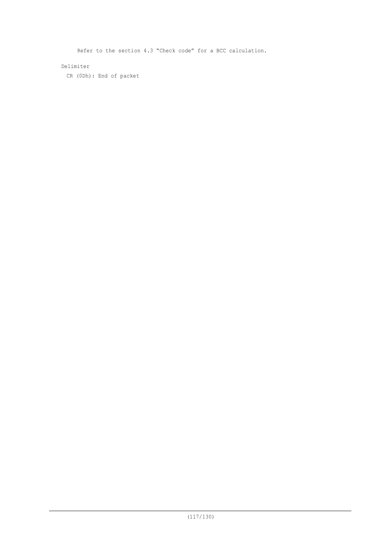Refer to the section 4.3 "Check code" for a BCC calculation. Delimiter CR (0Dh): End of packet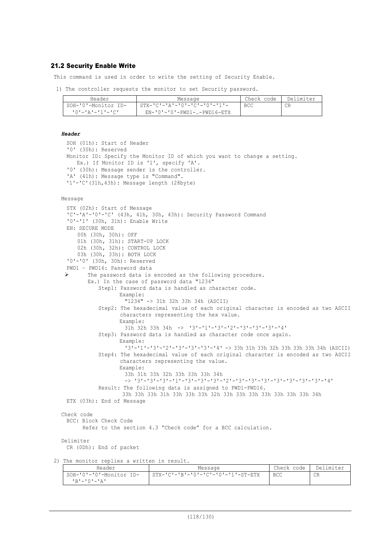### 21.2 Security Enable Write

This command is used in order to write the setting of Security Enable.

1) The controller requests the monitor to set Security password.

| Header              | Message                                     | Check code | Delimiter |
|---------------------|---------------------------------------------|------------|-----------|
| SOH-'0'-Monitor ID- | $STX - 'C' - 'A' - '0' - 'C' - '0' - '1' -$ | BCC        | СR        |
| - 'O'-'A'-'1'-'C'   | $EN - '0' - '0' - PWD1 -  - PWD16 - ETX$    |            |           |

#### *Header*

```
SOH (01h): Start of Header
    '0' (30h): Reserved
    Monitor ID: Specify the Monitor ID of which you want to change a setting.
      Ex.) If Monitor ID is '1', specify 'A'.
    '0' (30h): Message sender is the controller.
    'A' (41h): Message type is "Command".
    '1'-'C'(31h,43h): Message length (28byte)
  Message
    STX (02h): Start of Message
    'C'-'A'-'0'-'C' (43h, 41h, 30h, 43h): Security Password Command
    '0'-'1' (30h, 31h): Enable Write
    EN: SECURE MODE
        00h (30h, 30h): OFF
     01h (30h, 31h): START-UP LOCK
     02h (30h, 32h): CONTROL LOCK
        03h (30h, 33h): BOTH LOCK
    '0'-'0' (30h, 30h): Reserved
    PWD1 – PWD16: Password data
   Ø The password data is encoded as the following procedure.
          Ex.) In the case of password data "1234"
              Step1: Password data is handled as character code.
                    Example:
                      "1234" -> 31h 32h 33h 34h (ASCII)
              Step2: The hexadecimal value of each original character is encoded as two ASCII
                     characters representing the hex value.
                    Example:
                      31h 32h 33h 34h -> '3'-'1'-'3'-'2'-'3'-'3'-'3'-'4'
              Step3: Password data is handled as character code once again.
                    Example:
                      '3'-'1'-'3'-'2'-'3'-'3'-'3'-'4' -> 33h 31h 33h 32h 33h 33h 33h 34h (ASCII)
              Step4: The hexadecimal value of each original character is encoded as two ASCII
                     characters representing the value.
                    Example:
                      33h 31h 33h 32h 33h 33h 33h 34h
                      -> '3'-'3'-'3'-'1'-'3'-'3'-'3'-'2'-'3'-'3'-'3'-'3'-'3'-'3'-'3'-'4'
              Result: The following data is assigned to PWD1-PWD16.
                      33h 33h 33h 31h 33h 33h 33h 32h 33h 33h 33h 33h 33h 33h 33h 34h
    ETX (03h): End of Message
  Check code
    BCC: Block Check Code
          Refer to the section 4.3 "Check code" for a BCC calculation.
  Delimiter
    CR (0Dh): End of packet
2) The monitor replies a written in result.
```

| Header                  | Message                            | Check code | Delimiter |
|-------------------------|------------------------------------|------------|-----------|
| SOH-'0'-'0'-Monitor ID- | STX-'C'-'B'-'0'-'C'-'0'-'1'-ST-ETX | BCC        | CR        |
| י בי – י∩י – י תי       |                                    |            |           |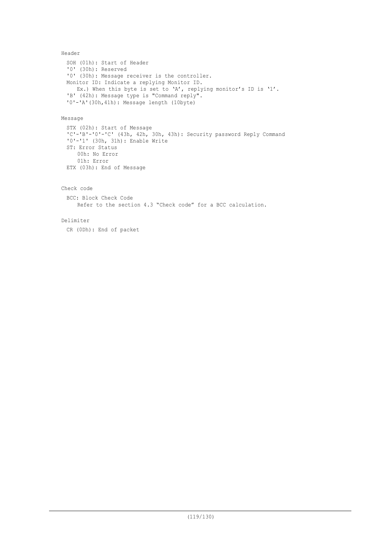```
Header
 SOH (01h): Start of Header
 '0' (30h): Reserved
 '0' (30h): Message receiver is the controller.
 Monitor ID: Indicate a replying Monitor ID.
   Ex.) When this byte is set to 'A', replying monitor's ID is '1'.
 'B' (42h): Message type is "Command reply".
 '0'-'A'(30h,41h): Message length (10byte)
```
### Message

```
STX (02h): Start of Message
'C'-'B'-'0'-'C' (43h, 42h, 30h, 43h): Security password Reply Command
'0'-'1' (30h, 31h): Enable Write
ST: Error Status
    00h: No Error
    01h: Error
ETX (03h): End of Message
```
### Check code

```
BCC: Block Check Code
   Refer to the section 4.3 "Check code" for a BCC calculation.
```
#### Delimiter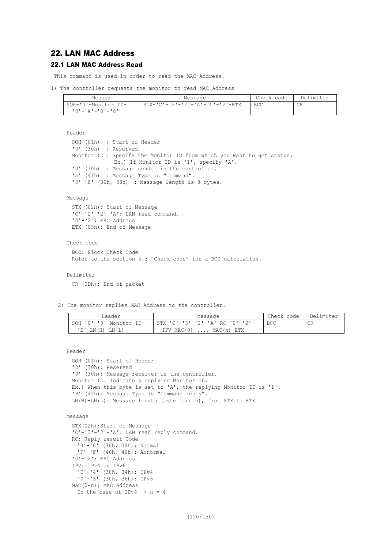# 22. LAN MAC Address

## 22.1 LAN MAC Address Read

This command is used in order to read the MAC Address.

```
1) The controller requests the monitor to read MAC Address
```

| Header              | Message                         | Check code | Delimiter |
|---------------------|---------------------------------|------------|-----------|
| SOH-'0'-Monitor ID- | STX-'C'-'2'-'2'-'A'-'0'-'2'-ETX | <b>BCC</b> | CR        |
| י8'-'0'-'4'-'0'     |                                 |            |           |

```
Header
```

```
SOH (01h) : Start of Header
'0' (30h) : Reserved
Monitor ID : Specify the Monitor ID from which you want to get status.
              Ex.) If Monitor ID is '1', specify 'A'.
'0' (30h) : Message sender is the controller.<br>'A' (41h) : Message Type is "Command".
            : Message Type is "Command".
'0'-'8' (30h, 38h) : Message length is 8 bytes.
```
### Message

```
STX (02h): Start of Message
'C'-'2'-'2'-'A': LAN read command.
'0' - '2': MAC Address
ETX (03h): End of Message
```
#### Check code

```
BCC: Block Check Code
Refer to the section 4.3 "Check code" for a BCC calculation.
```
### Delimiter

CR (0Dh): End of packet

2) The monitor replies MAC Address to the controller.

| Header                  | Message                              | Check code | Delimiter |
|-------------------------|--------------------------------------|------------|-----------|
| SOH-'0'-'0'-Monitor ID- | STX-'C'-'3'-'2'-'A'-RC-'0'-'2'-      | BCC        | CR        |
| $'B - LN(H) - LN(L)$    | $IPV-MAC(0) - \ldots - MAC(n) - ETX$ |            |           |

```
Header
```

```
SOH (01h): Start of Header
'0' (30h): Reserved
'0' (30h): Message receiver is the controller.
Monitor ID: Indicate a replying Monitor ID.
Ex.) When this byte is set to 'A', the replying Monitor ID is '1'.
'B' (42h): Message Type is "Command reply".
LN(H)-LN(L): Message length (byte length), from STX to ETX
```

```
Message
```

```
STX(02h):Start of Message
'C'-'3'-'2'-'A': LAN read reply command.
RC: Reply result Code
  '0'-'0' (30h, 30h): Normal
  'F'-'F' (46h, 46h): Abnormal
'0'-'2': MAC Address
IPV: IPv4 or IPv6
 '0'-'4' (30h, 34h): IPv4
  '0'-'6' (30h, 36h): IPv6
MAC(0-n): MAC Address
 In the case of IPv4 \rightarrow n = 4
```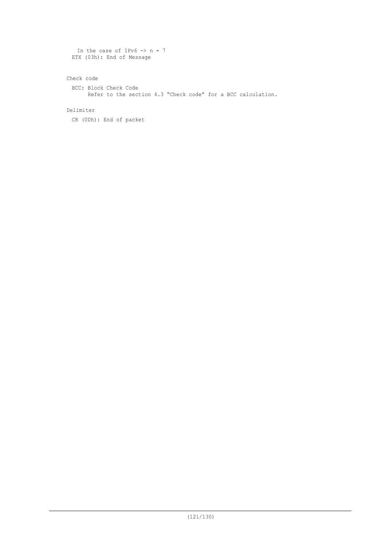```
In the case of IPv6 \rightarrow n = 7ETX (03h): End of Message
```
Check code

```
BCC: Block Check Code
 Refer to the section 4.3 "Check code" for a BCC calculation.
```
Delimiter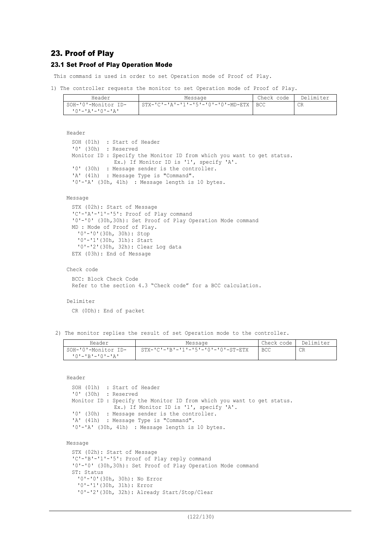# 23. Proof of Play

### 23.1 Set Proof of Play Operation Mode

This command is used in order to set Operation mode of Proof of Play.

```
1) The controller requests the monitor to set Operation mode of Proof of Play.
```

| Header                  | Message                                  | Check code | Delimiter |
|-------------------------|------------------------------------------|------------|-----------|
| SOH-'0'-Monitor ID-     | STX-'C'-'A'-'1'-'5'-'0'-'0'-MD-ETX   BCC |            | CR        |
| <u> 'O'-'A'-'O'-'A'</u> |                                          |            |           |

```
Header
  SOH (01h) : Start of Header
  '0' (30h) : Reserved
 Monitor ID : Specify the Monitor ID from which you want to get status.
               Ex.) If Monitor ID is '1', specify 'A'.
  '0' (30h) : Message sender is the controller.<br>'A' (41h) : Message Type is "Command".
             : Message Type is "Command".
  '0'-'A' (30h, 41h) : Message length is 10 bytes.
Message
 STX (02h): Start of Message
  'C'-'A'-'1'-'5': Proof of Play command
  '0'-'0' (30h,30h): Set Proof of Play Operation Mode command
 MD : Mode of Proof of Play.
    '0'-'0'(30h, 30h): Stop
     '0'-'1'(30h, 31h): Start
    '0'-'2'(30h, 32h): Clear Log data
 ETX (03h): End of Message
```

```
Check code
```
BCC: Block Check Code Refer to the section 4.3 "Check code" for a BCC calculation.

#### Delimiter

CR (0Dh): End of packet

'0'-'0'(30h, 30h): No Error '0'-'1'(30h, 31h): Error

'0'-'2'(30h, 32h): Already Start/Stop/Clear

2) The monitor replies the result of set Operation mode to the controller.

| Header              | Message                                              | Check code | Delimiter |
|---------------------|------------------------------------------------------|------------|-----------|
| SOH-'0'-Monitor ID- | $STX - 'C' - 'B' - '1' - '5' - '0' - '0' - ST - ETX$ | BCC        | CR        |
| 10'-'R'-'0'-'A'     |                                                      |            |           |

Header

```
SOH (01h) : Start of Header<br>'0' (30h) : Reserved
             : Reserved
 Monitor ID : Specify the Monitor ID from which you want to get status.
               Ex.) If Monitor ID is '1', specify 'A'.
 '0' (30h) : Message sender is the controller.
  'A' (41h) : Message Type is "Command".
  '0'-'A' (30h, 41h) : Message length is 10 bytes.
Message
 STX (02h): Start of Message
  'C'-'B'-'1'-'5': Proof of Play reply command
 '0'-'0' (30h,30h): Set Proof of Play Operation Mode command
 ST: Status
```
(122/130)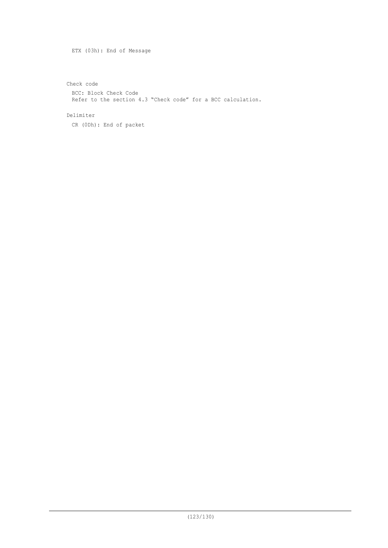ETX (03h): End of Message

Check code

BCC: Block Check Code Refer to the section 4.3 "Check code" for a BCC calculation.

Delimiter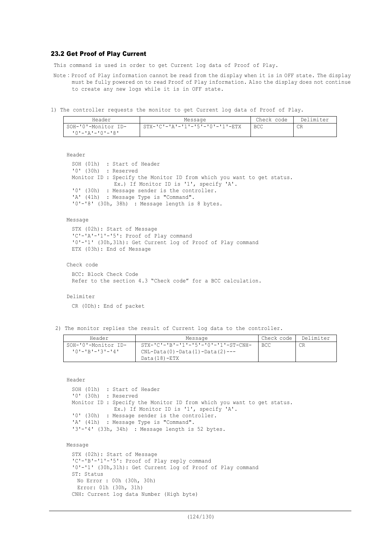### 23.2 Get Proof of Play Current

This command is used in order to get Current log data of Proof of Play.

- Note: Proof of Play information cannot be read from the display when it is in OFF state. The display must be fully powered on to read Proof of Play information. Also the display does not continue to create any new logs while it is in OFF state.
- 1) The controller requests the monitor to get Current log data of Proof of Play.

| Header              | Message                         | Check code | Delimiter |
|---------------------|---------------------------------|------------|-----------|
| SOH-'0'-Monitor ID- | STX-'C'-'A'-'1'-'5'-'0'-'1'-ETX | <b>BCC</b> | CR        |
| 10'-'A'-'0'-'8'     |                                 |            |           |

Header

```
SOH (01h) : Start of Header
'0' (30h) : Reserved
Monitor ID : Specify the Monitor ID from which you want to get status.
              Ex.) If Monitor ID is '1', specify 'A'.
'0' (30h) : Message sender is the controller.<br>'A' (41h) : Message Type is "Command".
            : Message Type is "Command".
'0'-'8' (30h, 38h) : Message length is 8 bytes.
```
Message

```
STX (02h): Start of Message
'C'-'A'-'1'-'5': Proof of Play command
'0'-'1' (30h,31h): Get Current log of Proof of Play command
ETX (03h): End of Message
```
Check code

BCC: Block Check Code Refer to the section 4.3 "Check code" for a BCC calculation.

Delimiter

CR (0Dh): End of packet

2) The monitor replies the result of Current log data to the controller.

| Header              | Message                                | Check code | Delimiter |
|---------------------|----------------------------------------|------------|-----------|
| SOH-'0'-Monitor ID- | $STX-ICI-IBI-I1I-I5I-I0I-I1I-ST-CNH-I$ | BCC.       | СR        |
| 10'-'R'-'3'-'4'     | CNL-Data(0)-Data(1)-Data(2)---         |            |           |
|                     | $Data(18)-ETX$                         |            |           |

Header

```
SOH (01h) : Start of Header
 '0' (30h) : Reserved
 Monitor ID : Specify the Monitor ID from which you want to get status.
              Ex.) If Monitor ID is '1', specify 'A'.
 '0' (30h) : Message sender is the controller.
 'A' (41h) : Message Type is "Command".
 '3'-'4' (33h, 34h) : Message length is 52 bytes.
Message
 STX (02h): Start of Message
  'C'-'B'-'1'-'5': Proof of Play reply command
```

```
'0'-'1' (30h,31h): Get Current log of Proof of Play command
ST: Status
  No Error : 00h (30h, 30h)
  Error: 01h (30h, 31h)
CNH: Current log data Number (High byte)
```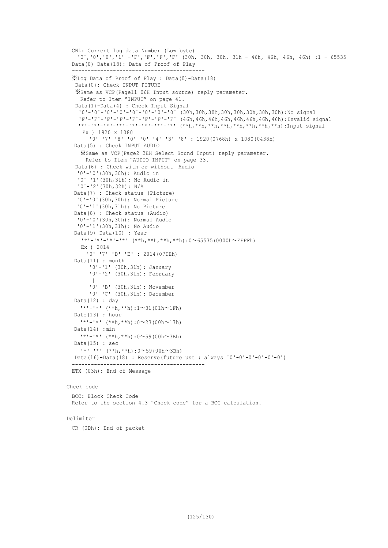```
CNL: Current log data Number (Low byte)
   '0','0','0','1' -'F','F','F','F' (30h, 30h, 30h, 31h - 46h, 46h, 46h, 46h) :1 - 65535
 Data(0)-Data(18): Data of Proof of Play
    ------------------------------------------
 ※Log Data of Proof of Play : Data(0)-Data(18)
  Data(0): Check INPUT PITURE
  ※Same as VCP(Page11 06H Input source) reply parameter.
    Refer to Item "INPUT" on page 41.
   Data(1)-Data(4) : Check Input Signal
    '0'-'0'-'0'-'0'-'0'-'0'-'0'-'0' (30h,30h,30h,30h,30h,30h,30h,30h):No signal
   'F'-'F'-'F'-'F'-'F'-'F'-'F'-'F' (46h,46h,46h,46h,46h,46h,46h,46h):Invalid signal
    '*'-'*'-'*'-'*'-'*'-'*'-'*'-'*' (**h,**h,**h,**h,**h,**h,**h,**h):Input signal
    Ex ) 1920 x 1080
       '0'-'7'-'8'-'0'-'0'-'4'-'3'-'8' : 1920(0768h) x 1080(0438h)
  Data(5) : Check INPUT AUDIO
    ※Same as VCP(Page2 2EH Select Sound Input) reply parameter.
      Refer to Item "AUDIO INPUT" on page 33.
  Data(6) : Check with or without Audio
   '0'-'0'(30h,30h): Audio in
   '0'-'1'(30h,31h): No Audio in
   '0'-'2'(30h,32h): N/A
  Data(7) : Check status (Picture)
   '0'-'0'(30h,30h): Normal Picture
   '0'-'1'(30h,31h): No Picture
  Data(8) : Check status (Audio)
   '0'-'0'(30h,30h): Normal Audio
   '0'-'1'(30h,31h): No Audio
  Data(9)-Data(10) : Year
    '*'-'*'-'*'-'*' (**h,**h,**h,**h):0~65535(0000h~FFFFh)
    Ex ) 2014
      '0'-'7'-'D'-'E' : 2014(07DEh)
  Data(11) : month
        '0'-'1' (30h,31h): January
        '0'-'2' (30h,31h): February
    || || ||
        '0'-'B' (30h,31h): November
        '0'-'C' (30h,31h): December
  Data(12) : day
    '*'-'*' (**h,**h):1~31(01h~1Fh)
  Date(13) : hour
    '*'-'*' (**h,**h):0~23(00h~17h)
  Date(14) : min
    1 * 1 - 1 * 1 (**h,**h):0~59(00h~3Bh)
  Data(15) : sec
    '*'-'*' (**h,**h):0~59(00h~3Bh)
  Data(16)-Data(18) : Reserve(future use : always '0'-0'-0'-0'-0'-0')
  ------------------------------------------
 ETX (03h): End of Message
Check code
 BCC: Block Check Code
 Refer to the section 4.3 "Check code" for a BCC calculation.
```
#### Delimiter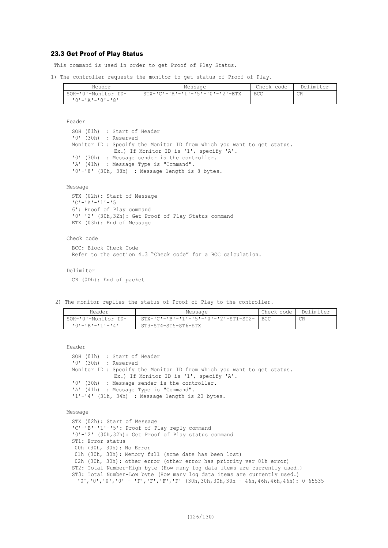## 23.3 Get Proof of Play Status

This command is used in order to get Proof of Play Status.

1) The controller requests the monitor to get status of Proof of Play.

| Header                  | Message                         | Check code | Delimiter |
|-------------------------|---------------------------------|------------|-----------|
| SOH-'0'-Monitor ID-     | STX-'C'-'A'-'1'-'5'-'0'-'2'-ETX | BCC        | CR        |
| $10! - 12! - 10! - 18!$ |                                 |            |           |

Header

SOH (01h) : Start of Header<br>'0' (30h) : Reserved : Reserved Monitor ID : Specify the Monitor ID from which you want to get status. Ex.) If Monitor ID is '1', specify 'A'. '0' (30h) : Message sender is the controller.<br>'A' (41h) : Message Type is "Command". : Message Type is "Command". '0'-'8' (30h, 38h) : Message length is 8 bytes.

#### Message

STX (02h): Start of Message 'C'-'A'-'1'-'5 6': Proof of Play command '0'-'2' (30h,32h): Get Proof of Play Status command ETX (03h): End of Message

#### Check code

```
BCC: Block Check Code
Refer to the section 4.3 "Check code" for a BCC calculation.
```

```
Delimiter
```
CR (0Dh): End of packet

2) The monitor replies the status of Proof of Play to the controller.

| Header                 | Message                                    | Check code | Delimiter |
|------------------------|--------------------------------------------|------------|-----------|
| SOH-'0'-Monitor ID-    | STX-'C'-'B'-'1'-'5'-'0'-'2'-ST1-ST2-   BCC |            |           |
| $101 - 1R1 - 11 - 141$ | ST3-ST4-ST5-ST6-ETX                        |            |           |

Header

```
SOH (01h) : Start of Header
'0' (30h) : Reserved
Monitor ID : Specify the Monitor ID from which you want to get status.
            Ex.) If Monitor ID is '1', specify 'A'.
'0' (30h) : Message sender is the controller.
'A' (41h) : Message Type is "Command".
'1'-'4' (31h, 34h) : Message length is 20 bytes.
```

```
Message
```

```
STX (02h): Start of Message
'C'-'B'-'1'-'5': Proof of Play reply command
'0'-'2' (30h,32h): Get Proof of Play status command
ST1: Error status
00h (30h, 30h): No Error
01h (30h, 30h): Memory full (some date has been lost)
02h (30h, 30h): other error (other error has priority ver 01h error)
ST2: Total Number-High byte (How many log data items are currently used.)
ST3: Total Number-Low byte (How many log data items are currently used.)
 (0', '0', '0', '0', - 'F', 'F', 'F', 'F', 'F', '30h,30h,30h - 46h,46h,46h,46h): 0-65535
```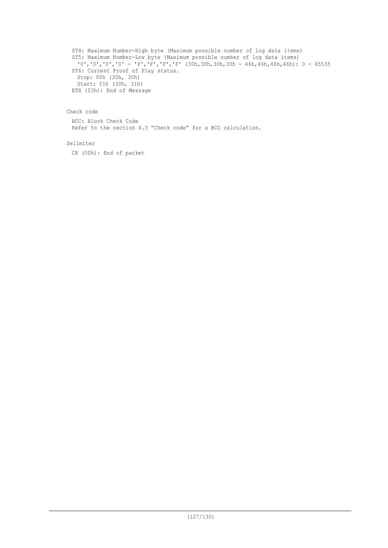ST4: Maximum Number-High byte (Maximum possible number of log data items) ST5: Maximum Number-Low byte (Maximum possible number of log data items) '0','0','0','0' - 'F','F','F','F' (30h,30h,30h,30h - 46h,46h,46h,46h): 0 - 65535 ST6: Current Proof of Play status. Stop: 00h (30h, 30h) Start: 01h (30h, 31h) ETX (03h): End of Message

### Check code

BCC: Block Check Code Refer to the section 4.3 "Check code" for a BCC calculation.

### Delimiter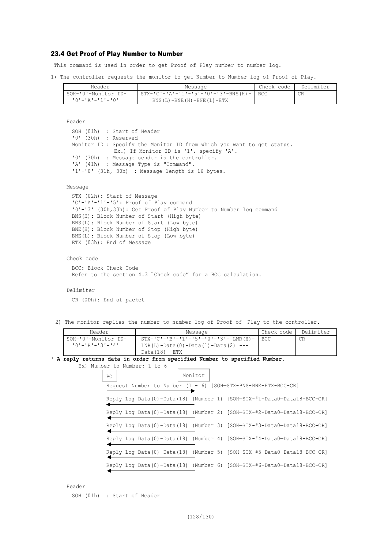### 23.4 Get Proof of Play Number to Number

This command is used in order to get Proof of Play number to number log.

1) The controller requests the monitor to get Number to Number log of Proof of Play.

| Header              | Message                                   | Check code | Delimiter |
|---------------------|-------------------------------------------|------------|-----------|
| SOH-'0'-Monitor ID- | STX-'C'-'A'-'1'-'5'-'0'-'3'-BNS(H)-   BCC |            | CR        |
| 10'-'A'-'1'-'0'     | BNS $(L)$ -BNE $(H)$ -BNE $(L)$ -ETX      |            |           |

Header

SOH (01h) : Start of Header '0' (30h) : Reserved Monitor ID : Specify the Monitor ID from which you want to get status. Ex.) If Monitor ID is '1', specify 'A'. '0' (30h) : Message sender is the controller. 'A' (41h) : Message Type is "Command".  $11 - 0$ ' (31h, 30h) : Message length is 16 bytes.

#### Message

STX (02h): Start of Message 'C'-'A'-'1'-'5': Proof of Play command '0'-'3' (30h,33h): Get Proof of Play Number to Number log command BNS(H): Block Number of Start (High byte) BNS(L): Block Number of Start (Low byte) BNE(H): Block Number of Stop (High byte) BNE(L): Block Number of Stop (Low byte) ETX (03h): End of Message

Check code

BCC: Block Check Code Refer to the section 4.3 "Check code" for a BCC calculation.

#### Delimiter

CR (0Dh): End of packet

2) The monitor replies the number to number log of Proof of Play to the controller.

| Header              | Message                                      | Check code | Delimiter |
|---------------------|----------------------------------------------|------------|-----------|
| SOH-'0'-Monitor ID- | $STX-ICI-IBI-I1-I5I-I0I-I3I-$ LNR(H) -   BCC |            | CR        |
| 10'-'R'-'3'-'4'     | LNR(L)-Data(0)-Data(1)-Data(2) ---           |            |           |
|                     | $Data(18) - ETX$                             |            |           |

#### \* **A reply returns data in order from specified Number to specified Number.** Ex) Number to Number: 1 to 6

| PC |  | Monitor |  |                                                                        |
|----|--|---------|--|------------------------------------------------------------------------|
|    |  |         |  | Request Number to Number (1 - 6) [SOH-STX-BNS-BNE-ETX-BCC-CR]          |
|    |  |         |  | Reply Log Data(0)-Data(18) (Number 1) [SOH-STX-#1-Data0-Data18-BCC-CR] |
|    |  |         |  | Reply Log Data(0)-Data(18) (Number 2) [SOH-STX-#2-Data0-Data18-BCC-CR] |
|    |  |         |  | Reply Log Data(0)-Data(18) (Number 3) [SOH-STX-#3-Data0-Data18-BCC-CR] |
|    |  |         |  | Reply Log Data(0)-Data(18) (Number 4) [SOH-STX-#4-Data0-Data18-BCC-CR] |
|    |  |         |  | Reply Log Data(0)-Data(18) (Number 5) [SOH-STX-#5-Data0-Data18-BCC-CR] |
|    |  |         |  | Reply Log Data(0)-Data(18) (Number 6) [SOH-STX-#6-Data0-Data18-BCC-CR] |

Header

SOH (01h) : Start of Header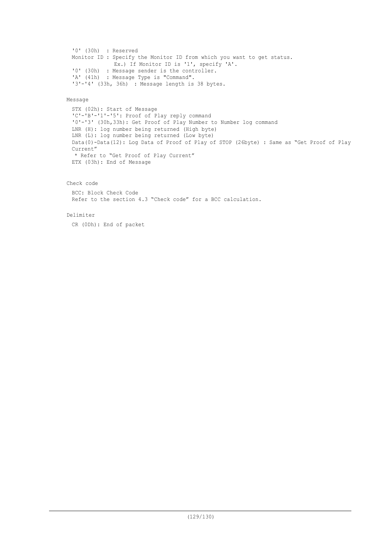```
'0' (30h) : Reserved
Monitor ID : Specify the Monitor ID from which you want to get status.
            Ex.) If Monitor ID is '1', specify 'A'.
'0' (30h) : Message sender is the controller.
'A' (41h) : Message Type is "Command".
'3'-'4' (33h, 36h) : Message length is 38 bytes.
```
#### Message

```
STX (02h): Start of Message
'C'-'B'-'1'-'5': Proof of Play reply command
'0'-'3' (30h,33h): Get Proof of Play Number to Number log command
LNR (H): log number being returned (High byte)
LNR (L): log number being returned (Low byte)
Data(0)-Data(12): Log Data of Proof of Play of STOP (26byte) : Same as "Get Proof of Play
Current"
* Refer to "Get Proof of Play Current"
ETX (03h): End of Message
```
### Check code

BCC: Block Check Code Refer to the section 4.3 "Check code" for a BCC calculation.

#### Delimiter